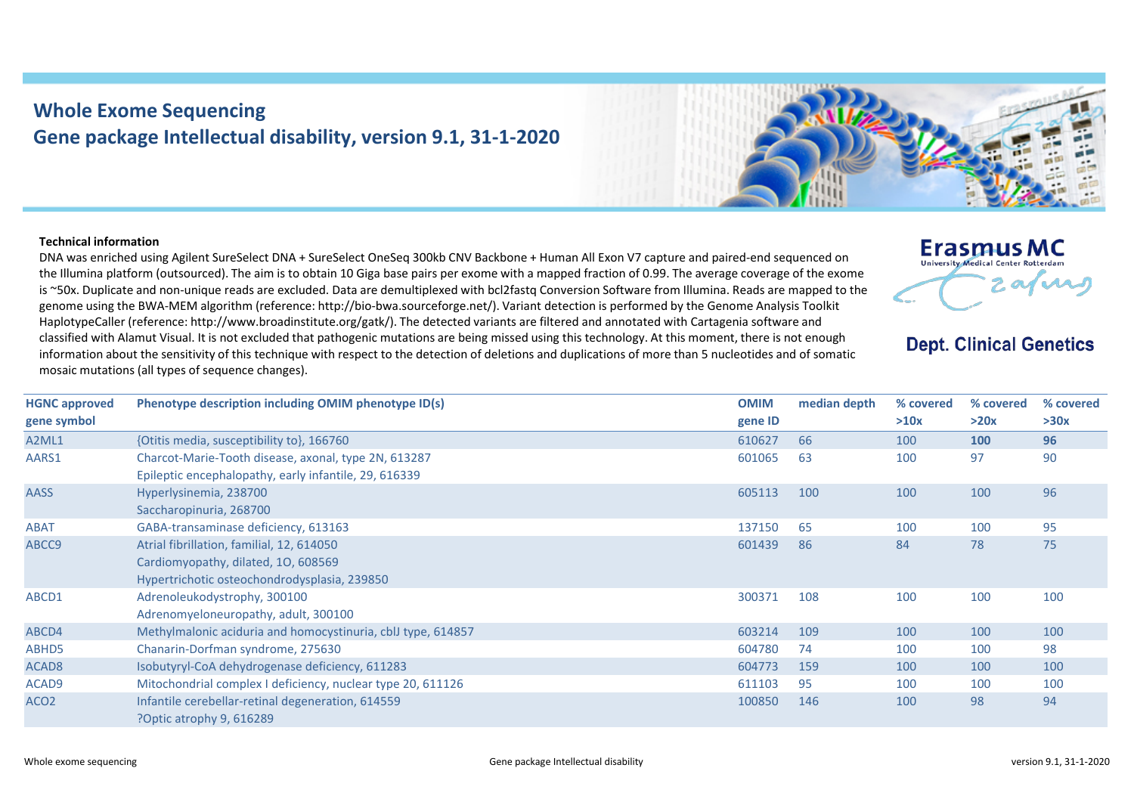## **Whole Exome Sequencing Gene package Intellectual disability, version 9.1, 31-1-2020**

## **Technical information**

DNA was enriched using Agilent SureSelect DNA + SureSelect OneSeq 300kb CNV Backbone + Human All Exon V7 capture and paired-end sequenced on the Illumina platform (outsourced). The aim is to obtain 10 Giga base pairs per exome with a mapped fraction of 0.99. The average coverage of the exome is ~50x. Duplicate and non-unique reads are excluded. Data are demultiplexed with bcl2fastq Conversion Software from Illumina. Reads are mapped to the genome using the BWA-MEM algorithm (reference: http://bio-bwa.sourceforge.net/). Variant detection is performed by the Genome Analysis Toolkit HaplotypeCaller (reference: http://www.broadinstitute.org/gatk/). The detected variants are filtered and annotated with Cartagenia software and classified with Alamut Visual. It is not excluded that pathogenic mutations are being missed using this technology. At this moment, there is not enough information about the sensitivity of this technique with respect to the detection of deletions and duplications of more than 5 nucleotides and of somatic mosaic mutations (all types of sequence changes).

| <b>HGNC approved</b> | Phenotype description including OMIM phenotype ID(s)         | <b>OMIM</b> | median depth | % covered | % covered  | % covered |
|----------------------|--------------------------------------------------------------|-------------|--------------|-----------|------------|-----------|
| gene symbol          |                                                              | gene ID     |              | >10x      | >20x       | >30x      |
| A2ML1                | {Otitis media, susceptibility to}, 166760                    | 610627      | 66           | 100       | <b>100</b> | 96        |
| AARS1                | Charcot-Marie-Tooth disease, axonal, type 2N, 613287         | 601065      | 63           | 100       | 97         | 90        |
|                      | Epileptic encephalopathy, early infantile, 29, 616339        |             |              |           |            |           |
| AASS                 | Hyperlysinemia, 238700                                       | 605113      | 100          | 100       | 100        | 96        |
|                      | Saccharopinuria, 268700                                      |             |              |           |            |           |
| ABAT                 | GABA-transaminase deficiency, 613163                         | 137150      | 65           | 100       | 100        | 95        |
| ABCC9                | Atrial fibrillation, familial, 12, 614050                    | 601439      | 86           | 84        | 78         | 75        |
|                      | Cardiomyopathy, dilated, 10, 608569                          |             |              |           |            |           |
|                      | Hypertrichotic osteochondrodysplasia, 239850                 |             |              |           |            |           |
| ABCD1                | Adrenoleukodystrophy, 300100                                 | 300371      | 108          | 100       | 100        | 100       |
|                      | Adrenomyeloneuropathy, adult, 300100                         |             |              |           |            |           |
| ABCD4                | Methylmalonic aciduria and homocystinuria, cblJ type, 614857 | 603214      | 109          | 100       | 100        | 100       |
| ABHD5                | Chanarin-Dorfman syndrome, 275630                            | 604780      | 74           | 100       | 100        | 98        |
| ACAD8                | Isobutyryl-CoA dehydrogenase deficiency, 611283              | 604773      | 159          | 100       | 100        | 100       |
| ACAD9                | Mitochondrial complex I deficiency, nuclear type 20, 611126  | 611103      | 95           | 100       | 100        | 100       |
| ACO <sub>2</sub>     | Infantile cerebellar-retinal degeneration, 614559            | 100850      | 146          | 100       | 98         | 94        |
|                      | Poptic atrophy 9, 616289                                     |             |              |           |            |           |



## **Dept. Clinical Genetics**

2 av nu

**Erasmus MC** University Medical Center Rotterdam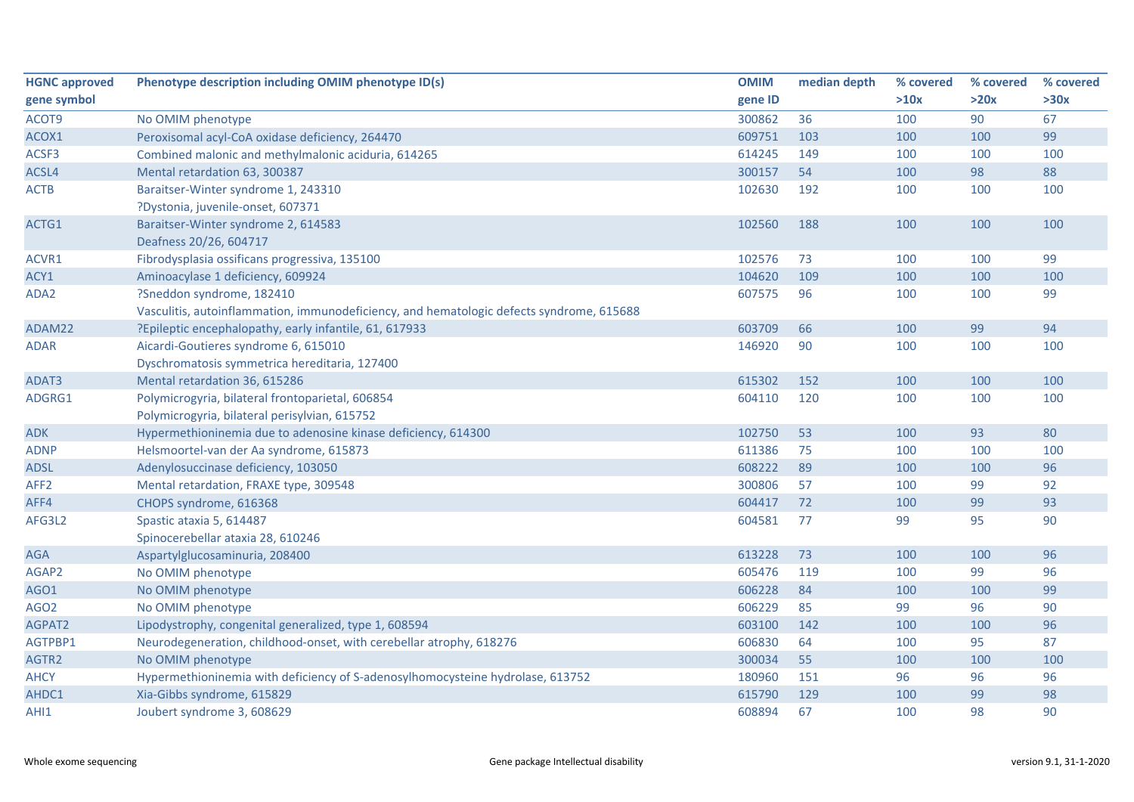| <b>HGNC approved</b> | Phenotype description including OMIM phenotype ID(s)                                     | <b>OMIM</b> | median depth | % covered | % covered | % covered |
|----------------------|------------------------------------------------------------------------------------------|-------------|--------------|-----------|-----------|-----------|
| gene symbol          |                                                                                          | gene ID     |              | >10x      | >20x      | >30x      |
| ACOT9                | No OMIM phenotype                                                                        | 300862      | 36           | 100       | 90        | 67        |
| ACOX1                | Peroxisomal acyl-CoA oxidase deficiency, 264470                                          | 609751      | 103          | 100       | 100       | 99        |
| ACSF3                | Combined malonic and methylmalonic aciduria, 614265                                      | 614245      | 149          | 100       | 100       | 100       |
| ACSL4                | Mental retardation 63, 300387                                                            | 300157      | 54           | 100       | 98        | 88        |
| <b>ACTB</b>          | Baraitser-Winter syndrome 1, 243310                                                      | 102630      | 192          | 100       | 100       | 100       |
|                      | ?Dystonia, juvenile-onset, 607371                                                        |             |              |           |           |           |
| ACTG1                | Baraitser-Winter syndrome 2, 614583                                                      | 102560      | 188          | 100       | 100       | 100       |
|                      | Deafness 20/26, 604717                                                                   |             |              |           |           |           |
| ACVR1                | Fibrodysplasia ossificans progressiva, 135100                                            | 102576      | 73           | 100       | 100       | 99        |
| ACY1                 | Aminoacylase 1 deficiency, 609924                                                        | 104620      | 109          | 100       | 100       | 100       |
| ADA2                 | ?Sneddon syndrome, 182410                                                                | 607575      | 96           | 100       | 100       | 99        |
|                      | Vasculitis, autoinflammation, immunodeficiency, and hematologic defects syndrome, 615688 |             |              |           |           |           |
| ADAM22               | ?Epileptic encephalopathy, early infantile, 61, 617933                                   | 603709      | 66           | 100       | 99        | 94        |
| <b>ADAR</b>          | Aicardi-Goutieres syndrome 6, 615010                                                     | 146920      | 90           | 100       | 100       | 100       |
|                      | Dyschromatosis symmetrica hereditaria, 127400                                            |             |              |           |           |           |
| ADAT3                | Mental retardation 36, 615286                                                            | 615302      | 152          | 100       | 100       | 100       |
| ADGRG1               | Polymicrogyria, bilateral frontoparietal, 606854                                         | 604110      | 120          | 100       | 100       | 100       |
|                      | Polymicrogyria, bilateral perisylvian, 615752                                            |             |              |           |           |           |
| <b>ADK</b>           | Hypermethioninemia due to adenosine kinase deficiency, 614300                            | 102750      | 53           | 100       | 93        | 80        |
| <b>ADNP</b>          | Helsmoortel-van der Aa syndrome, 615873                                                  | 611386      | 75           | 100       | 100       | 100       |
| <b>ADSL</b>          | Adenylosuccinase deficiency, 103050                                                      | 608222      | 89           | 100       | 100       | 96        |
| AFF <sub>2</sub>     | Mental retardation, FRAXE type, 309548                                                   | 300806      | 57           | 100       | 99        | 92        |
| AFF4                 | CHOPS syndrome, 616368                                                                   | 604417      | 72           | 100       | 99        | 93        |
| AFG3L2               | Spastic ataxia 5, 614487                                                                 | 604581      | 77           | 99        | 95        | 90        |
|                      | Spinocerebellar ataxia 28, 610246                                                        |             |              |           |           |           |
| <b>AGA</b>           | Aspartylglucosaminuria, 208400                                                           | 613228      | 73           | 100       | 100       | 96        |
| AGAP2                | No OMIM phenotype                                                                        | 605476      | 119          | 100       | 99        | 96        |
| AGO1                 | No OMIM phenotype                                                                        | 606228      | 84           | 100       | 100       | 99        |
| AGO <sub>2</sub>     | No OMIM phenotype                                                                        | 606229      | 85           | 99        | 96        | 90        |
| AGPAT2               | Lipodystrophy, congenital generalized, type 1, 608594                                    | 603100      | 142          | 100       | 100       | 96        |
| AGTPBP1              | Neurodegeneration, childhood-onset, with cerebellar atrophy, 618276                      | 606830      | 64           | 100       | 95        | 87        |
| AGTR2                | No OMIM phenotype                                                                        | 300034      | 55           | 100       | 100       | 100       |
| <b>AHCY</b>          | Hypermethioninemia with deficiency of S-adenosylhomocysteine hydrolase, 613752           | 180960      | 151          | 96        | 96        | 96        |
| AHDC1                | Xia-Gibbs syndrome, 615829                                                               | 615790      | 129          | 100       | 99        | 98        |
| AHI1                 | Joubert syndrome 3, 608629                                                               | 608894      | 67           | 100       | 98        | 90        |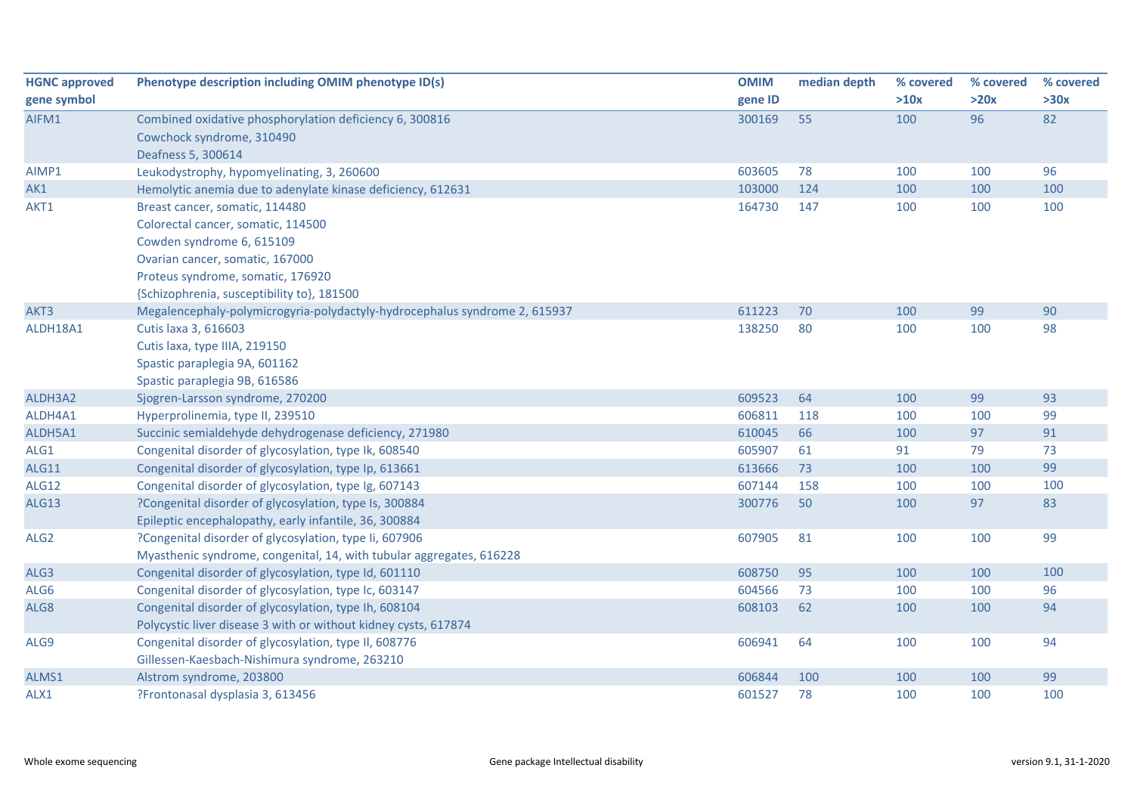| <b>HGNC approved</b> | Phenotype description including OMIM phenotype ID(s)                       | <b>OMIM</b> | median depth | % covered | % covered | % covered |
|----------------------|----------------------------------------------------------------------------|-------------|--------------|-----------|-----------|-----------|
| gene symbol          |                                                                            | gene ID     |              | >10x      | >20x      | >30x      |
| AIFM1                | Combined oxidative phosphorylation deficiency 6, 300816                    | 300169      | 55           | 100       | 96        | 82        |
|                      | Cowchock syndrome, 310490                                                  |             |              |           |           |           |
|                      | Deafness 5, 300614                                                         |             |              |           |           |           |
| AIMP1                | Leukodystrophy, hypomyelinating, 3, 260600                                 | 603605      | 78           | 100       | 100       | 96        |
| AK1                  | Hemolytic anemia due to adenylate kinase deficiency, 612631                | 103000      | 124          | 100       | 100       | 100       |
| AKT1                 | Breast cancer, somatic, 114480                                             | 164730      | 147          | 100       | 100       | 100       |
|                      | Colorectal cancer, somatic, 114500                                         |             |              |           |           |           |
|                      | Cowden syndrome 6, 615109                                                  |             |              |           |           |           |
|                      | Ovarian cancer, somatic, 167000                                            |             |              |           |           |           |
|                      | Proteus syndrome, somatic, 176920                                          |             |              |           |           |           |
|                      | {Schizophrenia, susceptibility to}, 181500                                 |             |              |           |           |           |
| AKT3                 | Megalencephaly-polymicrogyria-polydactyly-hydrocephalus syndrome 2, 615937 | 611223      | 70           | 100       | 99        | 90        |
| ALDH18A1             | Cutis laxa 3, 616603                                                       | 138250      | 80           | 100       | 100       | 98        |
|                      | Cutis laxa, type IIIA, 219150                                              |             |              |           |           |           |
|                      | Spastic paraplegia 9A, 601162                                              |             |              |           |           |           |
|                      | Spastic paraplegia 9B, 616586                                              |             |              |           |           |           |
| ALDH3A2              | Sjogren-Larsson syndrome, 270200                                           | 609523      | 64           | 100       | 99        | 93        |
| ALDH4A1              | Hyperprolinemia, type II, 239510                                           | 606811      | 118          | 100       | 100       | 99        |
| ALDH5A1              | Succinic semialdehyde dehydrogenase deficiency, 271980                     | 610045      | 66           | 100       | 97        | 91        |
| ALG1                 | Congenital disorder of glycosylation, type Ik, 608540                      | 605907      | 61           | 91        | 79        | 73        |
| ALG11                | Congenital disorder of glycosylation, type Ip, 613661                      | 613666      | 73           | 100       | 100       | 99        |
| <b>ALG12</b>         | Congenital disorder of glycosylation, type Ig, 607143                      | 607144      | 158          | 100       | 100       | 100       |
| <b>ALG13</b>         | ?Congenital disorder of glycosylation, type Is, 300884                     | 300776      | 50           | 100       | 97        | 83        |
|                      | Epileptic encephalopathy, early infantile, 36, 300884                      |             |              |           |           |           |
| ALG <sub>2</sub>     | ?Congenital disorder of glycosylation, type Ii, 607906                     | 607905      | 81           | 100       | 100       | 99        |
|                      | Myasthenic syndrome, congenital, 14, with tubular aggregates, 616228       |             |              |           |           |           |
| ALG3                 | Congenital disorder of glycosylation, type Id, 601110                      | 608750      | 95           | 100       | 100       | 100       |
| ALG6                 | Congenital disorder of glycosylation, type Ic, 603147                      | 604566      | 73           | 100       | 100       | 96        |
| ALG8                 | Congenital disorder of glycosylation, type Ih, 608104                      | 608103      | 62           | 100       | 100       | 94        |
|                      | Polycystic liver disease 3 with or without kidney cysts, 617874            |             |              |           |           |           |
| ALG9                 | Congenital disorder of glycosylation, type II, 608776                      | 606941      | 64           | 100       | 100       | 94        |
|                      | Gillessen-Kaesbach-Nishimura syndrome, 263210                              |             |              |           |           |           |
| ALMS1                | Alstrom syndrome, 203800                                                   | 606844      | 100          | 100       | 100       | 99        |
| ALX1                 | ?Frontonasal dysplasia 3, 613456                                           | 601527      | 78           | 100       | 100       | 100       |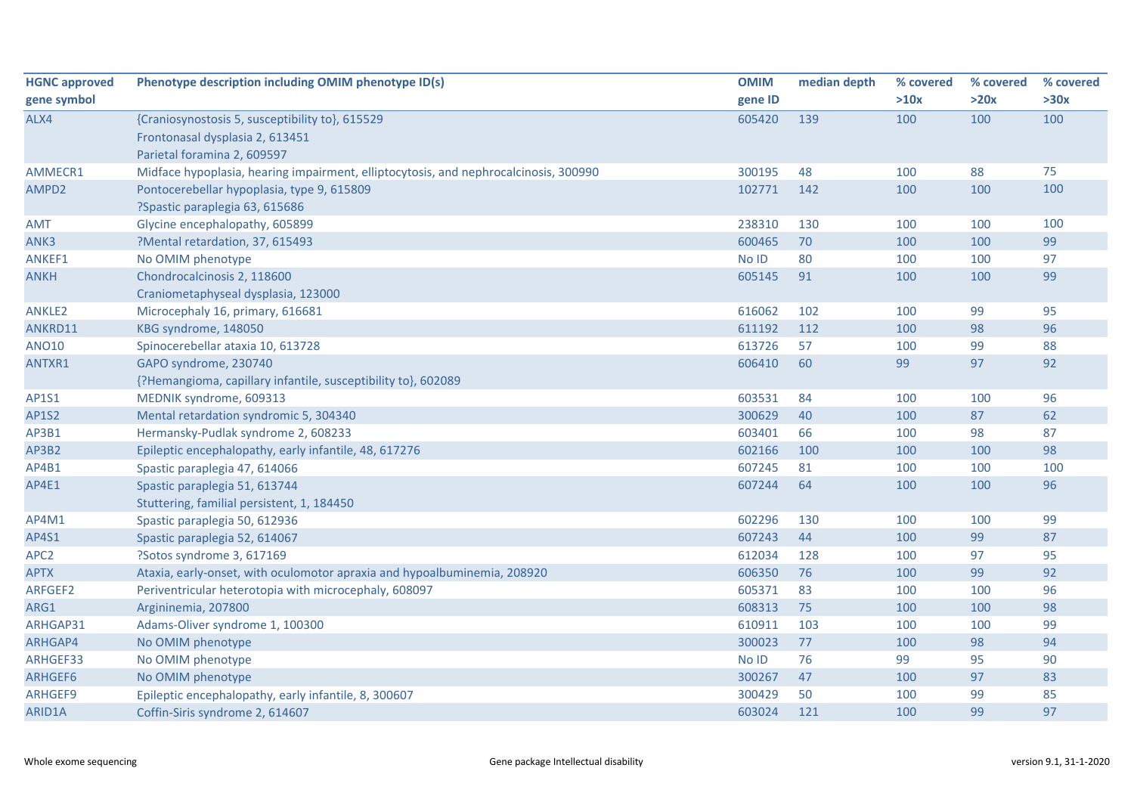| <b>HGNC approved</b> | Phenotype description including OMIM phenotype ID(s)                                 | <b>OMIM</b> | median depth | % covered | % covered | % covered |
|----------------------|--------------------------------------------------------------------------------------|-------------|--------------|-----------|-----------|-----------|
| gene symbol          |                                                                                      | gene ID     |              | >10x      | >20x      | >30x      |
| ALX4                 | {Craniosynostosis 5, susceptibility to}, 615529                                      | 605420      | 139          | 100       | 100       | 100       |
|                      | Frontonasal dysplasia 2, 613451                                                      |             |              |           |           |           |
|                      | Parietal foramina 2, 609597                                                          |             |              |           |           |           |
| AMMECR1              | Midface hypoplasia, hearing impairment, elliptocytosis, and nephrocalcinosis, 300990 | 300195      | 48           | 100       | 88        | 75        |
| AMPD2                | Pontocerebellar hypoplasia, type 9, 615809                                           | 102771      | 142          | 100       | 100       | 100       |
|                      | ?Spastic paraplegia 63, 615686                                                       |             |              |           |           |           |
| <b>AMT</b>           | Glycine encephalopathy, 605899                                                       | 238310      | 130          | 100       | 100       | 100       |
| ANK3                 | ?Mental retardation, 37, 615493                                                      | 600465      | 70           | 100       | 100       | 99        |
| ANKEF1               | No OMIM phenotype                                                                    | No ID       | 80           | 100       | 100       | 97        |
| <b>ANKH</b>          | Chondrocalcinosis 2, 118600                                                          | 605145      | 91           | 100       | 100       | 99        |
|                      | Craniometaphyseal dysplasia, 123000                                                  |             |              |           |           |           |
| <b>ANKLE2</b>        | Microcephaly 16, primary, 616681                                                     | 616062      | 102          | 100       | 99        | 95        |
| ANKRD11              | KBG syndrome, 148050                                                                 | 611192      | 112          | 100       | 98        | 96        |
| <b>ANO10</b>         | Spinocerebellar ataxia 10, 613728                                                    | 613726      | 57           | 100       | 99        | 88        |
| ANTXR1               | GAPO syndrome, 230740                                                                | 606410      | 60           | 99        | 97        | 92        |
|                      | {?Hemangioma, capillary infantile, susceptibility to}, 602089                        |             |              |           |           |           |
| AP1S1                | MEDNIK syndrome, 609313                                                              | 603531      | 84           | 100       | 100       | 96        |
| <b>AP1S2</b>         | Mental retardation syndromic 5, 304340                                               | 300629      | 40           | 100       | 87        | 62        |
| AP3B1                | Hermansky-Pudlak syndrome 2, 608233                                                  | 603401      | 66           | 100       | 98        | 87        |
| AP3B2                | Epileptic encephalopathy, early infantile, 48, 617276                                | 602166      | 100          | 100       | 100       | 98        |
| AP4B1                | Spastic paraplegia 47, 614066                                                        | 607245      | 81           | 100       | 100       | 100       |
| AP4E1                | Spastic paraplegia 51, 613744                                                        | 607244      | 64           | 100       | 100       | 96        |
|                      | Stuttering, familial persistent, 1, 184450                                           |             |              |           |           |           |
| AP4M1                | Spastic paraplegia 50, 612936                                                        | 602296      | 130          | 100       | 100       | 99        |
| AP4S1                | Spastic paraplegia 52, 614067                                                        | 607243      | 44           | 100       | 99        | 87        |
| APC <sub>2</sub>     | ?Sotos syndrome 3, 617169                                                            | 612034      | 128          | 100       | 97        | 95        |
| <b>APTX</b>          | Ataxia, early-onset, with oculomotor apraxia and hypoalbuminemia, 208920             | 606350      | 76           | 100       | 99        | 92        |
| ARFGEF2              | Periventricular heterotopia with microcephaly, 608097                                | 605371      | 83           | 100       | 100       | 96        |
| ARG1                 | Argininemia, 207800                                                                  | 608313      | 75           | 100       | 100       | 98        |
| ARHGAP31             | Adams-Oliver syndrome 1, 100300                                                      | 610911      | 103          | 100       | 100       | 99        |
| ARHGAP4              | No OMIM phenotype                                                                    | 300023      | 77           | 100       | 98        | 94        |
| ARHGEF33             | No OMIM phenotype                                                                    | No ID       | 76           | 99        | 95        | 90        |
| ARHGEF6              | No OMIM phenotype                                                                    | 300267      | 47           | 100       | 97        | 83        |
| ARHGEF9              | Epileptic encephalopathy, early infantile, 8, 300607                                 | 300429      | 50           | 100       | 99        | 85        |
| ARID1A               | Coffin-Siris syndrome 2, 614607                                                      | 603024      | 121          | 100       | 99        | 97        |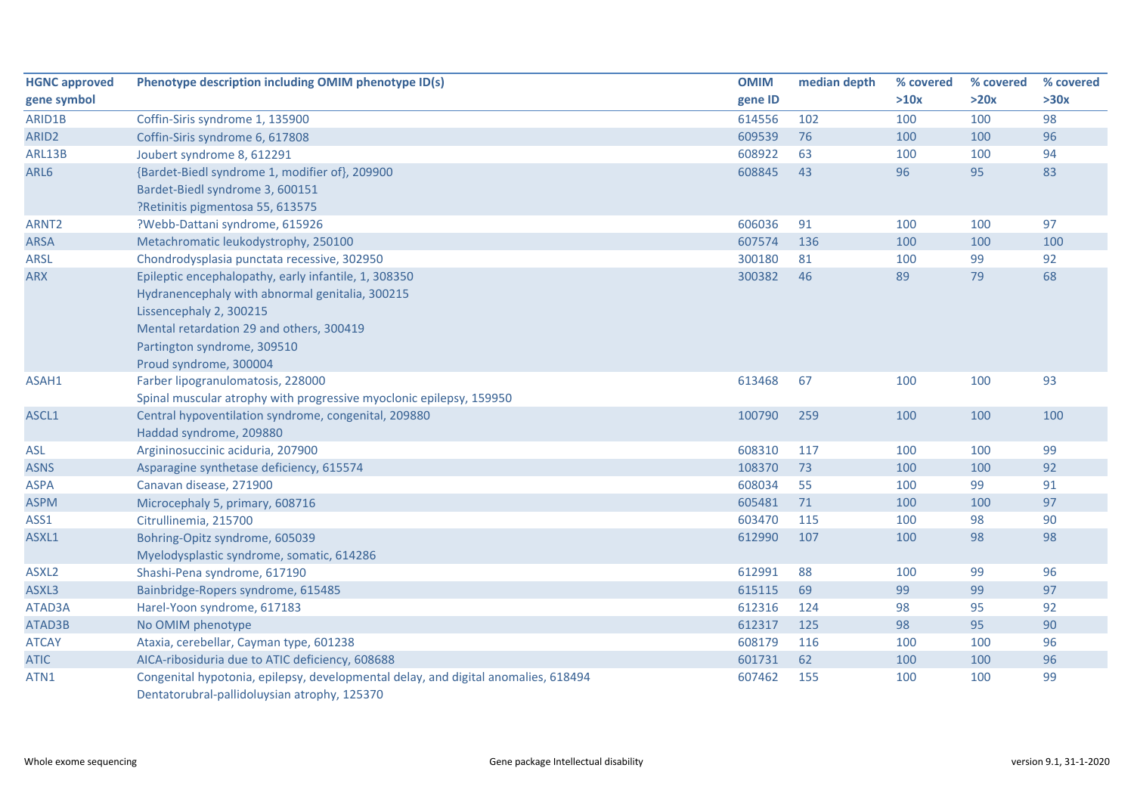| <b>HGNC approved</b> | Phenotype description including OMIM phenotype ID(s)                               | <b>OMIM</b> | median depth | % covered | % covered | % covered |
|----------------------|------------------------------------------------------------------------------------|-------------|--------------|-----------|-----------|-----------|
| gene symbol          |                                                                                    | gene ID     |              | >10x      | >20x      | >30x      |
| ARID1B               | Coffin-Siris syndrome 1, 135900                                                    | 614556      | 102          | 100       | 100       | 98        |
| ARID <sub>2</sub>    | Coffin-Siris syndrome 6, 617808                                                    | 609539      | 76           | 100       | 100       | 96        |
| ARL13B               | Joubert syndrome 8, 612291                                                         | 608922      | 63           | 100       | 100       | 94        |
| ARL6                 | {Bardet-Biedl syndrome 1, modifier of}, 209900                                     | 608845      | 43           | 96        | 95        | 83        |
|                      | Bardet-Biedl syndrome 3, 600151                                                    |             |              |           |           |           |
|                      | ?Retinitis pigmentosa 55, 613575                                                   |             |              |           |           |           |
| ARNT <sub>2</sub>    | ?Webb-Dattani syndrome, 615926                                                     | 606036      | 91           | 100       | 100       | 97        |
| <b>ARSA</b>          | Metachromatic leukodystrophy, 250100                                               | 607574      | 136          | 100       | 100       | 100       |
| <b>ARSL</b>          | Chondrodysplasia punctata recessive, 302950                                        | 300180      | 81           | 100       | 99        | 92        |
| <b>ARX</b>           | Epileptic encephalopathy, early infantile, 1, 308350                               | 300382      | 46           | 89        | 79        | 68        |
|                      | Hydranencephaly with abnormal genitalia, 300215                                    |             |              |           |           |           |
|                      | Lissencephaly 2, 300215                                                            |             |              |           |           |           |
|                      | Mental retardation 29 and others, 300419                                           |             |              |           |           |           |
|                      | Partington syndrome, 309510                                                        |             |              |           |           |           |
|                      | Proud syndrome, 300004                                                             |             |              |           |           |           |
| ASAH1                | Farber lipogranulomatosis, 228000                                                  | 613468      | 67           | 100       | 100       | 93        |
|                      | Spinal muscular atrophy with progressive myoclonic epilepsy, 159950                |             |              |           |           |           |
| ASCL1                | Central hypoventilation syndrome, congenital, 209880                               | 100790      | 259          | 100       | 100       | 100       |
|                      | Haddad syndrome, 209880                                                            |             |              |           |           |           |
| <b>ASL</b>           | Argininosuccinic aciduria, 207900                                                  | 608310      | 117          | 100       | 100       | 99        |
| <b>ASNS</b>          | Asparagine synthetase deficiency, 615574                                           | 108370      | 73           | 100       | 100       | 92        |
| <b>ASPA</b>          | Canavan disease, 271900                                                            | 608034      | 55           | 100       | 99        | 91        |
| <b>ASPM</b>          | Microcephaly 5, primary, 608716                                                    | 605481      | 71           | 100       | 100       | 97        |
| ASS1                 | Citrullinemia, 215700                                                              | 603470      | 115          | 100       | 98        | 90        |
| ASXL1                | Bohring-Opitz syndrome, 605039                                                     | 612990      | 107          | 100       | 98        | 98        |
|                      | Myelodysplastic syndrome, somatic, 614286                                          |             |              |           |           |           |
| ASXL <sub>2</sub>    | Shashi-Pena syndrome, 617190                                                       | 612991      | 88           | 100       | 99        | 96        |
| ASXL3                | Bainbridge-Ropers syndrome, 615485                                                 | 615115      | 69           | 99        | 99        | 97        |
| ATAD3A               | Harel-Yoon syndrome, 617183                                                        | 612316      | 124          | 98        | 95        | 92        |
| ATAD3B               | No OMIM phenotype                                                                  | 612317      | 125          | 98        | 95        | 90        |
| <b>ATCAY</b>         | Ataxia, cerebellar, Cayman type, 601238                                            | 608179      | 116          | 100       | 100       | 96        |
| <b>ATIC</b>          | AICA-ribosiduria due to ATIC deficiency, 608688                                    | 601731      | 62           | 100       | 100       | 96        |
| ATN1                 | Congenital hypotonia, epilepsy, developmental delay, and digital anomalies, 618494 | 607462      | 155          | 100       | 100       | 99        |
|                      | Dentatorubral-pallidoluysian atrophy, 125370                                       |             |              |           |           |           |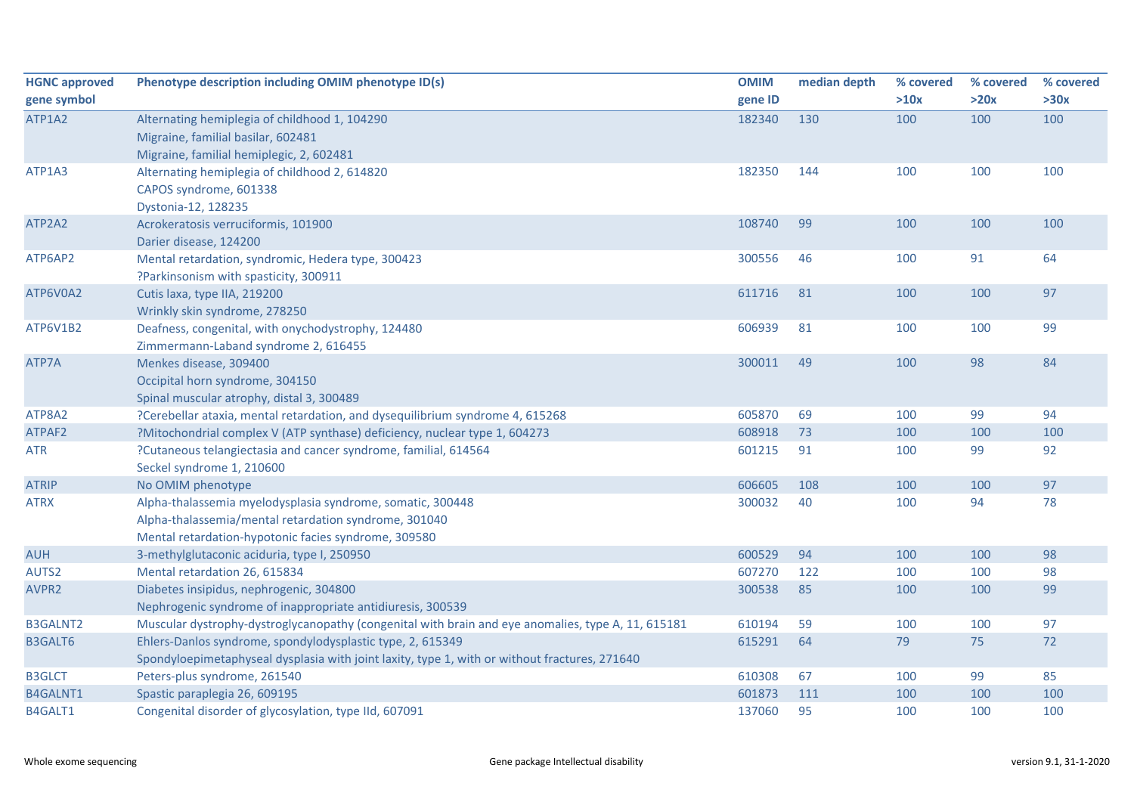| <b>HGNC approved</b> | Phenotype description including OMIM phenotype ID(s)                                               | <b>OMIM</b> | median depth | % covered | % covered | % covered |
|----------------------|----------------------------------------------------------------------------------------------------|-------------|--------------|-----------|-----------|-----------|
| gene symbol          |                                                                                                    | gene ID     |              | >10x      | >20x      | >30x      |
| ATP1A2               | Alternating hemiplegia of childhood 1, 104290                                                      | 182340      | 130          | 100       | 100       | 100       |
|                      | Migraine, familial basilar, 602481                                                                 |             |              |           |           |           |
|                      | Migraine, familial hemiplegic, 2, 602481                                                           |             |              |           |           |           |
| ATP1A3               | Alternating hemiplegia of childhood 2, 614820                                                      | 182350      | 144          | 100       | 100       | 100       |
|                      | CAPOS syndrome, 601338                                                                             |             |              |           |           |           |
|                      | Dystonia-12, 128235                                                                                |             |              |           |           |           |
| ATP2A2               | Acrokeratosis verruciformis, 101900                                                                | 108740      | 99           | 100       | 100       | 100       |
|                      | Darier disease, 124200                                                                             |             |              |           |           |           |
| ATP6AP2              | Mental retardation, syndromic, Hedera type, 300423                                                 | 300556      | 46           | 100       | 91        | 64        |
|                      | ?Parkinsonism with spasticity, 300911                                                              |             |              |           |           |           |
| ATP6V0A2             | Cutis laxa, type IIA, 219200                                                                       | 611716      | 81           | 100       | 100       | 97        |
|                      | Wrinkly skin syndrome, 278250                                                                      |             |              |           |           |           |
| ATP6V1B2             | Deafness, congenital, with onychodystrophy, 124480                                                 | 606939      | 81           | 100       | 100       | 99        |
|                      | Zimmermann-Laband syndrome 2, 616455                                                               |             |              |           |           |           |
| ATP7A                | Menkes disease, 309400                                                                             | 300011      | 49           | 100       | 98        | 84        |
|                      | Occipital horn syndrome, 304150                                                                    |             |              |           |           |           |
|                      | Spinal muscular atrophy, distal 3, 300489                                                          |             |              |           |           |           |
| ATP8A2               | ?Cerebellar ataxia, mental retardation, and dysequilibrium syndrome 4, 615268                      | 605870      | 69           | 100       | 99        | 94        |
| ATPAF2               | ?Mitochondrial complex V (ATP synthase) deficiency, nuclear type 1, 604273                         | 608918      | 73           | 100       | 100       | 100       |
| <b>ATR</b>           | ?Cutaneous telangiectasia and cancer syndrome, familial, 614564                                    | 601215      | 91           | 100       | 99        | 92        |
|                      | Seckel syndrome 1, 210600                                                                          |             |              |           |           |           |
| <b>ATRIP</b>         | No OMIM phenotype                                                                                  | 606605      | 108          | 100       | 100       | 97        |
| <b>ATRX</b>          | Alpha-thalassemia myelodysplasia syndrome, somatic, 300448                                         | 300032      | 40           | 100       | 94        | 78        |
|                      | Alpha-thalassemia/mental retardation syndrome, 301040                                              |             |              |           |           |           |
|                      | Mental retardation-hypotonic facies syndrome, 309580                                               |             |              |           |           |           |
| <b>AUH</b>           | 3-methylglutaconic aciduria, type I, 250950                                                        | 600529      | 94           | 100       | 100       | 98        |
| AUTS2                | Mental retardation 26, 615834                                                                      | 607270      | 122          | 100       | 100       | 98        |
| AVPR2                | Diabetes insipidus, nephrogenic, 304800                                                            | 300538      | 85           | 100       | 100       | 99        |
|                      | Nephrogenic syndrome of inappropriate antidiuresis, 300539                                         |             |              |           |           |           |
| <b>B3GALNT2</b>      | Muscular dystrophy-dystroglycanopathy (congenital with brain and eye anomalies, type A, 11, 615181 | 610194      | 59           | 100       | 100       | 97        |
| <b>B3GALT6</b>       | Ehlers-Danlos syndrome, spondylodysplastic type, 2, 615349                                         | 615291      | 64           | 79        | 75        | 72        |
|                      | Spondyloepimetaphyseal dysplasia with joint laxity, type 1, with or without fractures, 271640      |             |              |           |           |           |
| <b>B3GLCT</b>        | Peters-plus syndrome, 261540                                                                       | 610308      | 67           | 100       | 99        | 85        |
| B4GALNT1             | Spastic paraplegia 26, 609195                                                                      | 601873      | 111          | 100       | 100       | 100       |
| B4GALT1              | Congenital disorder of glycosylation, type IId, 607091                                             | 137060      | 95           | 100       | 100       | 100       |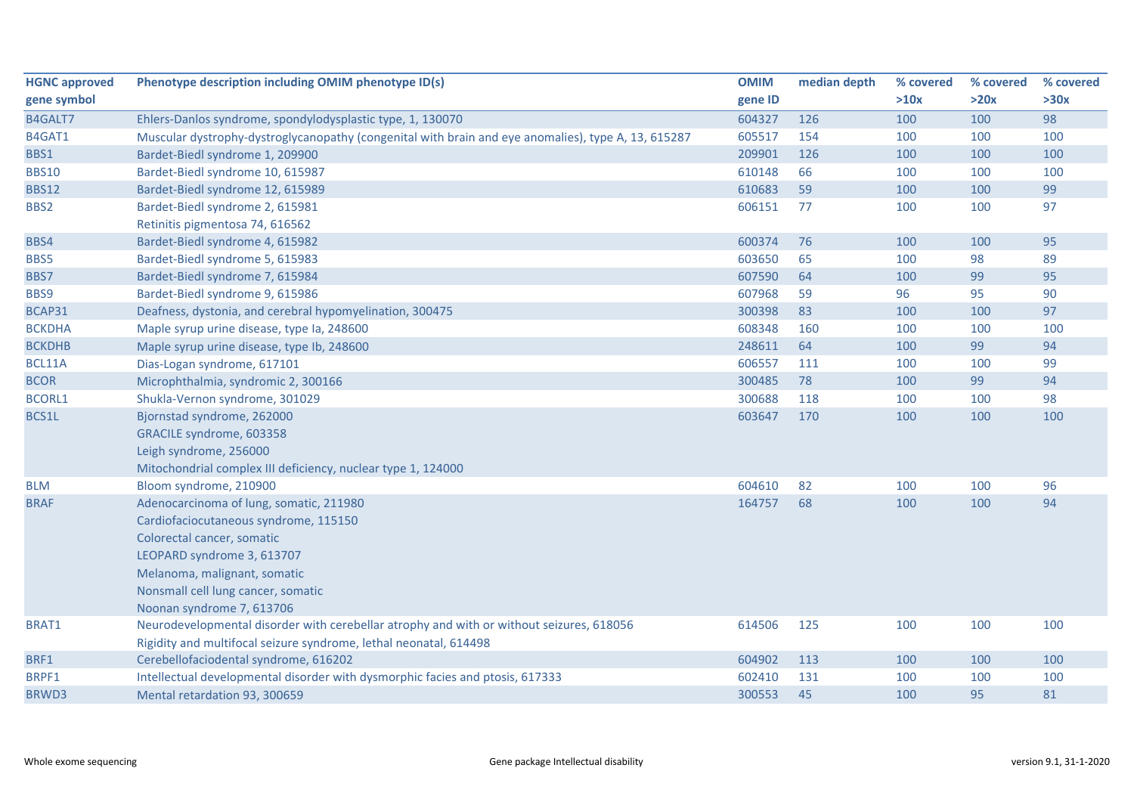| <b>HGNC approved</b> | Phenotype description including OMIM phenotype ID(s)                                                | <b>OMIM</b> | median depth | % covered | % covered | % covered |
|----------------------|-----------------------------------------------------------------------------------------------------|-------------|--------------|-----------|-----------|-----------|
| gene symbol          |                                                                                                     | gene ID     |              | >10x      | >20x      | >30x      |
| B4GALT7              | Ehlers-Danlos syndrome, spondylodysplastic type, 1, 130070                                          | 604327      | 126          | 100       | 100       | 98        |
| B4GAT1               | Muscular dystrophy-dystroglycanopathy (congenital with brain and eye anomalies), type A, 13, 615287 | 605517      | 154          | 100       | 100       | 100       |
| BBS1                 | Bardet-Biedl syndrome 1, 209900                                                                     | 209901      | 126          | 100       | 100       | 100       |
| <b>BBS10</b>         | Bardet-Biedl syndrome 10, 615987                                                                    | 610148      | 66           | 100       | 100       | 100       |
| <b>BBS12</b>         | Bardet-Biedl syndrome 12, 615989                                                                    | 610683      | 59           | 100       | 100       | 99        |
| BBS2                 | Bardet-Biedl syndrome 2, 615981                                                                     | 606151      | 77           | 100       | 100       | 97        |
|                      | Retinitis pigmentosa 74, 616562                                                                     |             |              |           |           |           |
| BBS4                 | Bardet-Biedl syndrome 4, 615982                                                                     | 600374      | 76           | 100       | 100       | 95        |
| BBS5                 | Bardet-Biedl syndrome 5, 615983                                                                     | 603650      | 65           | 100       | 98        | 89        |
| BBS7                 | Bardet-Biedl syndrome 7, 615984                                                                     | 607590      | 64           | 100       | 99        | 95        |
| BBS9                 | Bardet-Biedl syndrome 9, 615986                                                                     | 607968      | 59           | 96        | 95        | 90        |
| BCAP31               | Deafness, dystonia, and cerebral hypomyelination, 300475                                            | 300398      | 83           | 100       | 100       | 97        |
| <b>BCKDHA</b>        | Maple syrup urine disease, type Ia, 248600                                                          | 608348      | 160          | 100       | 100       | 100       |
| <b>BCKDHB</b>        | Maple syrup urine disease, type Ib, 248600                                                          | 248611      | 64           | 100       | 99        | 94        |
| BCL11A               | Dias-Logan syndrome, 617101                                                                         | 606557      | 111          | 100       | 100       | 99        |
| <b>BCOR</b>          | Microphthalmia, syndromic 2, 300166                                                                 | 300485      | 78           | 100       | 99        | 94        |
| <b>BCORL1</b>        | Shukla-Vernon syndrome, 301029                                                                      | 300688      | 118          | 100       | 100       | 98        |
| BCS1L                | Bjornstad syndrome, 262000                                                                          | 603647      | 170          | 100       | 100       | 100       |
|                      | GRACILE syndrome, 603358                                                                            |             |              |           |           |           |
|                      | Leigh syndrome, 256000                                                                              |             |              |           |           |           |
|                      | Mitochondrial complex III deficiency, nuclear type 1, 124000                                        |             |              |           |           |           |
| <b>BLM</b>           | Bloom syndrome, 210900                                                                              | 604610      | 82           | 100       | 100       | 96        |
| <b>BRAF</b>          | Adenocarcinoma of lung, somatic, 211980                                                             | 164757      | 68           | 100       | 100       | 94        |
|                      | Cardiofaciocutaneous syndrome, 115150                                                               |             |              |           |           |           |
|                      | Colorectal cancer, somatic                                                                          |             |              |           |           |           |
|                      | LEOPARD syndrome 3, 613707                                                                          |             |              |           |           |           |
|                      | Melanoma, malignant, somatic                                                                        |             |              |           |           |           |
|                      | Nonsmall cell lung cancer, somatic                                                                  |             |              |           |           |           |
|                      | Noonan syndrome 7, 613706                                                                           |             |              |           |           |           |
| BRAT1                | Neurodevelopmental disorder with cerebellar atrophy and with or without seizures, 618056            | 614506      | 125          | 100       | 100       | 100       |
|                      | Rigidity and multifocal seizure syndrome, lethal neonatal, 614498                                   |             |              |           |           |           |
| BRF1                 | Cerebellofaciodental syndrome, 616202                                                               | 604902      | 113          | 100       | 100       | 100       |
| BRPF1                | Intellectual developmental disorder with dysmorphic facies and ptosis, 617333                       | 602410      | 131          | 100       | 100       | 100       |
| BRWD3                | Mental retardation 93, 300659                                                                       | 300553      | 45           | 100       | 95        | 81        |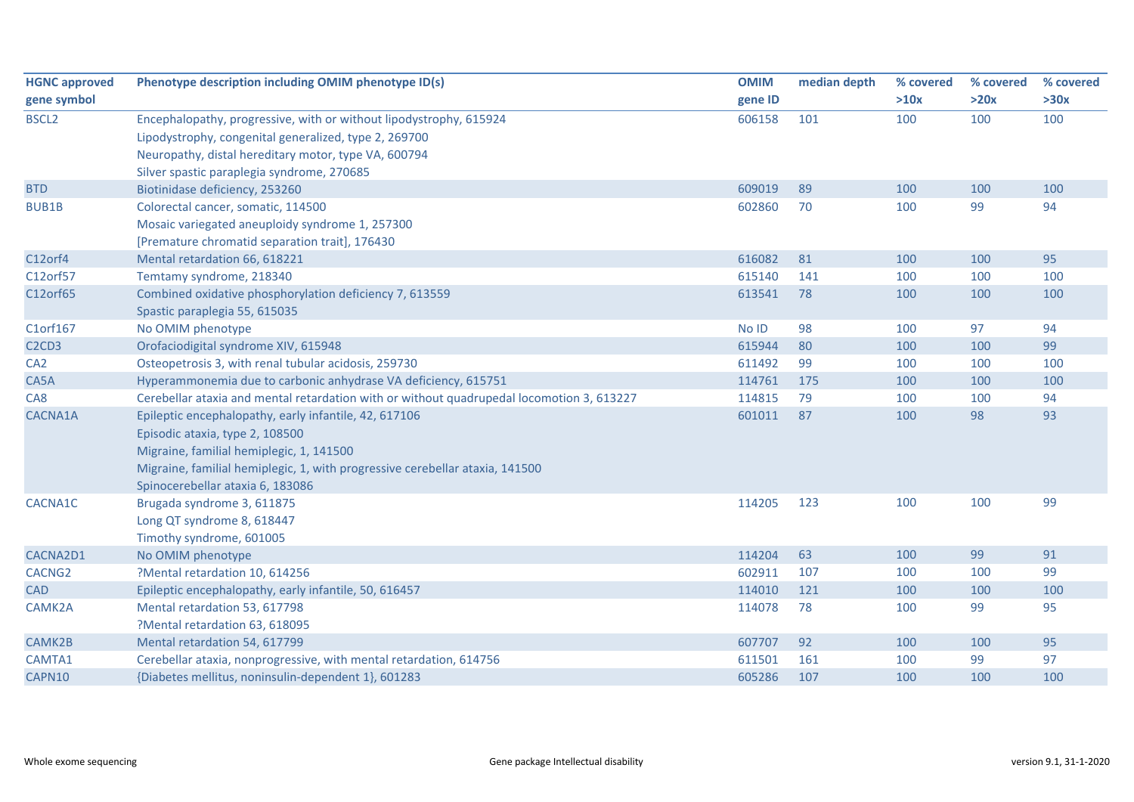| <b>HGNC approved</b>                       | Phenotype description including OMIM phenotype ID(s)                                      | <b>OMIM</b> | median depth | % covered | % covered | % covered |
|--------------------------------------------|-------------------------------------------------------------------------------------------|-------------|--------------|-----------|-----------|-----------|
| gene symbol                                |                                                                                           | gene ID     |              | >10x      | >20x      | >30x      |
| <b>BSCL2</b>                               | Encephalopathy, progressive, with or without lipodystrophy, 615924                        | 606158      | 101          | 100       | 100       | 100       |
|                                            | Lipodystrophy, congenital generalized, type 2, 269700                                     |             |              |           |           |           |
|                                            | Neuropathy, distal hereditary motor, type VA, 600794                                      |             |              |           |           |           |
|                                            | Silver spastic paraplegia syndrome, 270685                                                |             |              |           |           |           |
| <b>BTD</b>                                 | Biotinidase deficiency, 253260                                                            | 609019      | 89           | 100       | 100       | 100       |
| <b>BUB1B</b>                               | Colorectal cancer, somatic, 114500                                                        | 602860      | 70           | 100       | 99        | 94        |
|                                            | Mosaic variegated aneuploidy syndrome 1, 257300                                           |             |              |           |           |           |
|                                            | [Premature chromatid separation trait], 176430                                            |             |              |           |           |           |
| C12orf4                                    | Mental retardation 66, 618221                                                             | 616082      | 81           | 100       | 100       | 95        |
| C12orf57                                   | Temtamy syndrome, 218340                                                                  | 615140      | 141          | 100       | 100       | 100       |
| C12orf65                                   | Combined oxidative phosphorylation deficiency 7, 613559                                   | 613541      | 78           | 100       | 100       | 100       |
|                                            | Spastic paraplegia 55, 615035                                                             |             |              |           |           |           |
| C1orf167                                   | No OMIM phenotype                                                                         | No ID       | 98           | 100       | 97        | 94        |
| C <sub>2</sub> C <sub>D</sub> <sub>3</sub> | Orofaciodigital syndrome XIV, 615948                                                      | 615944      | 80           | 100       | 100       | 99        |
| CA <sub>2</sub>                            | Osteopetrosis 3, with renal tubular acidosis, 259730                                      | 611492      | 99           | 100       | 100       | 100       |
| CA5A                                       | Hyperammonemia due to carbonic anhydrase VA deficiency, 615751                            | 114761      | 175          | 100       | 100       | 100       |
| CA8                                        | Cerebellar ataxia and mental retardation with or without quadrupedal locomotion 3, 613227 | 114815      | 79           | 100       | 100       | 94        |
| CACNA1A                                    | Epileptic encephalopathy, early infantile, 42, 617106                                     | 601011      | 87           | 100       | 98        | 93        |
|                                            | Episodic ataxia, type 2, 108500                                                           |             |              |           |           |           |
|                                            | Migraine, familial hemiplegic, 1, 141500                                                  |             |              |           |           |           |
|                                            | Migraine, familial hemiplegic, 1, with progressive cerebellar ataxia, 141500              |             |              |           |           |           |
|                                            | Spinocerebellar ataxia 6, 183086                                                          |             |              |           |           |           |
| CACNA1C                                    | Brugada syndrome 3, 611875                                                                | 114205      | 123          | 100       | 100       | 99        |
|                                            | Long QT syndrome 8, 618447                                                                |             |              |           |           |           |
|                                            | Timothy syndrome, 601005                                                                  |             |              |           |           |           |
| CACNA2D1                                   | No OMIM phenotype                                                                         | 114204      | 63           | 100       | 99        | 91        |
| CACNG <sub>2</sub>                         | ?Mental retardation 10, 614256                                                            | 602911      | 107          | 100       | 100       | 99        |
| <b>CAD</b>                                 | Epileptic encephalopathy, early infantile, 50, 616457                                     | 114010      | 121          | 100       | 100       | 100       |
| CAMK2A                                     | Mental retardation 53, 617798                                                             | 114078      | 78           | 100       | 99        | 95        |
|                                            | ?Mental retardation 63, 618095                                                            |             |              |           |           |           |
| CAMK2B                                     | Mental retardation 54, 617799                                                             | 607707      | 92           | 100       | 100       | 95        |
| CAMTA1                                     | Cerebellar ataxia, nonprogressive, with mental retardation, 614756                        | 611501      | 161          | 100       | 99        | 97        |
| CAPN10                                     | {Diabetes mellitus, noninsulin-dependent 1}, 601283                                       | 605286      | 107          | 100       | 100       | 100       |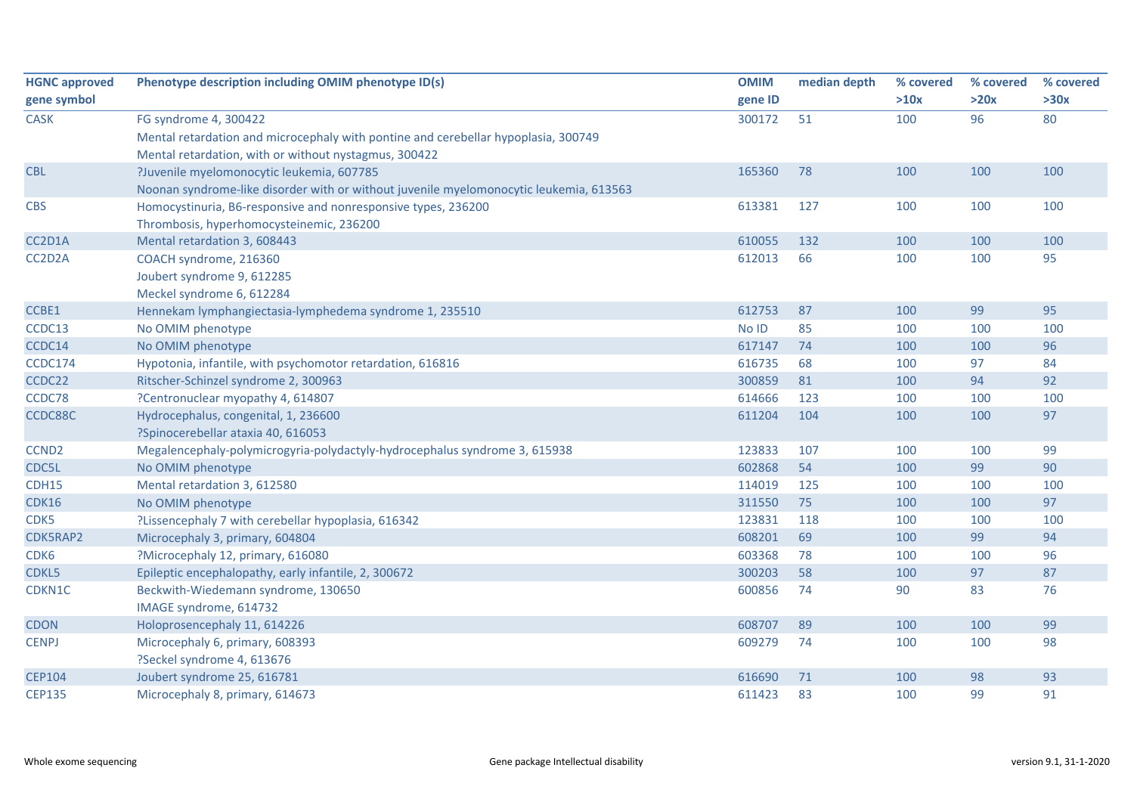| <b>HGNC approved</b> | Phenotype description including OMIM phenotype ID(s)                                   | <b>OMIM</b> | median depth | % covered | % covered | % covered |
|----------------------|----------------------------------------------------------------------------------------|-------------|--------------|-----------|-----------|-----------|
| gene symbol          |                                                                                        | gene ID     |              | >10x      | >20x      | >30x      |
| <b>CASK</b>          | FG syndrome 4, 300422                                                                  | 300172      | 51           | 100       | 96        | 80        |
|                      | Mental retardation and microcephaly with pontine and cerebellar hypoplasia, 300749     |             |              |           |           |           |
|                      | Mental retardation, with or without nystagmus, 300422                                  |             |              |           |           |           |
| <b>CBL</b>           | ?Juvenile myelomonocytic leukemia, 607785                                              | 165360      | 78           | 100       | 100       | 100       |
|                      | Noonan syndrome-like disorder with or without juvenile myelomonocytic leukemia, 613563 |             |              |           |           |           |
| <b>CBS</b>           | Homocystinuria, B6-responsive and nonresponsive types, 236200                          | 613381      | 127          | 100       | 100       | 100       |
|                      | Thrombosis, hyperhomocysteinemic, 236200                                               |             |              |           |           |           |
| CC2D1A               | Mental retardation 3, 608443                                                           | 610055      | 132          | 100       | 100       | 100       |
| CC2D2A               | COACH syndrome, 216360                                                                 | 612013      | 66           | 100       | 100       | 95        |
|                      | Joubert syndrome 9, 612285                                                             |             |              |           |           |           |
|                      | Meckel syndrome 6, 612284                                                              |             |              |           |           |           |
| CCBE1                | Hennekam lymphangiectasia-lymphedema syndrome 1, 235510                                | 612753      | 87           | 100       | 99        | 95        |
| CCDC13               | No OMIM phenotype                                                                      | No ID       | 85           | 100       | 100       | 100       |
| CCDC14               | No OMIM phenotype                                                                      | 617147      | 74           | 100       | 100       | 96        |
| CCDC174              | Hypotonia, infantile, with psychomotor retardation, 616816                             | 616735      | 68           | 100       | 97        | 84        |
| CCDC22               | Ritscher-Schinzel syndrome 2, 300963                                                   | 300859      | 81           | 100       | 94        | 92        |
| CCDC78               | ?Centronuclear myopathy 4, 614807                                                      | 614666      | 123          | 100       | 100       | 100       |
| CCDC88C              | Hydrocephalus, congenital, 1, 236600                                                   | 611204      | 104          | 100       | 100       | 97        |
|                      | ?Spinocerebellar ataxia 40, 616053                                                     |             |              |           |           |           |
| CCND <sub>2</sub>    | Megalencephaly-polymicrogyria-polydactyly-hydrocephalus syndrome 3, 615938             | 123833      | 107          | 100       | 100       | 99        |
| CDC5L                | No OMIM phenotype                                                                      | 602868      | 54           | 100       | 99        | 90        |
| CDH15                | Mental retardation 3, 612580                                                           | 114019      | 125          | 100       | 100       | 100       |
| <b>CDK16</b>         | No OMIM phenotype                                                                      | 311550      | 75           | 100       | 100       | 97        |
| CDK5                 | ?Lissencephaly 7 with cerebellar hypoplasia, 616342                                    | 123831      | 118          | 100       | 100       | 100       |
| CDK5RAP2             | Microcephaly 3, primary, 604804                                                        | 608201      | 69           | 100       | 99        | 94        |
| CDK <sub>6</sub>     | ?Microcephaly 12, primary, 616080                                                      | 603368      | 78           | 100       | 100       | 96        |
| CDKL5                | Epileptic encephalopathy, early infantile, 2, 300672                                   | 300203      | 58           | 100       | 97        | 87        |
| CDKN1C               | Beckwith-Wiedemann syndrome, 130650                                                    | 600856      | 74           | 90        | 83        | 76        |
|                      | IMAGE syndrome, 614732                                                                 |             |              |           |           |           |
| <b>CDON</b>          | Holoprosencephaly 11, 614226                                                           | 608707      | 89           | 100       | 100       | 99        |
| <b>CENPJ</b>         | Microcephaly 6, primary, 608393                                                        | 609279      | 74           | 100       | 100       | 98        |
|                      | ?Seckel syndrome 4, 613676                                                             |             |              |           |           |           |
| <b>CEP104</b>        | Joubert syndrome 25, 616781                                                            | 616690      | 71           | 100       | 98        | 93        |
| <b>CEP135</b>        | Microcephaly 8, primary, 614673                                                        | 611423      | 83           | 100       | 99        | 91        |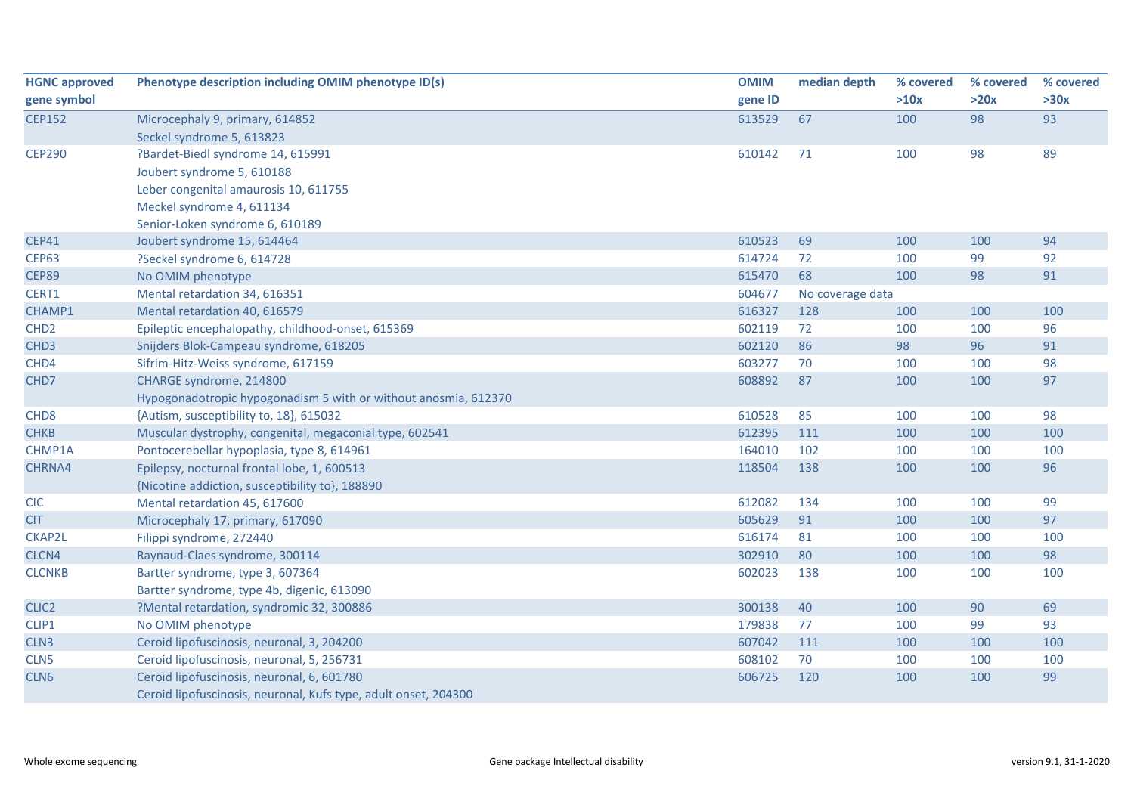| <b>HGNC approved</b> | Phenotype description including OMIM phenotype ID(s)            | <b>OMIM</b> | median depth     | % covered | % covered | % covered |
|----------------------|-----------------------------------------------------------------|-------------|------------------|-----------|-----------|-----------|
| gene symbol          |                                                                 | gene ID     |                  | >10x      | >20x      | >30x      |
| <b>CEP152</b>        | Microcephaly 9, primary, 614852                                 | 613529      | 67               | 100       | 98        | 93        |
|                      | Seckel syndrome 5, 613823                                       |             |                  |           |           |           |
| <b>CEP290</b>        | ?Bardet-Biedl syndrome 14, 615991                               | 610142      | 71               | 100       | 98        | 89        |
|                      | Joubert syndrome 5, 610188                                      |             |                  |           |           |           |
|                      | Leber congenital amaurosis 10, 611755                           |             |                  |           |           |           |
|                      | Meckel syndrome 4, 611134                                       |             |                  |           |           |           |
|                      | Senior-Loken syndrome 6, 610189                                 |             |                  |           |           |           |
| <b>CEP41</b>         | Joubert syndrome 15, 614464                                     | 610523      | 69               | 100       | 100       | 94        |
| <b>CEP63</b>         | ?Seckel syndrome 6, 614728                                      | 614724      | 72               | 100       | 99        | 92        |
| <b>CEP89</b>         | No OMIM phenotype                                               | 615470      | 68               | 100       | 98        | 91        |
| CERT1                | Mental retardation 34, 616351                                   | 604677      | No coverage data |           |           |           |
| CHAMP1               | Mental retardation 40, 616579                                   | 616327      | 128              | 100       | 100       | 100       |
| CHD <sub>2</sub>     | Epileptic encephalopathy, childhood-onset, 615369               | 602119      | 72               | 100       | 100       | 96        |
| CHD <sub>3</sub>     | Snijders Blok-Campeau syndrome, 618205                          | 602120      | 86               | 98        | 96        | 91        |
| CHD4                 | Sifrim-Hitz-Weiss syndrome, 617159                              | 603277      | 70               | 100       | 100       | 98        |
| CHD7                 | CHARGE syndrome, 214800                                         | 608892      | 87               | 100       | 100       | 97        |
|                      | Hypogonadotropic hypogonadism 5 with or without anosmia, 612370 |             |                  |           |           |           |
| CHD <sub>8</sub>     | {Autism, susceptibility to, 18}, 615032                         | 610528      | 85               | 100       | 100       | 98        |
| <b>CHKB</b>          | Muscular dystrophy, congenital, megaconial type, 602541         | 612395      | 111              | 100       | 100       | 100       |
| CHMP1A               | Pontocerebellar hypoplasia, type 8, 614961                      | 164010      | 102              | 100       | 100       | 100       |
| CHRNA4               | Epilepsy, nocturnal frontal lobe, 1, 600513                     | 118504      | 138              | 100       | 100       | 96        |
|                      | {Nicotine addiction, susceptibility to}, 188890                 |             |                  |           |           |           |
| <b>CIC</b>           | Mental retardation 45, 617600                                   | 612082      | 134              | 100       | 100       | 99        |
| <b>CIT</b>           | Microcephaly 17, primary, 617090                                | 605629      | 91               | 100       | 100       | 97        |
| CKAP2L               | Filippi syndrome, 272440                                        | 616174      | 81               | 100       | 100       | 100       |
| CLCN4                | Raynaud-Claes syndrome, 300114                                  | 302910      | 80               | 100       | 100       | 98        |
| <b>CLCNKB</b>        | Bartter syndrome, type 3, 607364                                | 602023      | 138              | 100       | 100       | 100       |
|                      | Bartter syndrome, type 4b, digenic, 613090                      |             |                  |           |           |           |
| CLIC <sub>2</sub>    | ?Mental retardation, syndromic 32, 300886                       | 300138      | 40               | 100       | 90        | 69        |
| CLIP1                | No OMIM phenotype                                               | 179838      | 77               | 100       | 99        | 93        |
| CLN <sub>3</sub>     | Ceroid lipofuscinosis, neuronal, 3, 204200                      | 607042      | 111              | 100       | 100       | 100       |
| CLN <sub>5</sub>     | Ceroid lipofuscinosis, neuronal, 5, 256731                      | 608102      | 70               | 100       | 100       | 100       |
| CLN6                 | Ceroid lipofuscinosis, neuronal, 6, 601780                      | 606725      | 120              | 100       | 100       | 99        |
|                      | Ceroid lipofuscinosis, neuronal, Kufs type, adult onset, 204300 |             |                  |           |           |           |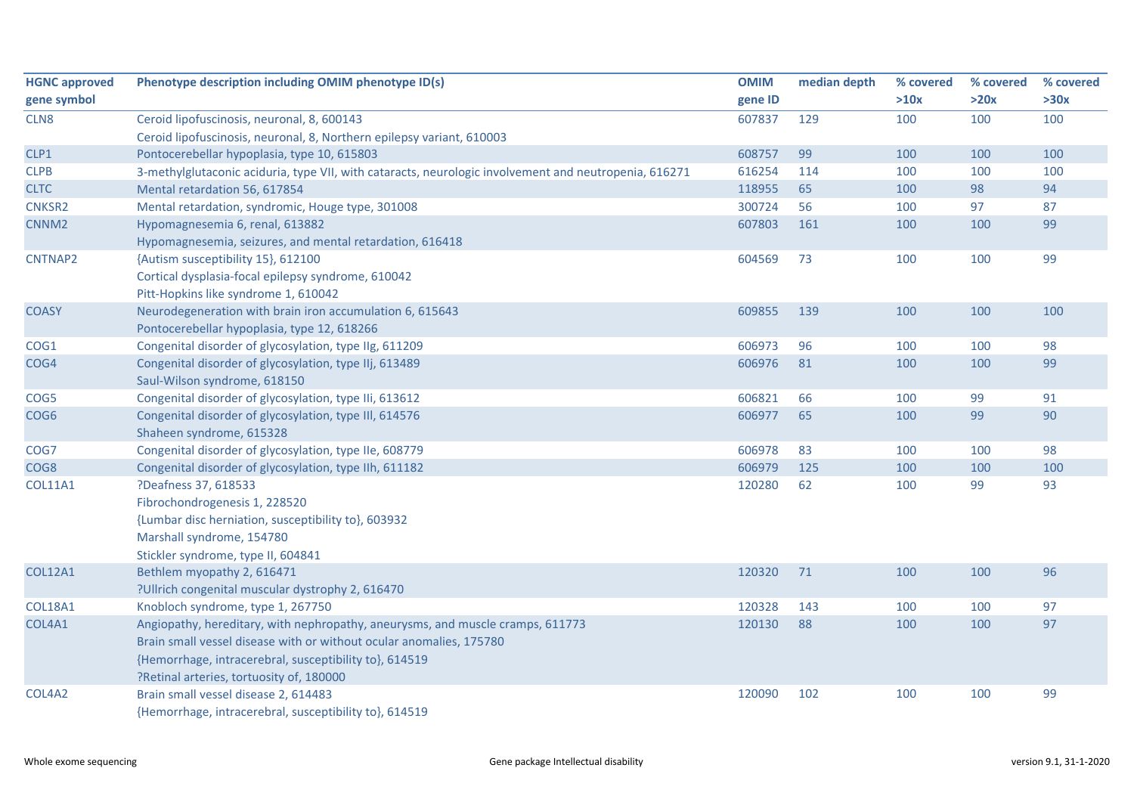| <b>HGNC approved</b> | Phenotype description including OMIM phenotype ID(s)                                                  | <b>OMIM</b> | median depth | % covered | % covered | % covered |
|----------------------|-------------------------------------------------------------------------------------------------------|-------------|--------------|-----------|-----------|-----------|
| gene symbol          |                                                                                                       | gene ID     |              | >10x      | >20x      | >30x      |
| CLN8                 | Ceroid lipofuscinosis, neuronal, 8, 600143                                                            | 607837      | 129          | 100       | 100       | 100       |
|                      | Ceroid lipofuscinosis, neuronal, 8, Northern epilepsy variant, 610003                                 |             |              |           |           |           |
| CLP1                 | Pontocerebellar hypoplasia, type 10, 615803                                                           | 608757      | 99           | 100       | 100       | 100       |
| <b>CLPB</b>          | 3-methylglutaconic aciduria, type VII, with cataracts, neurologic involvement and neutropenia, 616271 | 616254      | 114          | 100       | 100       | 100       |
| <b>CLTC</b>          | Mental retardation 56, 617854                                                                         | 118955      | 65           | 100       | 98        | 94        |
| CNKSR2               | Mental retardation, syndromic, Houge type, 301008                                                     | 300724      | 56           | 100       | 97        | 87        |
| CNNM <sub>2</sub>    | Hypomagnesemia 6, renal, 613882                                                                       | 607803      | 161          | 100       | 100       | 99        |
|                      | Hypomagnesemia, seizures, and mental retardation, 616418                                              |             |              |           |           |           |
| CNTNAP2              | {Autism susceptibility 15}, 612100                                                                    | 604569      | 73           | 100       | 100       | 99        |
|                      | Cortical dysplasia-focal epilepsy syndrome, 610042                                                    |             |              |           |           |           |
|                      | Pitt-Hopkins like syndrome 1, 610042                                                                  |             |              |           |           |           |
| <b>COASY</b>         | Neurodegeneration with brain iron accumulation 6, 615643                                              | 609855      | 139          | 100       | 100       | 100       |
|                      | Pontocerebellar hypoplasia, type 12, 618266                                                           |             |              |           |           |           |
| COG1                 | Congenital disorder of glycosylation, type IIg, 611209                                                | 606973      | 96           | 100       | 100       | 98        |
| COG4                 | Congenital disorder of glycosylation, type IIj, 613489                                                | 606976      | 81           | 100       | 100       | 99        |
|                      | Saul-Wilson syndrome, 618150                                                                          |             |              |           |           |           |
| COG5                 | Congenital disorder of glycosylation, type IIi, 613612                                                | 606821      | 66           | 100       | 99        | 91        |
| COG <sub>6</sub>     | Congenital disorder of glycosylation, type III, 614576                                                | 606977      | 65           | 100       | 99        | 90        |
|                      | Shaheen syndrome, 615328                                                                              |             |              |           |           |           |
| COG7                 | Congenital disorder of glycosylation, type IIe, 608779                                                | 606978      | 83           | 100       | 100       | 98        |
| COG8                 | Congenital disorder of glycosylation, type IIh, 611182                                                | 606979      | 125          | 100       | 100       | 100       |
| <b>COL11A1</b>       | ?Deafness 37, 618533                                                                                  | 120280      | 62           | 100       | 99        | 93        |
|                      | Fibrochondrogenesis 1, 228520                                                                         |             |              |           |           |           |
|                      | {Lumbar disc herniation, susceptibility to}, 603932                                                   |             |              |           |           |           |
|                      | Marshall syndrome, 154780                                                                             |             |              |           |           |           |
|                      | Stickler syndrome, type II, 604841                                                                    |             |              |           |           |           |
| <b>COL12A1</b>       | Bethlem myopathy 2, 616471                                                                            | 120320      | 71           | 100       | 100       | 96        |
|                      | ?Ullrich congenital muscular dystrophy 2, 616470                                                      |             |              |           |           |           |
| <b>COL18A1</b>       | Knobloch syndrome, type 1, 267750                                                                     | 120328      | 143          | 100       | 100       | 97        |
| COL4A1               | Angiopathy, hereditary, with nephropathy, aneurysms, and muscle cramps, 611773                        | 120130      | 88           | 100       | 100       | 97        |
|                      | Brain small vessel disease with or without ocular anomalies, 175780                                   |             |              |           |           |           |
|                      | {Hemorrhage, intracerebral, susceptibility to}, 614519                                                |             |              |           |           |           |
|                      | ?Retinal arteries, tortuosity of, 180000                                                              |             |              |           |           |           |
| COL4A2               | Brain small vessel disease 2, 614483                                                                  | 120090      | 102          | 100       | 100       | 99        |
|                      | {Hemorrhage, intracerebral, susceptibility to}, 614519                                                |             |              |           |           |           |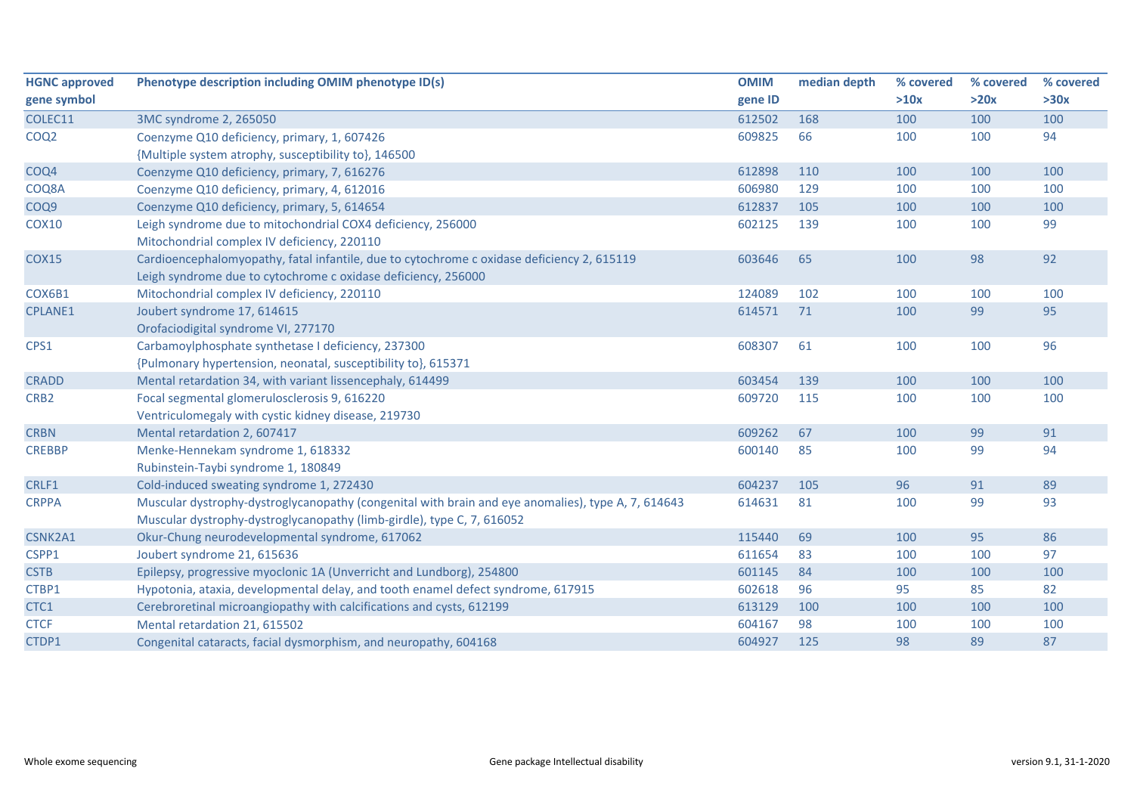| <b>HGNC approved</b> | Phenotype description including OMIM phenotype ID(s)                                               | <b>OMIM</b> | median depth | % covered | % covered | % covered |
|----------------------|----------------------------------------------------------------------------------------------------|-------------|--------------|-----------|-----------|-----------|
| gene symbol          |                                                                                                    | gene ID     |              | >10x      | >20x      | >30x      |
| COLEC11              | 3MC syndrome 2, 265050                                                                             | 612502      | 168          | 100       | 100       | 100       |
| COQ <sub>2</sub>     | Coenzyme Q10 deficiency, primary, 1, 607426                                                        | 609825      | 66           | 100       | 100       | 94        |
|                      | {Multiple system atrophy, susceptibility to}, 146500                                               |             |              |           |           |           |
| COQ4                 | Coenzyme Q10 deficiency, primary, 7, 616276                                                        | 612898      | 110          | 100       | 100       | 100       |
| COQ8A                | Coenzyme Q10 deficiency, primary, 4, 612016                                                        | 606980      | 129          | 100       | 100       | 100       |
| COQ <sub>9</sub>     | Coenzyme Q10 deficiency, primary, 5, 614654                                                        | 612837      | 105          | 100       | 100       | 100       |
| <b>COX10</b>         | Leigh syndrome due to mitochondrial COX4 deficiency, 256000                                        | 602125      | 139          | 100       | 100       | 99        |
|                      | Mitochondrial complex IV deficiency, 220110                                                        |             |              |           |           |           |
| <b>COX15</b>         | Cardioencephalomyopathy, fatal infantile, due to cytochrome c oxidase deficiency 2, 615119         | 603646      | 65           | 100       | 98        | 92        |
|                      | Leigh syndrome due to cytochrome c oxidase deficiency, 256000                                      |             |              |           |           |           |
| COX6B1               | Mitochondrial complex IV deficiency, 220110                                                        | 124089      | 102          | 100       | 100       | 100       |
| <b>CPLANE1</b>       | Joubert syndrome 17, 614615                                                                        | 614571      | 71           | 100       | 99        | 95        |
|                      | Orofaciodigital syndrome VI, 277170                                                                |             |              |           |           |           |
| CPS1                 | Carbamoylphosphate synthetase I deficiency, 237300                                                 | 608307      | 61           | 100       | 100       | 96        |
|                      | {Pulmonary hypertension, neonatal, susceptibility to}, 615371                                      |             |              |           |           |           |
| <b>CRADD</b>         | Mental retardation 34, with variant lissencephaly, 614499                                          | 603454      | 139          | 100       | 100       | 100       |
| CRB <sub>2</sub>     | Focal segmental glomerulosclerosis 9, 616220                                                       | 609720      | 115          | 100       | 100       | 100       |
|                      | Ventriculomegaly with cystic kidney disease, 219730                                                |             |              |           |           |           |
| <b>CRBN</b>          | Mental retardation 2, 607417                                                                       | 609262      | 67           | 100       | 99        | 91        |
| <b>CREBBP</b>        | Menke-Hennekam syndrome 1, 618332                                                                  | 600140      | 85           | 100       | 99        | 94        |
|                      | Rubinstein-Taybi syndrome 1, 180849                                                                |             |              |           |           |           |
| CRLF1                | Cold-induced sweating syndrome 1, 272430                                                           | 604237      | 105          | 96        | 91        | 89        |
| <b>CRPPA</b>         | Muscular dystrophy-dystroglycanopathy (congenital with brain and eye anomalies), type A, 7, 614643 | 614631      | 81           | 100       | 99        | 93        |
|                      | Muscular dystrophy-dystroglycanopathy (limb-girdle), type C, 7, 616052                             |             |              |           |           |           |
| CSNK2A1              | Okur-Chung neurodevelopmental syndrome, 617062                                                     | 115440      | 69           | 100       | 95        | 86        |
| CSPP1                | Joubert syndrome 21, 615636                                                                        | 611654      | 83           | 100       | 100       | 97        |
| <b>CSTB</b>          | Epilepsy, progressive myoclonic 1A (Unverricht and Lundborg), 254800                               | 601145      | 84           | 100       | 100       | 100       |
| CTBP1                | Hypotonia, ataxia, developmental delay, and tooth enamel defect syndrome, 617915                   | 602618      | 96           | 95        | 85        | 82        |
| CTC1                 | Cerebroretinal microangiopathy with calcifications and cysts, 612199                               | 613129      | 100          | 100       | 100       | 100       |
| <b>CTCF</b>          | Mental retardation 21, 615502                                                                      | 604167      | 98           | 100       | 100       | 100       |
| CTDP1                | Congenital cataracts, facial dysmorphism, and neuropathy, 604168                                   | 604927      | 125          | 98        | 89        | 87        |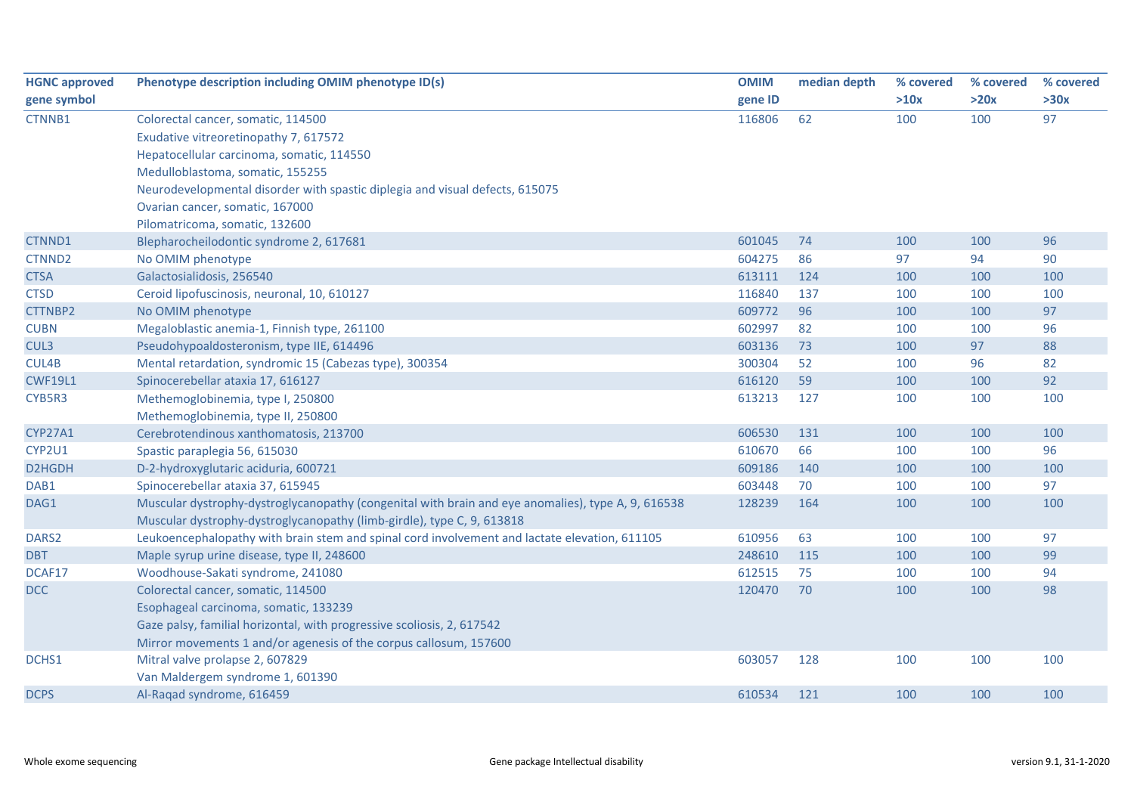| <b>HGNC approved</b> | Phenotype description including OMIM phenotype ID(s)                                               | <b>OMIM</b> | median depth | % covered | % covered | % covered |
|----------------------|----------------------------------------------------------------------------------------------------|-------------|--------------|-----------|-----------|-----------|
| gene symbol          |                                                                                                    | gene ID     |              | >10x      | >20x      | >30x      |
| CTNNB1               | Colorectal cancer, somatic, 114500                                                                 | 116806      | 62           | 100       | 100       | 97        |
|                      | Exudative vitreoretinopathy 7, 617572                                                              |             |              |           |           |           |
|                      | Hepatocellular carcinoma, somatic, 114550                                                          |             |              |           |           |           |
|                      | Medulloblastoma, somatic, 155255                                                                   |             |              |           |           |           |
|                      | Neurodevelopmental disorder with spastic diplegia and visual defects, 615075                       |             |              |           |           |           |
|                      | Ovarian cancer, somatic, 167000                                                                    |             |              |           |           |           |
|                      | Pilomatricoma, somatic, 132600                                                                     |             |              |           |           |           |
| CTNND1               | Blepharocheilodontic syndrome 2, 617681                                                            | 601045      | 74           | 100       | 100       | 96        |
| CTNND <sub>2</sub>   | No OMIM phenotype                                                                                  | 604275      | 86           | 97        | 94        | 90        |
| <b>CTSA</b>          | Galactosialidosis, 256540                                                                          | 613111      | 124          | 100       | 100       | 100       |
| <b>CTSD</b>          | Ceroid lipofuscinosis, neuronal, 10, 610127                                                        | 116840      | 137          | 100       | 100       | 100       |
| CTTNBP2              | No OMIM phenotype                                                                                  | 609772      | 96           | 100       | 100       | 97        |
| <b>CUBN</b>          | Megaloblastic anemia-1, Finnish type, 261100                                                       | 602997      | 82           | 100       | 100       | 96        |
| CUL3                 | Pseudohypoaldosteronism, type IIE, 614496                                                          | 603136      | 73           | 100       | 97        | 88        |
| CUL4B                | Mental retardation, syndromic 15 (Cabezas type), 300354                                            | 300304      | 52           | 100       | 96        | 82        |
| <b>CWF19L1</b>       | Spinocerebellar ataxia 17, 616127                                                                  | 616120      | 59           | 100       | 100       | 92        |
| CYB5R3               | Methemoglobinemia, type I, 250800                                                                  | 613213      | 127          | 100       | 100       | 100       |
|                      | Methemoglobinemia, type II, 250800                                                                 |             |              |           |           |           |
| CYP27A1              | Cerebrotendinous xanthomatosis, 213700                                                             | 606530      | 131          | 100       | 100       | 100       |
| CYP2U1               | Spastic paraplegia 56, 615030                                                                      | 610670      | 66           | 100       | 100       | 96        |
| D2HGDH               | D-2-hydroxyglutaric aciduria, 600721                                                               | 609186      | 140          | 100       | 100       | 100       |
| DAB1                 | Spinocerebellar ataxia 37, 615945                                                                  | 603448      | 70           | 100       | 100       | 97        |
| DAG1                 | Muscular dystrophy-dystroglycanopathy (congenital with brain and eye anomalies), type A, 9, 616538 | 128239      | 164          | 100       | 100       | 100       |
|                      | Muscular dystrophy-dystroglycanopathy (limb-girdle), type C, 9, 613818                             |             |              |           |           |           |
| DARS2                | Leukoencephalopathy with brain stem and spinal cord involvement and lactate elevation, 611105      | 610956      | 63           | 100       | 100       | 97        |
| <b>DBT</b>           | Maple syrup urine disease, type II, 248600                                                         | 248610      | 115          | 100       | 100       | 99        |
| DCAF17               | Woodhouse-Sakati syndrome, 241080                                                                  | 612515      | 75           | 100       | 100       | 94        |
| DCC                  | Colorectal cancer, somatic, 114500                                                                 | 120470      | 70           | 100       | 100       | 98        |
|                      | Esophageal carcinoma, somatic, 133239                                                              |             |              |           |           |           |
|                      | Gaze palsy, familial horizontal, with progressive scoliosis, 2, 617542                             |             |              |           |           |           |
|                      | Mirror movements 1 and/or agenesis of the corpus callosum, 157600                                  |             |              |           |           |           |
| DCHS1                | Mitral valve prolapse 2, 607829                                                                    | 603057      | 128          | 100       | 100       | 100       |
|                      | Van Maldergem syndrome 1, 601390                                                                   |             |              |           |           |           |
| <b>DCPS</b>          | Al-Ragad syndrome, 616459                                                                          | 610534      | 121          | 100       | 100       | 100       |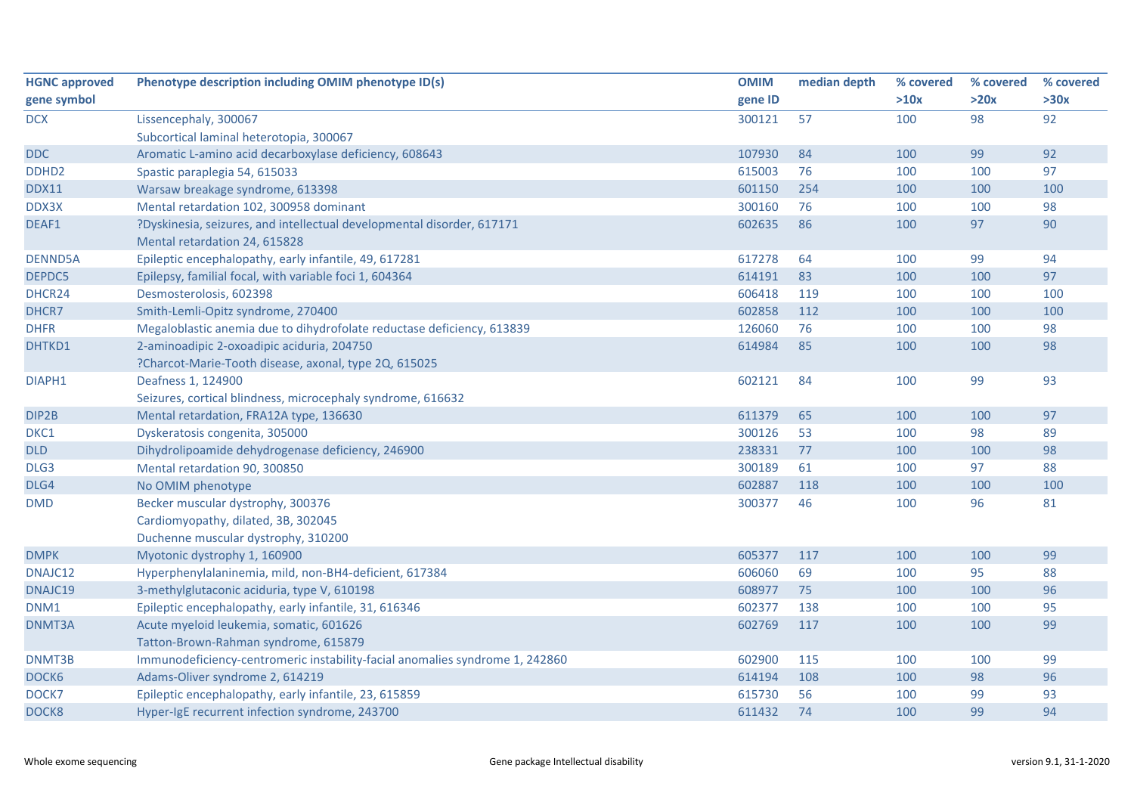| <b>HGNC approved</b> | Phenotype description including OMIM phenotype ID(s)                         | <b>OMIM</b> | median depth | % covered | % covered | % covered |
|----------------------|------------------------------------------------------------------------------|-------------|--------------|-----------|-----------|-----------|
| gene symbol          |                                                                              | gene ID     |              | >10x      | >20x      | >30x      |
| <b>DCX</b>           | Lissencephaly, 300067                                                        | 300121      | 57           | 100       | 98        | 92        |
|                      | Subcortical laminal heterotopia, 300067                                      |             |              |           |           |           |
| <b>DDC</b>           | Aromatic L-amino acid decarboxylase deficiency, 608643                       | 107930      | 84           | 100       | 99        | 92        |
| DDHD <sub>2</sub>    | Spastic paraplegia 54, 615033                                                | 615003      | 76           | 100       | 100       | 97        |
| <b>DDX11</b>         | Warsaw breakage syndrome, 613398                                             | 601150      | 254          | 100       | 100       | 100       |
| DDX3X                | Mental retardation 102, 300958 dominant                                      | 300160      | 76           | 100       | 100       | 98        |
| DEAF1                | ?Dyskinesia, seizures, and intellectual developmental disorder, 617171       | 602635      | 86           | 100       | 97        | 90        |
|                      | Mental retardation 24, 615828                                                |             |              |           |           |           |
| <b>DENND5A</b>       | Epileptic encephalopathy, early infantile, 49, 617281                        | 617278      | 64           | 100       | 99        | 94        |
| DEPDC5               | Epilepsy, familial focal, with variable foci 1, 604364                       | 614191      | 83           | 100       | 100       | 97        |
| DHCR24               | Desmosterolosis, 602398                                                      | 606418      | 119          | 100       | 100       | 100       |
| DHCR7                | Smith-Lemli-Opitz syndrome, 270400                                           | 602858      | 112          | 100       | 100       | 100       |
| <b>DHFR</b>          | Megaloblastic anemia due to dihydrofolate reductase deficiency, 613839       | 126060      | 76           | 100       | 100       | 98        |
| DHTKD1               | 2-aminoadipic 2-oxoadipic aciduria, 204750                                   | 614984      | 85           | 100       | 100       | 98        |
|                      | ?Charcot-Marie-Tooth disease, axonal, type 2Q, 615025                        |             |              |           |           |           |
| DIAPH1               | Deafness 1, 124900                                                           | 602121      | 84           | 100       | 99        | 93        |
|                      | Seizures, cortical blindness, microcephaly syndrome, 616632                  |             |              |           |           |           |
| DIP2B                | Mental retardation, FRA12A type, 136630                                      | 611379      | 65           | 100       | 100       | 97        |
| DKC1                 | Dyskeratosis congenita, 305000                                               | 300126      | 53           | 100       | 98        | 89        |
| DLD                  | Dihydrolipoamide dehydrogenase deficiency, 246900                            | 238331      | 77           | 100       | 100       | 98        |
| DLG3                 | Mental retardation 90, 300850                                                | 300189      | 61           | 100       | 97        | 88        |
| DLG4                 | No OMIM phenotype                                                            | 602887      | 118          | 100       | 100       | 100       |
| <b>DMD</b>           | Becker muscular dystrophy, 300376                                            | 300377      | 46           | 100       | 96        | 81        |
|                      | Cardiomyopathy, dilated, 3B, 302045                                          |             |              |           |           |           |
|                      | Duchenne muscular dystrophy, 310200                                          |             |              |           |           |           |
| <b>DMPK</b>          | Myotonic dystrophy 1, 160900                                                 | 605377      | 117          | 100       | 100       | 99        |
| DNAJC12              | Hyperphenylalaninemia, mild, non-BH4-deficient, 617384                       | 606060      | 69           | 100       | 95        | 88        |
| DNAJC19              | 3-methylglutaconic aciduria, type V, 610198                                  | 608977      | 75           | 100       | 100       | 96        |
| DNM1                 | Epileptic encephalopathy, early infantile, 31, 616346                        | 602377      | 138          | 100       | 100       | 95        |
| DNMT3A               | Acute myeloid leukemia, somatic, 601626                                      | 602769      | 117          | 100       | 100       | 99        |
|                      | Tatton-Brown-Rahman syndrome, 615879                                         |             |              |           |           |           |
| DNMT3B               | Immunodeficiency-centromeric instability-facial anomalies syndrome 1, 242860 | 602900      | 115          | 100       | 100       | 99        |
| DOCK6                | Adams-Oliver syndrome 2, 614219                                              | 614194      | 108          | 100       | 98        | 96        |
| DOCK7                | Epileptic encephalopathy, early infantile, 23, 615859                        | 615730      | 56           | 100       | 99        | 93        |
| DOCK8                | Hyper-IgE recurrent infection syndrome, 243700                               | 611432      | 74           | 100       | 99        | 94        |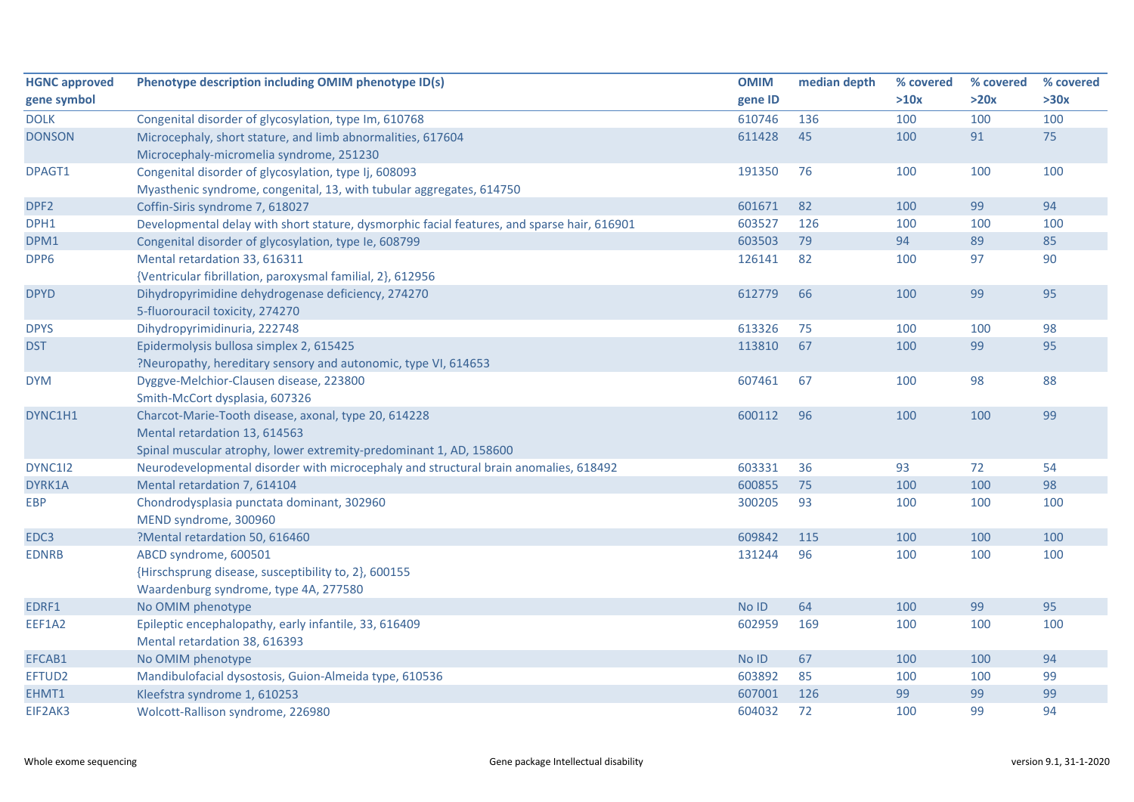| <b>HGNC approved</b> | Phenotype description including OMIM phenotype ID(s)                                        | <b>OMIM</b> | median depth | % covered | % covered | % covered |
|----------------------|---------------------------------------------------------------------------------------------|-------------|--------------|-----------|-----------|-----------|
| gene symbol          |                                                                                             | gene ID     |              | >10x      | >20x      | >30x      |
| <b>DOLK</b>          | Congenital disorder of glycosylation, type Im, 610768                                       | 610746      | 136          | 100       | 100       | 100       |
| <b>DONSON</b>        | Microcephaly, short stature, and limb abnormalities, 617604                                 | 611428      | 45           | 100       | 91        | 75        |
|                      | Microcephaly-micromelia syndrome, 251230                                                    |             |              |           |           |           |
| DPAGT1               | Congenital disorder of glycosylation, type Ij, 608093                                       | 191350      | 76           | 100       | 100       | 100       |
|                      | Myasthenic syndrome, congenital, 13, with tubular aggregates, 614750                        |             |              |           |           |           |
| DPF2                 | Coffin-Siris syndrome 7, 618027                                                             | 601671      | 82           | 100       | 99        | 94        |
| DPH1                 | Developmental delay with short stature, dysmorphic facial features, and sparse hair, 616901 | 603527      | 126          | 100       | 100       | 100       |
| DPM1                 | Congenital disorder of glycosylation, type Ie, 608799                                       | 603503      | 79           | 94        | 89        | 85        |
| DPP6                 | Mental retardation 33, 616311                                                               | 126141      | 82           | 100       | 97        | 90        |
|                      | {Ventricular fibrillation, paroxysmal familial, 2}, 612956                                  |             |              |           |           |           |
| <b>DPYD</b>          | Dihydropyrimidine dehydrogenase deficiency, 274270                                          | 612779      | 66           | 100       | 99        | 95        |
|                      | 5-fluorouracil toxicity, 274270                                                             |             |              |           |           |           |
| <b>DPYS</b>          | Dihydropyrimidinuria, 222748                                                                | 613326      | 75           | 100       | 100       | 98        |
| <b>DST</b>           | Epidermolysis bullosa simplex 2, 615425                                                     | 113810      | 67           | 100       | 99        | 95        |
|                      | ?Neuropathy, hereditary sensory and autonomic, type VI, 614653                              |             |              |           |           |           |
| <b>DYM</b>           | Dyggve-Melchior-Clausen disease, 223800                                                     | 607461      | 67           | 100       | 98        | 88        |
|                      | Smith-McCort dysplasia, 607326                                                              |             |              |           |           |           |
| DYNC1H1              | Charcot-Marie-Tooth disease, axonal, type 20, 614228                                        | 600112      | 96           | 100       | 100       | 99        |
|                      | Mental retardation 13, 614563                                                               |             |              |           |           |           |
|                      | Spinal muscular atrophy, lower extremity-predominant 1, AD, 158600                          |             |              |           |           |           |
| DYNC1I2              | Neurodevelopmental disorder with microcephaly and structural brain anomalies, 618492        | 603331      | 36           | 93        | 72        | 54        |
| DYRK1A               | Mental retardation 7, 614104                                                                | 600855      | 75           | 100       | 100       | 98        |
| <b>EBP</b>           | Chondrodysplasia punctata dominant, 302960                                                  | 300205      | 93           | 100       | 100       | 100       |
|                      | MEND syndrome, 300960                                                                       |             |              |           |           |           |
| EDC3                 | ?Mental retardation 50, 616460                                                              | 609842      | 115          | 100       | 100       | 100       |
| <b>EDNRB</b>         | ABCD syndrome, 600501                                                                       | 131244      | 96           | 100       | 100       | 100       |
|                      | {Hirschsprung disease, susceptibility to, 2}, 600155                                        |             |              |           |           |           |
|                      | Waardenburg syndrome, type 4A, 277580                                                       |             |              |           |           |           |
| EDRF1                | No OMIM phenotype                                                                           | No ID       | 64           | 100       | 99        | 95        |
| EEF1A2               | Epileptic encephalopathy, early infantile, 33, 616409                                       | 602959      | 169          | 100       | 100       | 100       |
|                      | Mental retardation 38, 616393                                                               |             |              |           |           |           |
| EFCAB1               | No OMIM phenotype                                                                           | No ID       | 67           | 100       | 100       | 94        |
| EFTUD2               | Mandibulofacial dysostosis, Guion-Almeida type, 610536                                      | 603892      | 85           | 100       | 100       | 99        |
| EHMT1                | Kleefstra syndrome 1, 610253                                                                | 607001      | 126          | 99        | 99        | 99        |
| EIF2AK3              | Wolcott-Rallison syndrome, 226980                                                           | 604032      | 72           | 100       | 99        | 94        |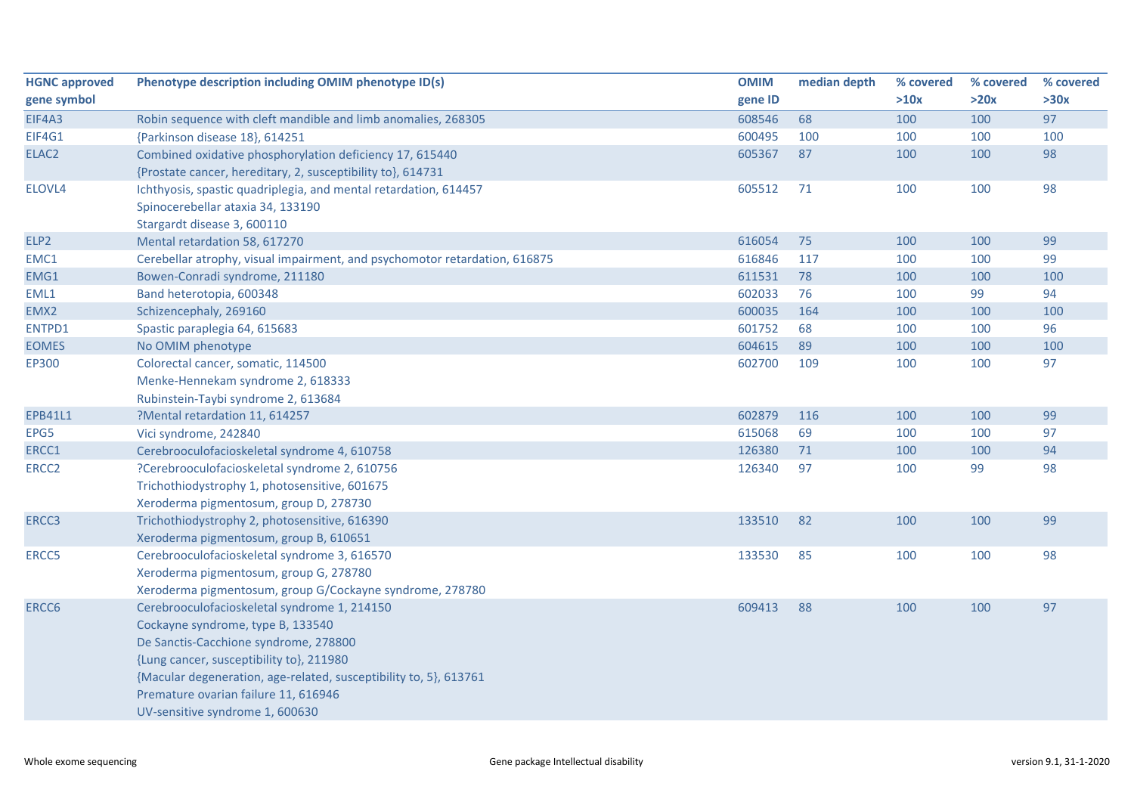| <b>HGNC approved</b> | Phenotype description including OMIM phenotype ID(s)                       | <b>OMIM</b> | median depth | % covered | % covered | % covered |
|----------------------|----------------------------------------------------------------------------|-------------|--------------|-----------|-----------|-----------|
| gene symbol          |                                                                            | gene ID     |              | >10x      | >20x      | >30x      |
| EIF4A3               | Robin sequence with cleft mandible and limb anomalies, 268305              | 608546      | 68           | 100       | 100       | 97        |
| EIF4G1               | {Parkinson disease 18}, 614251                                             | 600495      | 100          | 100       | 100       | 100       |
| ELAC <sub>2</sub>    | Combined oxidative phosphorylation deficiency 17, 615440                   | 605367      | 87           | 100       | 100       | 98        |
|                      | {Prostate cancer, hereditary, 2, susceptibility to}, 614731                |             |              |           |           |           |
| ELOVL4               | Ichthyosis, spastic quadriplegia, and mental retardation, 614457           | 605512      | 71           | 100       | 100       | 98        |
|                      | Spinocerebellar ataxia 34, 133190                                          |             |              |           |           |           |
|                      | Stargardt disease 3, 600110                                                |             |              |           |           |           |
| ELP2                 | Mental retardation 58, 617270                                              | 616054      | 75           | 100       | 100       | 99        |
| EMC1                 | Cerebellar atrophy, visual impairment, and psychomotor retardation, 616875 | 616846      | 117          | 100       | 100       | 99        |
| EMG1                 | Bowen-Conradi syndrome, 211180                                             | 611531      | 78           | 100       | 100       | 100       |
| EML1                 | Band heterotopia, 600348                                                   | 602033      | 76           | 100       | 99        | 94        |
| EMX2                 | Schizencephaly, 269160                                                     | 600035      | 164          | 100       | 100       | 100       |
| ENTPD1               | Spastic paraplegia 64, 615683                                              | 601752      | 68           | 100       | 100       | 96        |
| <b>EOMES</b>         | No OMIM phenotype                                                          | 604615      | 89           | 100       | 100       | 100       |
| <b>EP300</b>         | Colorectal cancer, somatic, 114500                                         | 602700      | 109          | 100       | 100       | 97        |
|                      | Menke-Hennekam syndrome 2, 618333                                          |             |              |           |           |           |
|                      | Rubinstein-Taybi syndrome 2, 613684                                        |             |              |           |           |           |
| <b>EPB41L1</b>       | ?Mental retardation 11, 614257                                             | 602879      | 116          | 100       | 100       | 99        |
| EPG5                 | Vici syndrome, 242840                                                      | 615068      | 69           | 100       | 100       | 97        |
| ERCC1                | Cerebrooculofacioskeletal syndrome 4, 610758                               | 126380      | 71           | 100       | 100       | 94        |
| ERCC <sub>2</sub>    | ?Cerebrooculofacioskeletal syndrome 2, 610756                              | 126340      | 97           | 100       | 99        | 98        |
|                      | Trichothiodystrophy 1, photosensitive, 601675                              |             |              |           |           |           |
|                      | Xeroderma pigmentosum, group D, 278730                                     |             |              |           |           |           |
| ERCC3                | Trichothiodystrophy 2, photosensitive, 616390                              | 133510      | 82           | 100       | 100       | 99        |
|                      | Xeroderma pigmentosum, group B, 610651                                     |             |              |           |           |           |
| ERCC5                | Cerebrooculofacioskeletal syndrome 3, 616570                               | 133530      | 85           | 100       | 100       | 98        |
|                      | Xeroderma pigmentosum, group G, 278780                                     |             |              |           |           |           |
|                      | Xeroderma pigmentosum, group G/Cockayne syndrome, 278780                   |             |              |           |           |           |
| ERCC6                | Cerebrooculofacioskeletal syndrome 1, 214150                               | 609413      | 88           | 100       | 100       | 97        |
|                      | Cockayne syndrome, type B, 133540                                          |             |              |           |           |           |
|                      | De Sanctis-Cacchione syndrome, 278800                                      |             |              |           |           |           |
|                      | {Lung cancer, susceptibility to}, 211980                                   |             |              |           |           |           |
|                      | {Macular degeneration, age-related, susceptibility to, 5}, 613761          |             |              |           |           |           |
|                      |                                                                            |             |              |           |           |           |
|                      |                                                                            |             |              |           |           |           |
|                      | Premature ovarian failure 11, 616946<br>UV-sensitive syndrome 1, 600630    |             |              |           |           |           |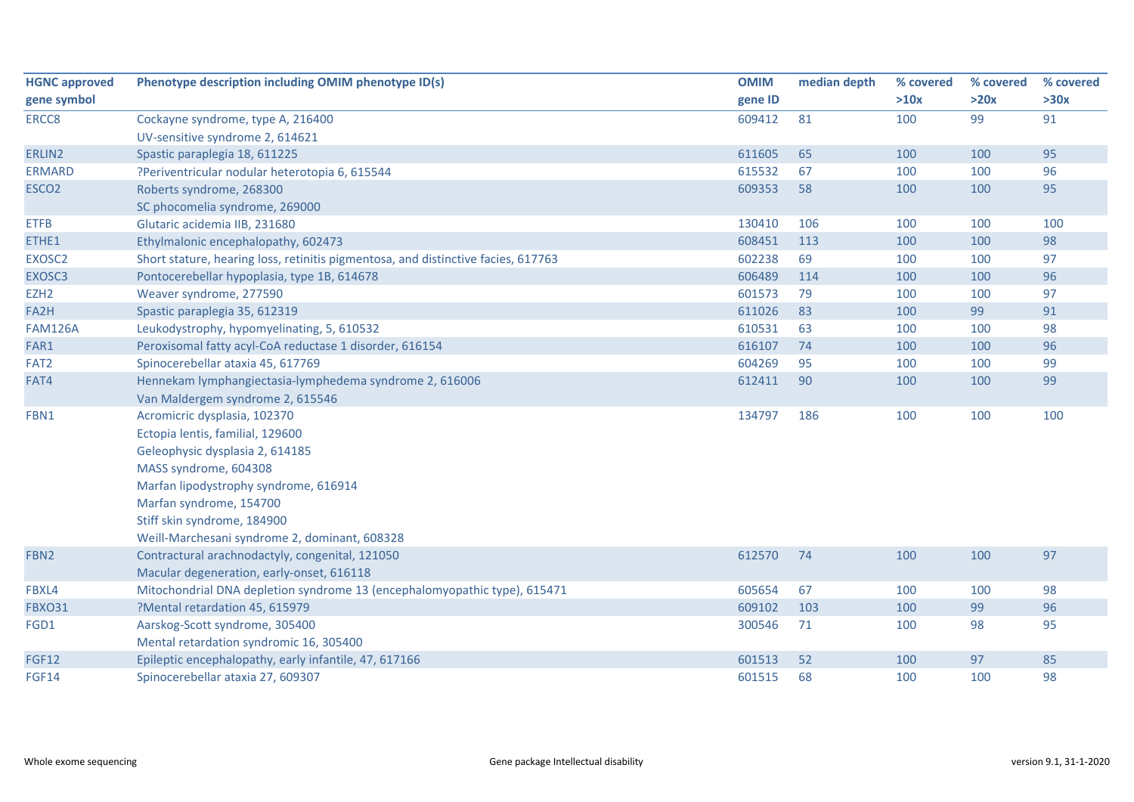| <b>HGNC approved</b> | Phenotype description including OMIM phenotype ID(s)                              | <b>OMIM</b> | median depth | % covered | % covered | % covered |
|----------------------|-----------------------------------------------------------------------------------|-------------|--------------|-----------|-----------|-----------|
| gene symbol          |                                                                                   | gene ID     |              | >10x      | >20x      | >30x      |
| ERCC8                | Cockayne syndrome, type A, 216400                                                 | 609412      | 81           | 100       | 99        | 91        |
|                      | UV-sensitive syndrome 2, 614621                                                   |             |              |           |           |           |
| ERLIN2               | Spastic paraplegia 18, 611225                                                     | 611605      | 65           | 100       | 100       | 95        |
| <b>ERMARD</b>        | ?Periventricular nodular heterotopia 6, 615544                                    | 615532      | 67           | 100       | 100       | 96        |
| ESCO <sub>2</sub>    | Roberts syndrome, 268300                                                          | 609353      | 58           | 100       | 100       | 95        |
|                      | SC phocomelia syndrome, 269000                                                    |             |              |           |           |           |
| <b>ETFB</b>          | Glutaric acidemia IIB, 231680                                                     | 130410      | 106          | 100       | 100       | 100       |
| ETHE1                | Ethylmalonic encephalopathy, 602473                                               | 608451      | 113          | 100       | 100       | 98        |
| EXOSC2               | Short stature, hearing loss, retinitis pigmentosa, and distinctive facies, 617763 | 602238      | 69           | 100       | 100       | 97        |
| EXOSC3               | Pontocerebellar hypoplasia, type 1B, 614678                                       | 606489      | 114          | 100       | 100       | 96        |
| EZH <sub>2</sub>     | Weaver syndrome, 277590                                                           | 601573      | 79           | 100       | 100       | 97        |
| FA2H                 | Spastic paraplegia 35, 612319                                                     | 611026      | 83           | 100       | 99        | 91        |
| <b>FAM126A</b>       | Leukodystrophy, hypomyelinating, 5, 610532                                        | 610531      | 63           | 100       | 100       | 98        |
| FAR1                 | Peroxisomal fatty acyl-CoA reductase 1 disorder, 616154                           | 616107      | 74           | 100       | 100       | 96        |
| FAT2                 | Spinocerebellar ataxia 45, 617769                                                 | 604269      | 95           | 100       | 100       | 99        |
| FAT4                 | Hennekam lymphangiectasia-lymphedema syndrome 2, 616006                           | 612411      | 90           | 100       | 100       | 99        |
|                      | Van Maldergem syndrome 2, 615546                                                  |             |              |           |           |           |
| FBN1                 | Acromicric dysplasia, 102370                                                      | 134797      | 186          | 100       | 100       | 100       |
|                      | Ectopia lentis, familial, 129600                                                  |             |              |           |           |           |
|                      | Geleophysic dysplasia 2, 614185                                                   |             |              |           |           |           |
|                      | MASS syndrome, 604308                                                             |             |              |           |           |           |
|                      | Marfan lipodystrophy syndrome, 616914                                             |             |              |           |           |           |
|                      | Marfan syndrome, 154700                                                           |             |              |           |           |           |
|                      | Stiff skin syndrome, 184900                                                       |             |              |           |           |           |
|                      | Weill-Marchesani syndrome 2, dominant, 608328                                     |             |              |           |           |           |
| FBN2                 | Contractural arachnodactyly, congenital, 121050                                   | 612570      | 74           | 100       | 100       | 97        |
|                      | Macular degeneration, early-onset, 616118                                         |             |              |           |           |           |
| FBXL4                | Mitochondrial DNA depletion syndrome 13 (encephalomyopathic type), 615471         | 605654      | 67           | 100       | 100       | 98        |
| <b>FBXO31</b>        | ?Mental retardation 45, 615979                                                    | 609102      | 103          | 100       | 99        | 96        |
| FGD1                 | Aarskog-Scott syndrome, 305400                                                    | 300546      | 71           | 100       | 98        | 95        |
|                      | Mental retardation syndromic 16, 305400                                           |             |              |           |           |           |
| <b>FGF12</b>         | Epileptic encephalopathy, early infantile, 47, 617166                             | 601513      | 52           | 100       | 97        | 85        |
| FGF14                | Spinocerebellar ataxia 27, 609307                                                 | 601515      | 68           | 100       | 100       | 98        |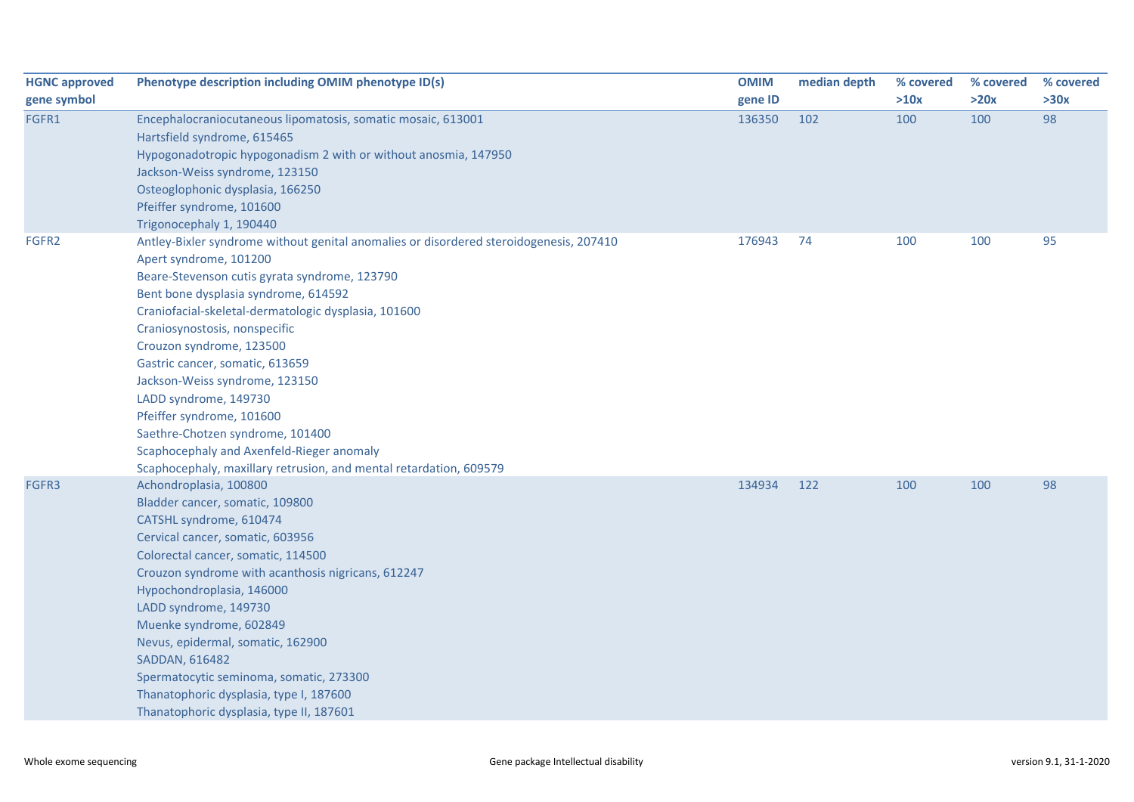| <b>HGNC approved</b> | Phenotype description including OMIM phenotype ID(s)                                   | <b>OMIM</b> | median depth | % covered | % covered | % covered |
|----------------------|----------------------------------------------------------------------------------------|-------------|--------------|-----------|-----------|-----------|
| gene symbol          |                                                                                        | gene ID     |              | >10x      | >20x      | >30x      |
| FGFR1                | Encephalocraniocutaneous lipomatosis, somatic mosaic, 613001                           | 136350      | 102          | 100       | 100       | 98        |
|                      | Hartsfield syndrome, 615465                                                            |             |              |           |           |           |
|                      | Hypogonadotropic hypogonadism 2 with or without anosmia, 147950                        |             |              |           |           |           |
|                      | Jackson-Weiss syndrome, 123150                                                         |             |              |           |           |           |
|                      | Osteoglophonic dysplasia, 166250                                                       |             |              |           |           |           |
|                      | Pfeiffer syndrome, 101600                                                              |             |              |           |           |           |
|                      | Trigonocephaly 1, 190440                                                               |             |              |           |           |           |
| FGFR2                | Antley-Bixler syndrome without genital anomalies or disordered steroidogenesis, 207410 | 176943      | 74           | 100       | 100       | 95        |
|                      | Apert syndrome, 101200                                                                 |             |              |           |           |           |
|                      | Beare-Stevenson cutis gyrata syndrome, 123790                                          |             |              |           |           |           |
|                      | Bent bone dysplasia syndrome, 614592                                                   |             |              |           |           |           |
|                      | Craniofacial-skeletal-dermatologic dysplasia, 101600                                   |             |              |           |           |           |
|                      | Craniosynostosis, nonspecific                                                          |             |              |           |           |           |
|                      | Crouzon syndrome, 123500                                                               |             |              |           |           |           |
|                      | Gastric cancer, somatic, 613659                                                        |             |              |           |           |           |
|                      | Jackson-Weiss syndrome, 123150                                                         |             |              |           |           |           |
|                      | LADD syndrome, 149730                                                                  |             |              |           |           |           |
|                      | Pfeiffer syndrome, 101600                                                              |             |              |           |           |           |
|                      | Saethre-Chotzen syndrome, 101400                                                       |             |              |           |           |           |
|                      | Scaphocephaly and Axenfeld-Rieger anomaly                                              |             |              |           |           |           |
|                      | Scaphocephaly, maxillary retrusion, and mental retardation, 609579                     |             |              |           |           |           |
| FGFR3                | Achondroplasia, 100800                                                                 | 134934      | 122          | 100       | 100       | 98        |
|                      | Bladder cancer, somatic, 109800                                                        |             |              |           |           |           |
|                      | CATSHL syndrome, 610474                                                                |             |              |           |           |           |
|                      | Cervical cancer, somatic, 603956                                                       |             |              |           |           |           |
|                      | Colorectal cancer, somatic, 114500                                                     |             |              |           |           |           |
|                      | Crouzon syndrome with acanthosis nigricans, 612247                                     |             |              |           |           |           |
|                      | Hypochondroplasia, 146000                                                              |             |              |           |           |           |
|                      | LADD syndrome, 149730                                                                  |             |              |           |           |           |
|                      | Muenke syndrome, 602849                                                                |             |              |           |           |           |
|                      | Nevus, epidermal, somatic, 162900                                                      |             |              |           |           |           |
|                      | SADDAN, 616482                                                                         |             |              |           |           |           |
|                      | Spermatocytic seminoma, somatic, 273300                                                |             |              |           |           |           |
|                      | Thanatophoric dysplasia, type I, 187600                                                |             |              |           |           |           |
|                      | Thanatophoric dysplasia, type II, 187601                                               |             |              |           |           |           |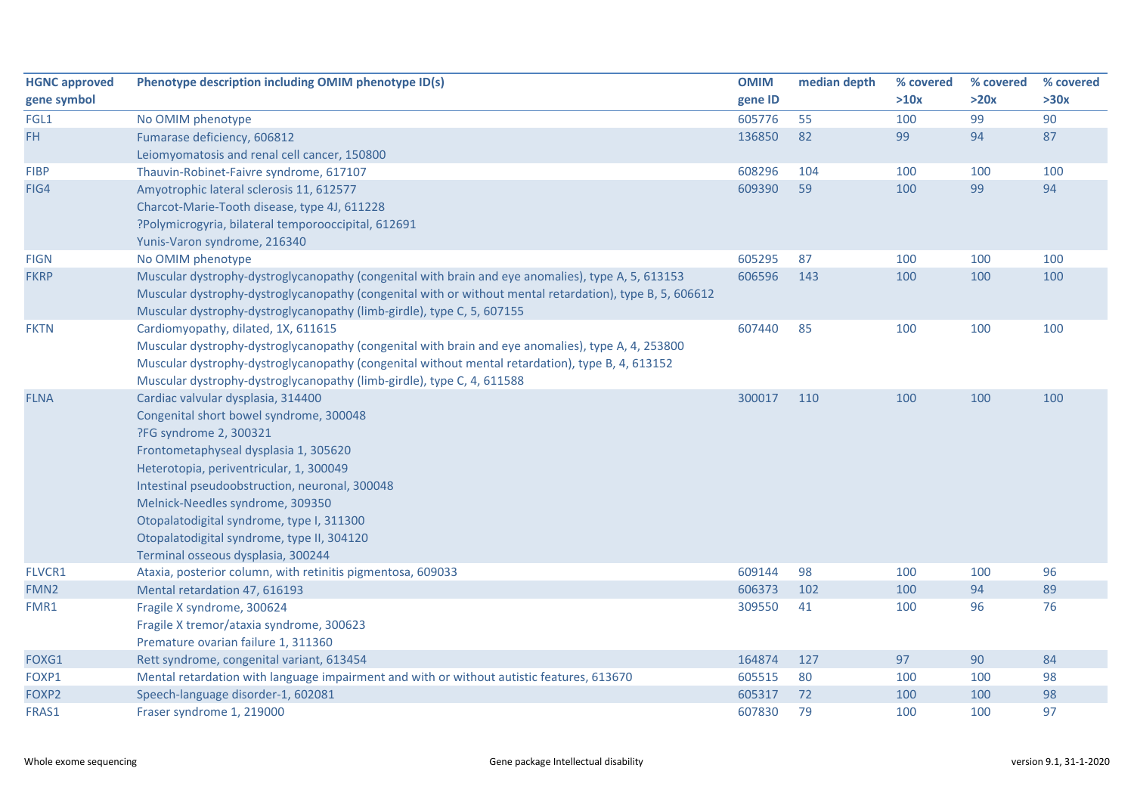| <b>HGNC approved</b> | Phenotype description including OMIM phenotype ID(s)                                                     | <b>OMIM</b> | median depth | % covered | % covered | % covered |
|----------------------|----------------------------------------------------------------------------------------------------------|-------------|--------------|-----------|-----------|-----------|
| gene symbol          |                                                                                                          | gene ID     |              | >10x      | >20x      | >30x      |
| FGL1                 | No OMIM phenotype                                                                                        | 605776      | 55           | 100       | 99        | 90        |
| FH                   | Fumarase deficiency, 606812                                                                              | 136850      | 82           | 99        | 94        | 87        |
|                      | Leiomyomatosis and renal cell cancer, 150800                                                             |             |              |           |           |           |
| <b>FIBP</b>          | Thauvin-Robinet-Faivre syndrome, 617107                                                                  | 608296      | 104          | 100       | 100       | 100       |
| FIG4                 | Amyotrophic lateral sclerosis 11, 612577                                                                 | 609390      | 59           | 100       | 99        | 94        |
|                      | Charcot-Marie-Tooth disease, type 4J, 611228                                                             |             |              |           |           |           |
|                      | ?Polymicrogyria, bilateral temporooccipital, 612691                                                      |             |              |           |           |           |
|                      | Yunis-Varon syndrome, 216340                                                                             |             |              |           |           |           |
| <b>FIGN</b>          | No OMIM phenotype                                                                                        | 605295      | 87           | 100       | 100       | 100       |
| <b>FKRP</b>          | Muscular dystrophy-dystroglycanopathy (congenital with brain and eye anomalies), type A, 5, 613153       | 606596      | 143          | 100       | 100       | 100       |
|                      | Muscular dystrophy-dystroglycanopathy (congenital with or without mental retardation), type B, 5, 606612 |             |              |           |           |           |
|                      | Muscular dystrophy-dystroglycanopathy (limb-girdle), type C, 5, 607155                                   |             |              |           |           |           |
| <b>FKTN</b>          | Cardiomyopathy, dilated, 1X, 611615                                                                      | 607440      | 85           | 100       | 100       | 100       |
|                      | Muscular dystrophy-dystroglycanopathy (congenital with brain and eye anomalies), type A, 4, 253800       |             |              |           |           |           |
|                      | Muscular dystrophy-dystroglycanopathy (congenital without mental retardation), type B, 4, 613152         |             |              |           |           |           |
|                      | Muscular dystrophy-dystroglycanopathy (limb-girdle), type C, 4, 611588                                   |             |              |           |           |           |
| <b>FLNA</b>          | Cardiac valvular dysplasia, 314400                                                                       | 300017      | 110          | 100       | 100       | 100       |
|                      | Congenital short bowel syndrome, 300048                                                                  |             |              |           |           |           |
|                      | ?FG syndrome 2, 300321                                                                                   |             |              |           |           |           |
|                      | Frontometaphyseal dysplasia 1, 305620                                                                    |             |              |           |           |           |
|                      | Heterotopia, periventricular, 1, 300049                                                                  |             |              |           |           |           |
|                      | Intestinal pseudoobstruction, neuronal, 300048                                                           |             |              |           |           |           |
|                      | Melnick-Needles syndrome, 309350                                                                         |             |              |           |           |           |
|                      | Otopalatodigital syndrome, type I, 311300                                                                |             |              |           |           |           |
|                      | Otopalatodigital syndrome, type II, 304120                                                               |             |              |           |           |           |
|                      | Terminal osseous dysplasia, 300244                                                                       |             |              |           |           |           |
| FLVCR1               | Ataxia, posterior column, with retinitis pigmentosa, 609033                                              | 609144      | 98           | 100       | 100       | 96        |
| FMN <sub>2</sub>     | Mental retardation 47, 616193                                                                            | 606373      | 102          | 100       | 94        | 89        |
| FMR1                 | Fragile X syndrome, 300624                                                                               | 309550      | 41           | 100       | 96        | 76        |
|                      | Fragile X tremor/ataxia syndrome, 300623                                                                 |             |              |           |           |           |
|                      | Premature ovarian failure 1, 311360                                                                      |             |              |           |           |           |
| FOXG1                | Rett syndrome, congenital variant, 613454                                                                | 164874      | 127          | 97        | 90        | 84        |
| FOXP1                | Mental retardation with language impairment and with or without autistic features, 613670                | 605515      | 80           | 100       | 100       | 98        |
| FOXP2                | Speech-language disorder-1, 602081                                                                       | 605317      | 72           | 100       | 100       | 98        |
| FRAS1                | Fraser syndrome 1, 219000                                                                                | 607830      | 79           | 100       | 100       | 97        |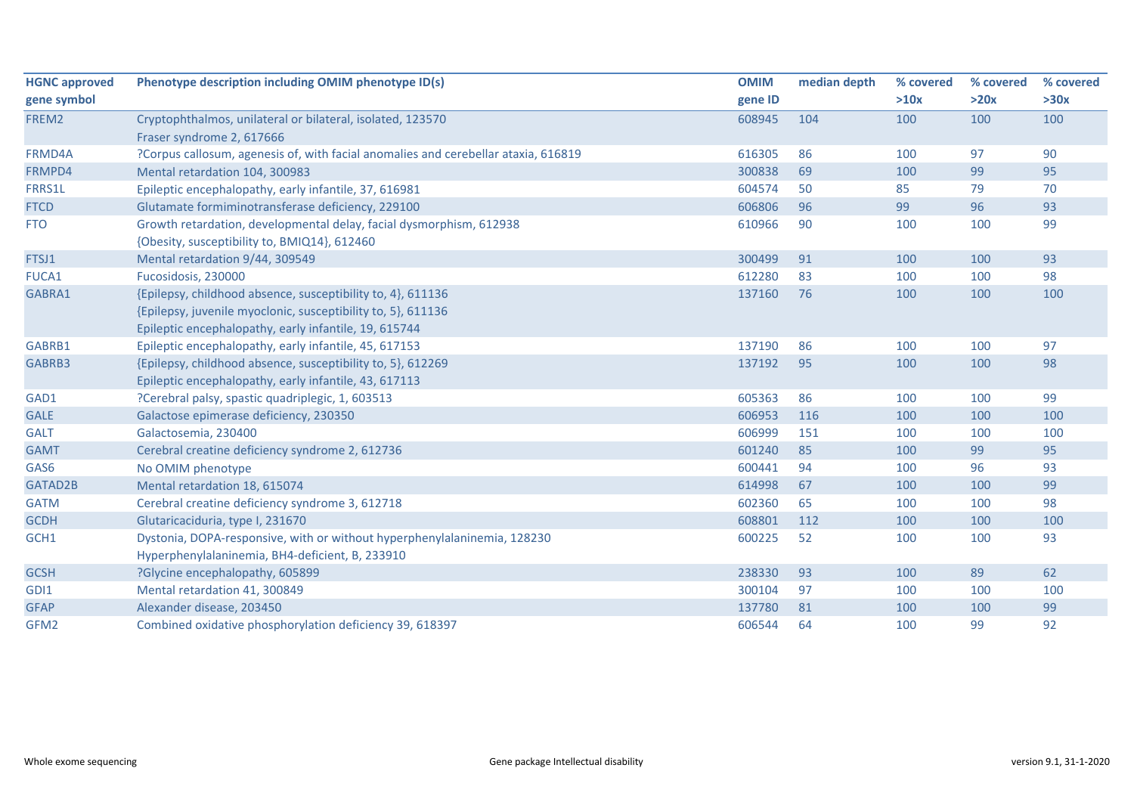| <b>HGNC approved</b> | Phenotype description including OMIM phenotype ID(s)                                                                  | <b>OMIM</b> | median depth | % covered | % covered | % covered |
|----------------------|-----------------------------------------------------------------------------------------------------------------------|-------------|--------------|-----------|-----------|-----------|
| gene symbol          |                                                                                                                       | gene ID     |              | >10x      | >20x      | >30x      |
| FREM2                | Cryptophthalmos, unilateral or bilateral, isolated, 123570                                                            | 608945      | 104          | 100       | 100       | 100       |
|                      | Fraser syndrome 2, 617666                                                                                             |             |              |           |           |           |
| FRMD4A               | ?Corpus callosum, agenesis of, with facial anomalies and cerebellar ataxia, 616819                                    | 616305      | 86           | 100       | 97        | 90        |
| FRMPD4               | Mental retardation 104, 300983                                                                                        | 300838      | 69           | 100       | 99        | 95        |
| FRRS1L               | Epileptic encephalopathy, early infantile, 37, 616981                                                                 | 604574      | 50           | 85        | 79        | 70        |
| <b>FTCD</b>          | Glutamate formiminotransferase deficiency, 229100                                                                     | 606806      | 96           | 99        | 96        | 93        |
| <b>FTO</b>           | Growth retardation, developmental delay, facial dysmorphism, 612938<br>{Obesity, susceptibility to, BMIQ14}, 612460   | 610966      | 90           | 100       | 100       | 99        |
| FTSJ1                | Mental retardation 9/44, 309549                                                                                       | 300499      | 91           | 100       | 100       | 93        |
| FUCA1                | Fucosidosis, 230000                                                                                                   | 612280      | 83           | 100       | 100       | 98        |
| GABRA1               | {Epilepsy, childhood absence, susceptibility to, 4}, 611136                                                           | 137160      | 76           | 100       | 100       | 100       |
|                      | {Epilepsy, juvenile myoclonic, susceptibility to, 5}, 611136<br>Epileptic encephalopathy, early infantile, 19, 615744 |             |              |           |           |           |
| GABRB1               | Epileptic encephalopathy, early infantile, 45, 617153                                                                 | 137190      | 86           | 100       | 100       | 97        |
| GABRB3               | {Epilepsy, childhood absence, susceptibility to, 5}, 612269                                                           | 137192      | 95           | 100       | 100       | 98        |
|                      | Epileptic encephalopathy, early infantile, 43, 617113                                                                 |             |              |           |           |           |
| GAD1                 | ?Cerebral palsy, spastic quadriplegic, 1, 603513                                                                      | 605363      | 86           | 100       | 100       | 99        |
| <b>GALE</b>          | Galactose epimerase deficiency, 230350                                                                                | 606953      | 116          | 100       | 100       | 100       |
| <b>GALT</b>          | Galactosemia, 230400                                                                                                  | 606999      | 151          | 100       | 100       | 100       |
| <b>GAMT</b>          | Cerebral creatine deficiency syndrome 2, 612736                                                                       | 601240      | 85           | 100       | 99        | 95        |
| GAS6                 | No OMIM phenotype                                                                                                     | 600441      | 94           | 100       | 96        | 93        |
| GATAD2B              | Mental retardation 18, 615074                                                                                         | 614998      | 67           | 100       | 100       | 99        |
| <b>GATM</b>          | Cerebral creatine deficiency syndrome 3, 612718                                                                       | 602360      | 65           | 100       | 100       | 98        |
| <b>GCDH</b>          | Glutaricaciduria, type I, 231670                                                                                      | 608801      | 112          | 100       | 100       | 100       |
| GCH1                 | Dystonia, DOPA-responsive, with or without hyperphenylalaninemia, 128230                                              | 600225      | 52           | 100       | 100       | 93        |
|                      | Hyperphenylalaninemia, BH4-deficient, B, 233910                                                                       |             |              |           |           |           |
| <b>GCSH</b>          | ?Glycine encephalopathy, 605899                                                                                       | 238330      | 93           | 100       | 89        | 62        |
| GDI1                 | Mental retardation 41, 300849                                                                                         | 300104      | 97           | 100       | 100       | 100       |
| <b>GFAP</b>          | Alexander disease, 203450                                                                                             | 137780      | 81           | 100       | 100       | 99        |
| GFM2                 | Combined oxidative phosphorylation deficiency 39, 618397                                                              | 606544      | 64           | 100       | 99        | 92        |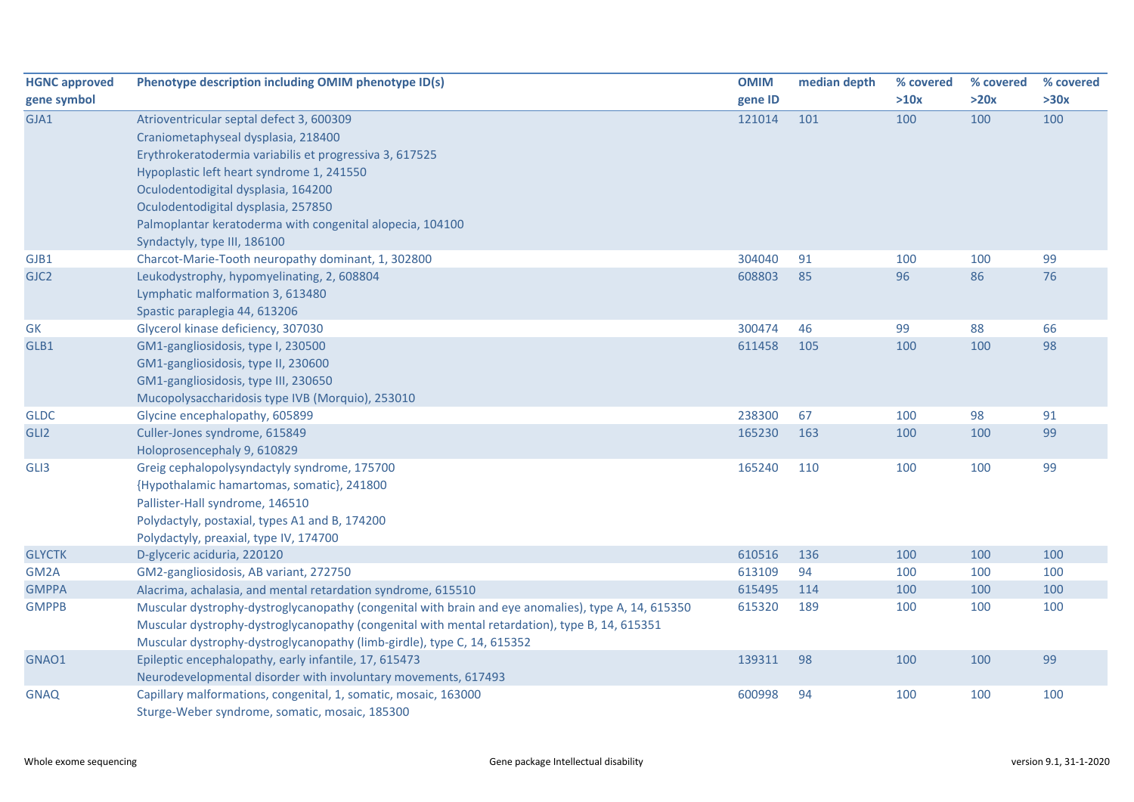| <b>HGNC approved</b> | Phenotype description including OMIM phenotype ID(s)                                                | <b>OMIM</b> | median depth | % covered | % covered | % covered |
|----------------------|-----------------------------------------------------------------------------------------------------|-------------|--------------|-----------|-----------|-----------|
| gene symbol          |                                                                                                     | gene ID     |              | >10x      | >20x      | >30x      |
| GJA1                 | Atrioventricular septal defect 3, 600309                                                            | 121014      | 101          | 100       | 100       | 100       |
|                      | Craniometaphyseal dysplasia, 218400                                                                 |             |              |           |           |           |
|                      | Erythrokeratodermia variabilis et progressiva 3, 617525                                             |             |              |           |           |           |
|                      | Hypoplastic left heart syndrome 1, 241550                                                           |             |              |           |           |           |
|                      | Oculodentodigital dysplasia, 164200                                                                 |             |              |           |           |           |
|                      | Oculodentodigital dysplasia, 257850                                                                 |             |              |           |           |           |
|                      | Palmoplantar keratoderma with congenital alopecia, 104100                                           |             |              |           |           |           |
|                      | Syndactyly, type III, 186100                                                                        |             |              |           |           |           |
| GJB1                 | Charcot-Marie-Tooth neuropathy dominant, 1, 302800                                                  | 304040      | 91           | 100       | 100       | 99        |
| GJC <sub>2</sub>     | Leukodystrophy, hypomyelinating, 2, 608804                                                          | 608803      | 85           | 96        | 86        | 76        |
|                      | Lymphatic malformation 3, 613480                                                                    |             |              |           |           |           |
|                      | Spastic paraplegia 44, 613206                                                                       |             |              |           |           |           |
| GK                   | Glycerol kinase deficiency, 307030                                                                  | 300474      | 46           | 99        | 88        | 66        |
| GLB1                 | GM1-gangliosidosis, type I, 230500                                                                  | 611458      | 105          | 100       | 100       | 98        |
|                      | GM1-gangliosidosis, type II, 230600                                                                 |             |              |           |           |           |
|                      | GM1-gangliosidosis, type III, 230650                                                                |             |              |           |           |           |
|                      | Mucopolysaccharidosis type IVB (Morquio), 253010                                                    |             |              |           |           |           |
| <b>GLDC</b>          | Glycine encephalopathy, 605899                                                                      | 238300      | 67           | 100       | 98        | 91        |
| GLI <sub>2</sub>     | Culler-Jones syndrome, 615849                                                                       | 165230      | 163          | 100       | 100       | 99        |
|                      | Holoprosencephaly 9, 610829                                                                         |             |              |           |           |           |
| GLI3                 | Greig cephalopolysyndactyly syndrome, 175700                                                        | 165240      | 110          | 100       | 100       | 99        |
|                      | {Hypothalamic hamartomas, somatic}, 241800                                                          |             |              |           |           |           |
|                      | Pallister-Hall syndrome, 146510                                                                     |             |              |           |           |           |
|                      | Polydactyly, postaxial, types A1 and B, 174200                                                      |             |              |           |           |           |
|                      | Polydactyly, preaxial, type IV, 174700                                                              |             |              |           |           |           |
| <b>GLYCTK</b>        | D-glyceric aciduria, 220120                                                                         | 610516      | 136          | 100       | 100       | 100       |
| GM <sub>2</sub> A    | GM2-gangliosidosis, AB variant, 272750                                                              | 613109      | 94           | 100       | 100       | 100       |
| <b>GMPPA</b>         | Alacrima, achalasia, and mental retardation syndrome, 615510                                        | 615495      | 114          | 100       | 100       | 100       |
| <b>GMPPB</b>         | Muscular dystrophy-dystroglycanopathy (congenital with brain and eye anomalies), type A, 14, 615350 | 615320      | 189          | 100       | 100       | 100       |
|                      | Muscular dystrophy-dystroglycanopathy (congenital with mental retardation), type B, 14, 615351      |             |              |           |           |           |
|                      | Muscular dystrophy-dystroglycanopathy (limb-girdle), type C, 14, 615352                             |             |              |           |           |           |
| GNAO1                | Epileptic encephalopathy, early infantile, 17, 615473                                               | 139311      | 98           | 100       | 100       | 99        |
|                      | Neurodevelopmental disorder with involuntary movements, 617493                                      |             |              |           |           |           |
| <b>GNAQ</b>          | Capillary malformations, congenital, 1, somatic, mosaic, 163000                                     | 600998      | 94           | 100       | 100       | 100       |
|                      | Sturge-Weber syndrome, somatic, mosaic, 185300                                                      |             |              |           |           |           |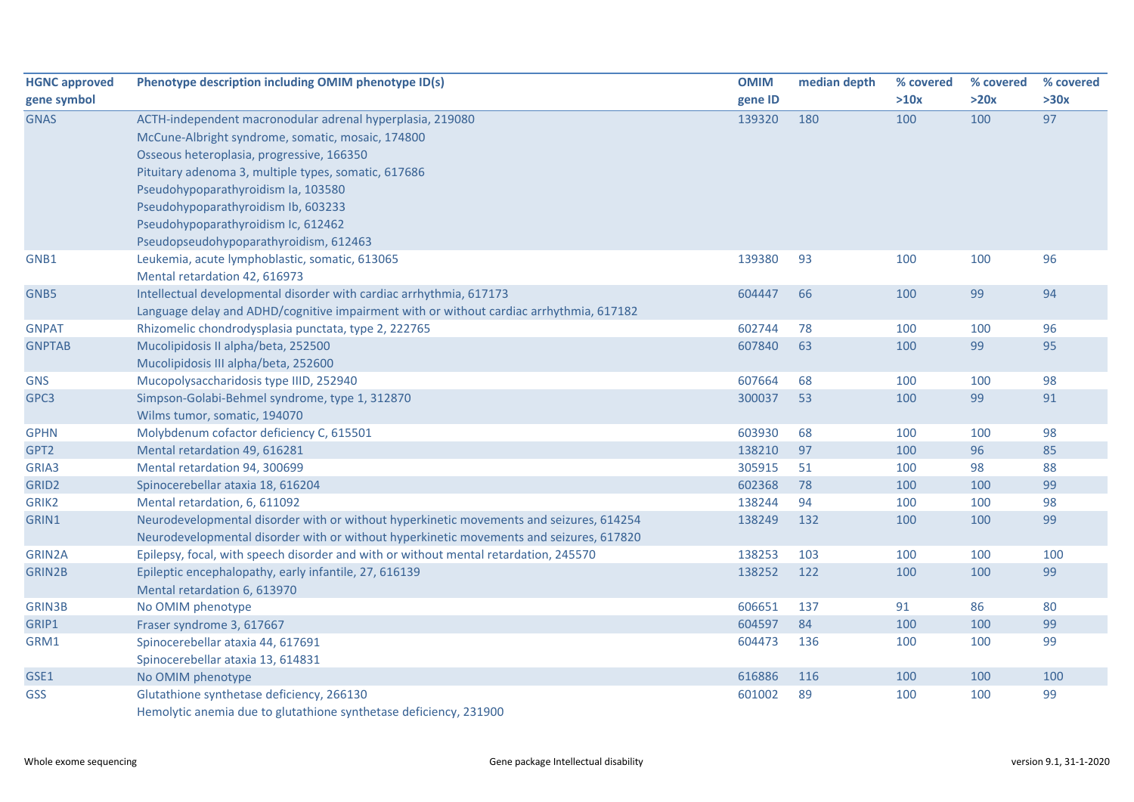| <b>HGNC approved</b> | Phenotype description including OMIM phenotype ID(s)                                    | <b>OMIM</b> | median depth | % covered | % covered | % covered |
|----------------------|-----------------------------------------------------------------------------------------|-------------|--------------|-----------|-----------|-----------|
| gene symbol          |                                                                                         | gene ID     |              | >10x      | >20x      | >30x      |
| <b>GNAS</b>          | ACTH-independent macronodular adrenal hyperplasia, 219080                               | 139320      | 180          | 100       | 100       | 97        |
|                      | McCune-Albright syndrome, somatic, mosaic, 174800                                       |             |              |           |           |           |
|                      | Osseous heteroplasia, progressive, 166350                                               |             |              |           |           |           |
|                      | Pituitary adenoma 3, multiple types, somatic, 617686                                    |             |              |           |           |           |
|                      | Pseudohypoparathyroidism Ia, 103580                                                     |             |              |           |           |           |
|                      | Pseudohypoparathyroidism Ib, 603233                                                     |             |              |           |           |           |
|                      | Pseudohypoparathyroidism Ic, 612462                                                     |             |              |           |           |           |
|                      | Pseudopseudohypoparathyroidism, 612463                                                  |             |              |           |           |           |
| GNB1                 | Leukemia, acute lymphoblastic, somatic, 613065                                          | 139380      | 93           | 100       | 100       | 96        |
|                      | Mental retardation 42, 616973                                                           |             |              |           |           |           |
| GNB5                 | Intellectual developmental disorder with cardiac arrhythmia, 617173                     | 604447      | 66           | 100       | 99        | 94        |
|                      | Language delay and ADHD/cognitive impairment with or without cardiac arrhythmia, 617182 |             |              |           |           |           |
| <b>GNPAT</b>         | Rhizomelic chondrodysplasia punctata, type 2, 222765                                    | 602744      | 78           | 100       | 100       | 96        |
| <b>GNPTAB</b>        | Mucolipidosis II alpha/beta, 252500                                                     | 607840      | 63           | 100       | 99        | 95        |
|                      | Mucolipidosis III alpha/beta, 252600                                                    |             |              |           |           |           |
| <b>GNS</b>           | Mucopolysaccharidosis type IIID, 252940                                                 | 607664      | 68           | 100       | 100       | 98        |
| GPC3                 | Simpson-Golabi-Behmel syndrome, type 1, 312870                                          | 300037      | 53           | 100       | 99        | 91        |
|                      | Wilms tumor, somatic, 194070                                                            |             |              |           |           |           |
| <b>GPHN</b>          | Molybdenum cofactor deficiency C, 615501                                                | 603930      | 68           | 100       | 100       | 98        |
| GPT2                 | Mental retardation 49, 616281                                                           | 138210      | 97           | 100       | 96        | 85        |
| GRIA3                | Mental retardation 94, 300699                                                           | 305915      | 51           | 100       | 98        | 88        |
| GRID <sub>2</sub>    | Spinocerebellar ataxia 18, 616204                                                       | 602368      | 78           | 100       | 100       | 99        |
| GRIK2                | Mental retardation, 6, 611092                                                           | 138244      | 94           | 100       | 100       | 98        |
| GRIN1                | Neurodevelopmental disorder with or without hyperkinetic movements and seizures, 614254 | 138249      | 132          | 100       | 100       | 99        |
|                      | Neurodevelopmental disorder with or without hyperkinetic movements and seizures, 617820 |             |              |           |           |           |
| GRIN2A               | Epilepsy, focal, with speech disorder and with or without mental retardation, 245570    | 138253      | 103          | 100       | 100       | 100       |
| <b>GRIN2B</b>        | Epileptic encephalopathy, early infantile, 27, 616139                                   | 138252      | 122          | 100       | 100       | 99        |
|                      | Mental retardation 6, 613970                                                            |             |              |           |           |           |
| <b>GRIN3B</b>        | No OMIM phenotype                                                                       | 606651      | 137          | 91        | 86        | 80        |
| GRIP1                | Fraser syndrome 3, 617667                                                               | 604597      | 84           | 100       | 100       | 99        |
| GRM1                 | Spinocerebellar ataxia 44, 617691                                                       | 604473      | 136          | 100       | 100       | 99        |
|                      | Spinocerebellar ataxia 13, 614831                                                       |             |              |           |           |           |
| GSE1                 | No OMIM phenotype                                                                       | 616886      | 116          | 100       | 100       | 100       |
| GSS                  | Glutathione synthetase deficiency, 266130                                               | 601002      | 89           | 100       | 100       | 99        |
|                      | Hemolytic anemia due to glutathione synthetase deficiency, 231900                       |             |              |           |           |           |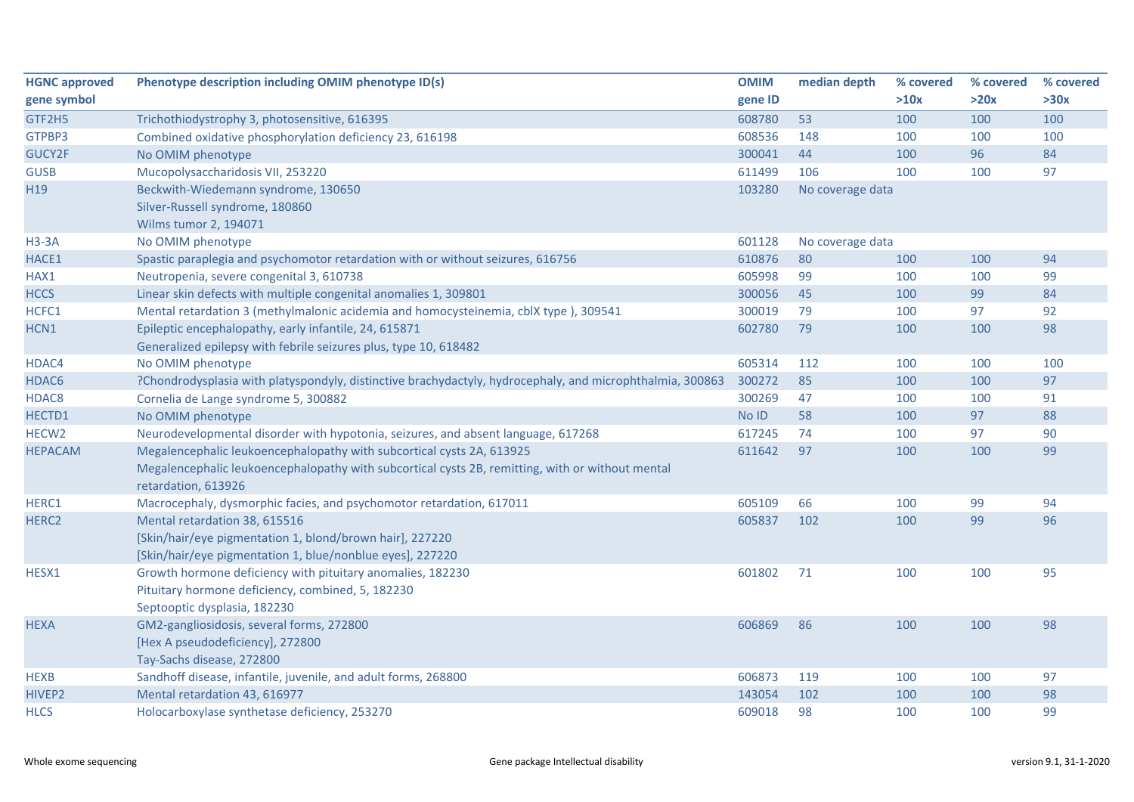| <b>HGNC approved</b> | Phenotype description including OMIM phenotype ID(s)                                                      | <b>OMIM</b> | median depth     | % covered | % covered | % covered |
|----------------------|-----------------------------------------------------------------------------------------------------------|-------------|------------------|-----------|-----------|-----------|
| gene symbol          |                                                                                                           | gene ID     |                  | >10x      | >20x      | >30x      |
| GTF2H5               | Trichothiodystrophy 3, photosensitive, 616395                                                             | 608780      | 53               | 100       | 100       | 100       |
| GTPBP3               | Combined oxidative phosphorylation deficiency 23, 616198                                                  | 608536      | 148              | 100       | 100       | 100       |
| <b>GUCY2F</b>        | No OMIM phenotype                                                                                         | 300041      | 44               | 100       | 96        | 84        |
| <b>GUSB</b>          | Mucopolysaccharidosis VII, 253220                                                                         | 611499      | 106              | 100       | 100       | 97        |
| H19                  | Beckwith-Wiedemann syndrome, 130650                                                                       | 103280      | No coverage data |           |           |           |
|                      | Silver-Russell syndrome, 180860                                                                           |             |                  |           |           |           |
|                      | Wilms tumor 2, 194071                                                                                     |             |                  |           |           |           |
| $H3-3A$              | No OMIM phenotype                                                                                         | 601128      | No coverage data |           |           |           |
| HACE1                | Spastic paraplegia and psychomotor retardation with or without seizures, 616756                           | 610876      | 80               | 100       | 100       | 94        |
| HAX1                 | Neutropenia, severe congenital 3, 610738                                                                  | 605998      | 99               | 100       | 100       | 99        |
| <b>HCCS</b>          | Linear skin defects with multiple congenital anomalies 1, 309801                                          | 300056      | 45               | 100       | 99        | 84        |
| HCFC1                | Mental retardation 3 (methylmalonic acidemia and homocysteinemia, cblX type), 309541                      | 300019      | 79               | 100       | 97        | 92        |
| HCN1                 | Epileptic encephalopathy, early infantile, 24, 615871                                                     | 602780      | 79               | 100       | 100       | 98        |
|                      | Generalized epilepsy with febrile seizures plus, type 10, 618482                                          |             |                  |           |           |           |
| HDAC4                | No OMIM phenotype                                                                                         | 605314      | 112              | 100       | 100       | 100       |
| HDAC6                | ?Chondrodysplasia with platyspondyly, distinctive brachydactyly, hydrocephaly, and microphthalmia, 300863 | 300272      | 85               | 100       | 100       | 97        |
| HDAC8                | Cornelia de Lange syndrome 5, 300882                                                                      | 300269      | 47               | 100       | 100       | 91        |
| HECTD1               | No OMIM phenotype                                                                                         | No ID       | 58               | 100       | 97        | 88        |
| HECW <sub>2</sub>    | Neurodevelopmental disorder with hypotonia, seizures, and absent language, 617268                         | 617245      | 74               | 100       | 97        | 90        |
| <b>HEPACAM</b>       | Megalencephalic leukoencephalopathy with subcortical cysts 2A, 613925                                     | 611642      | 97               | 100       | 100       | 99        |
|                      | Megalencephalic leukoencephalopathy with subcortical cysts 2B, remitting, with or without mental          |             |                  |           |           |           |
|                      | retardation, 613926                                                                                       |             |                  |           |           |           |
| HERC1                | Macrocephaly, dysmorphic facies, and psychomotor retardation, 617011                                      | 605109      | 66               | 100       | 99        | 94        |
| HERC2                | Mental retardation 38, 615516                                                                             | 605837      | 102              | 100       | 99        | 96        |
|                      | [Skin/hair/eye pigmentation 1, blond/brown hair], 227220                                                  |             |                  |           |           |           |
|                      | [Skin/hair/eye pigmentation 1, blue/nonblue eyes], 227220                                                 |             |                  |           |           |           |
| HESX1                | Growth hormone deficiency with pituitary anomalies, 182230                                                | 601802      | 71               | 100       | 100       | 95        |
|                      | Pituitary hormone deficiency, combined, 5, 182230                                                         |             |                  |           |           |           |
|                      | Septooptic dysplasia, 182230                                                                              |             |                  |           |           |           |
| <b>HEXA</b>          | GM2-gangliosidosis, several forms, 272800                                                                 | 606869      | 86               | 100       | 100       | 98        |
|                      | [Hex A pseudodeficiency], 272800                                                                          |             |                  |           |           |           |
|                      | Tay-Sachs disease, 272800                                                                                 |             |                  |           |           |           |
| <b>HEXB</b>          | Sandhoff disease, infantile, juvenile, and adult forms, 268800                                            | 606873      | 119              | 100       | 100       | 97        |
| HIVEP2               | Mental retardation 43, 616977                                                                             | 143054      | 102              | 100       | 100       | 98        |
| <b>HLCS</b>          | Holocarboxylase synthetase deficiency, 253270                                                             | 609018      | 98               | 100       | 100       | 99        |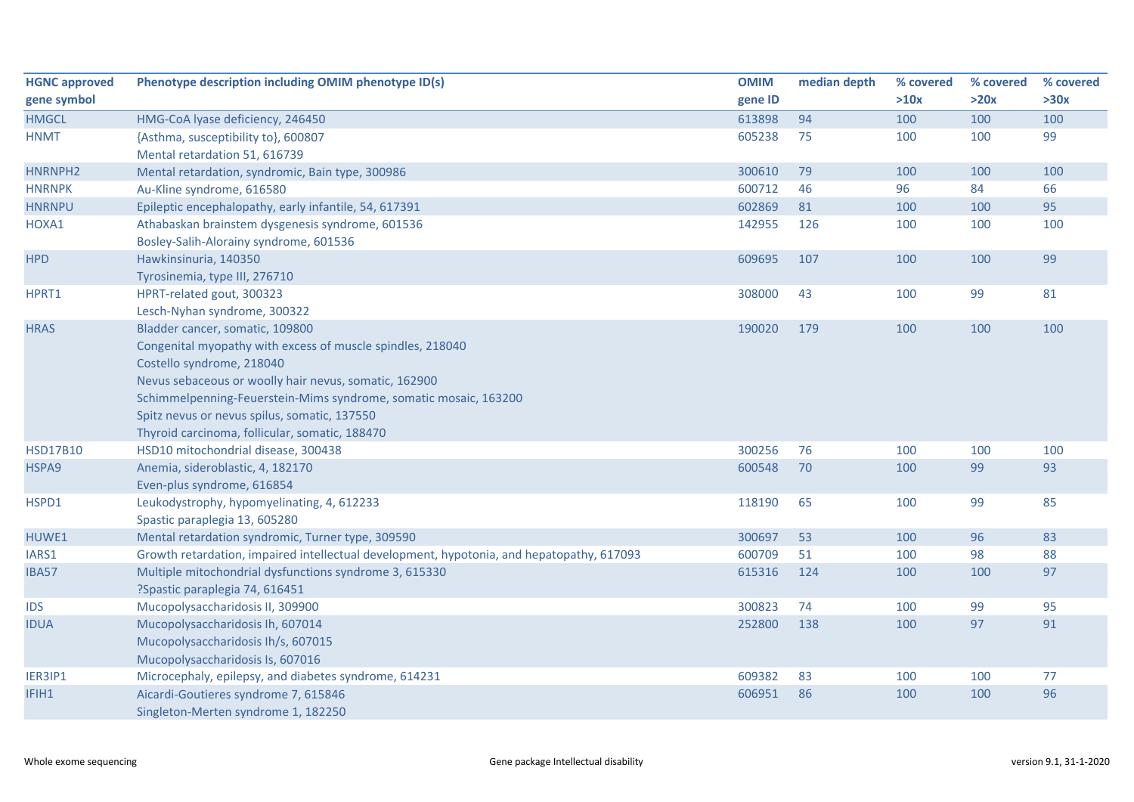| <b>HGNC approved</b> | Phenotype description including OMIM phenotype ID(s)                                      | <b>OMIM</b> | median depth | % covered | % covered | % covered |
|----------------------|-------------------------------------------------------------------------------------------|-------------|--------------|-----------|-----------|-----------|
| gene symbol          |                                                                                           | gene ID     |              | >10x      | >20x      | >30x      |
| <b>HMGCL</b>         | HMG-CoA lyase deficiency, 246450                                                          | 613898      | 94           | 100       | 100       | 100       |
| <b>HNMT</b>          | {Asthma, susceptibility to}, 600807                                                       | 605238      | 75           | 100       | 100       | 99        |
|                      | Mental retardation 51, 616739                                                             |             |              |           |           |           |
| HNRNPH2              | Mental retardation, syndromic, Bain type, 300986                                          | 300610      | 79           | 100       | 100       | 100       |
| <b>HNRNPK</b>        | Au-Kline syndrome, 616580                                                                 | 600712      | 46           | 96        | 84        | 66        |
| <b>HNRNPU</b>        | Epileptic encephalopathy, early infantile, 54, 617391                                     | 602869      | 81           | 100       | 100       | 95        |
| HOXA1                | Athabaskan brainstem dysgenesis syndrome, 601536                                          | 142955      | 126          | 100       | 100       | 100       |
|                      | Bosley-Salih-Alorainy syndrome, 601536                                                    |             |              |           |           |           |
| <b>HPD</b>           | Hawkinsinuria, 140350                                                                     | 609695      | 107          | 100       | 100       | 99        |
|                      | Tyrosinemia, type III, 276710                                                             |             |              |           |           |           |
| HPRT1                | HPRT-related gout, 300323                                                                 | 308000      | 43           | 100       | 99        | 81        |
|                      | Lesch-Nyhan syndrome, 300322                                                              |             |              |           |           |           |
| <b>HRAS</b>          | Bladder cancer, somatic, 109800                                                           | 190020      | 179          | 100       | 100       | 100       |
|                      | Congenital myopathy with excess of muscle spindles, 218040                                |             |              |           |           |           |
|                      | Costello syndrome, 218040                                                                 |             |              |           |           |           |
|                      | Nevus sebaceous or woolly hair nevus, somatic, 162900                                     |             |              |           |           |           |
|                      | Schimmelpenning-Feuerstein-Mims syndrome, somatic mosaic, 163200                          |             |              |           |           |           |
|                      | Spitz nevus or nevus spilus, somatic, 137550                                              |             |              |           |           |           |
|                      | Thyroid carcinoma, follicular, somatic, 188470                                            |             |              |           |           |           |
| <b>HSD17B10</b>      | HSD10 mitochondrial disease, 300438                                                       | 300256      | 76           | 100       | 100       | 100       |
| HSPA9                | Anemia, sideroblastic, 4, 182170                                                          | 600548      | 70           | 100       | 99        | 93        |
|                      | Even-plus syndrome, 616854                                                                |             |              |           |           |           |
| HSPD1                | Leukodystrophy, hypomyelinating, 4, 612233                                                | 118190      | 65           | 100       | 99        | 85        |
|                      | Spastic paraplegia 13, 605280                                                             |             |              |           |           |           |
| HUWE1                | Mental retardation syndromic, Turner type, 309590                                         | 300697      | 53           | 100       | 96        | 83        |
| IARS1                | Growth retardation, impaired intellectual development, hypotonia, and hepatopathy, 617093 | 600709      | 51           | 100       | 98        | 88        |
| <b>IBA57</b>         | Multiple mitochondrial dysfunctions syndrome 3, 615330                                    | 615316      | 124          | 100       | 100       | 97        |
|                      | ?Spastic paraplegia 74, 616451                                                            |             |              |           |           |           |
| <b>IDS</b>           | Mucopolysaccharidosis II, 309900                                                          | 300823      | 74           | 100       | 99        | 95        |
| <b>IDUA</b>          | Mucopolysaccharidosis Ih, 607014                                                          | 252800      | 138          | 100       | 97        | 91        |
|                      | Mucopolysaccharidosis Ih/s, 607015                                                        |             |              |           |           |           |
|                      | Mucopolysaccharidosis Is, 607016                                                          |             |              |           |           |           |
| IER3IP1              | Microcephaly, epilepsy, and diabetes syndrome, 614231                                     | 609382      | 83           | 100       | 100       | 77        |
| IFIH1                | Aicardi-Goutieres syndrome 7, 615846                                                      | 606951      | 86           | 100       | 100       | 96        |
|                      | Singleton-Merten syndrome 1, 182250                                                       |             |              |           |           |           |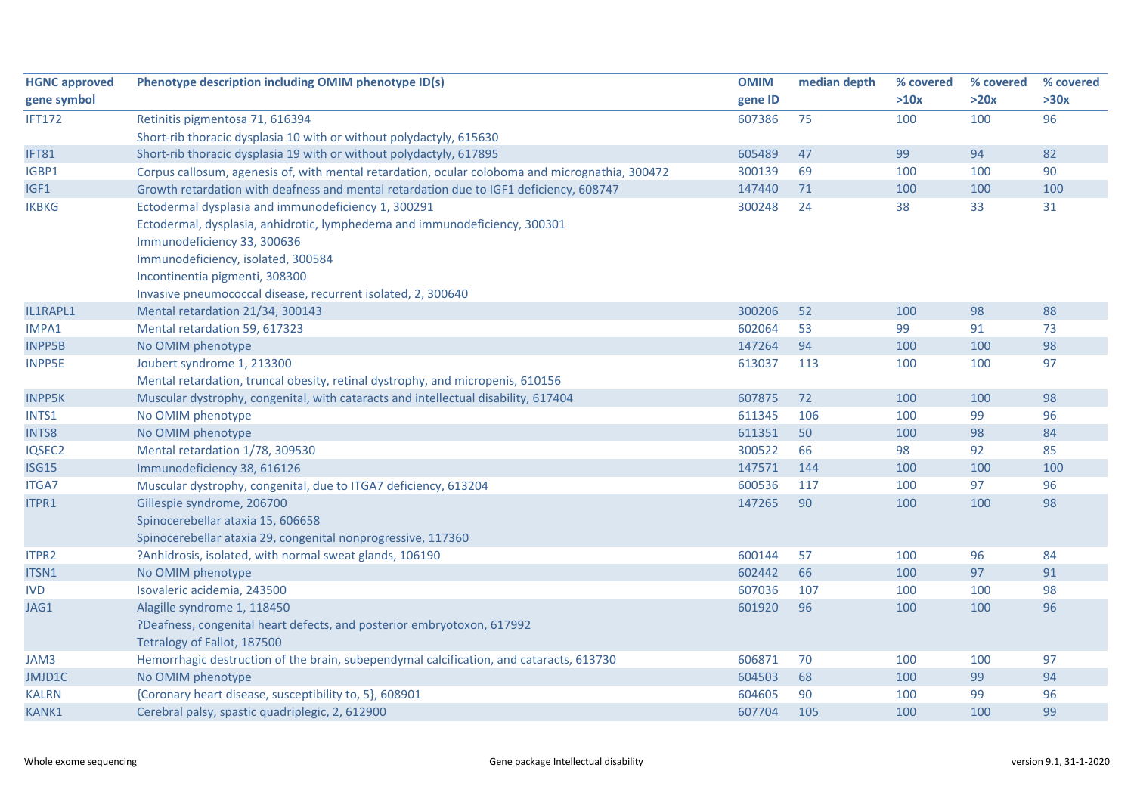| <b>HGNC approved</b> | Phenotype description including OMIM phenotype ID(s)                                            | <b>OMIM</b> | median depth | % covered | % covered | % covered |
|----------------------|-------------------------------------------------------------------------------------------------|-------------|--------------|-----------|-----------|-----------|
| gene symbol          |                                                                                                 | gene ID     |              | >10x      | >20x      | >30x      |
| <b>IFT172</b>        | Retinitis pigmentosa 71, 616394                                                                 | 607386      | 75           | 100       | 100       | 96        |
|                      | Short-rib thoracic dysplasia 10 with or without polydactyly, 615630                             |             |              |           |           |           |
| IFT81                | Short-rib thoracic dysplasia 19 with or without polydactyly, 617895                             | 605489      | 47           | 99        | 94        | 82        |
| IGBP1                | Corpus callosum, agenesis of, with mental retardation, ocular coloboma and micrognathia, 300472 | 300139      | 69           | 100       | 100       | 90        |
| IGF1                 | Growth retardation with deafness and mental retardation due to IGF1 deficiency, 608747          | 147440      | 71           | 100       | 100       | 100       |
| <b>IKBKG</b>         | Ectodermal dysplasia and immunodeficiency 1, 300291                                             | 300248      | 24           | 38        | 33        | 31        |
|                      | Ectodermal, dysplasia, anhidrotic, lymphedema and immunodeficiency, 300301                      |             |              |           |           |           |
|                      | Immunodeficiency 33, 300636                                                                     |             |              |           |           |           |
|                      | Immunodeficiency, isolated, 300584                                                              |             |              |           |           |           |
|                      | Incontinentia pigmenti, 308300                                                                  |             |              |           |           |           |
|                      | Invasive pneumococcal disease, recurrent isolated, 2, 300640                                    |             |              |           |           |           |
| IL1RAPL1             | Mental retardation 21/34, 300143                                                                | 300206      | 52           | 100       | 98        | 88        |
| IMPA1                | Mental retardation 59, 617323                                                                   | 602064      | 53           | 99        | 91        | 73        |
| <b>INPP5B</b>        | No OMIM phenotype                                                                               | 147264      | 94           | 100       | 100       | 98        |
| <b>INPP5E</b>        | Joubert syndrome 1, 213300                                                                      | 613037      | 113          | 100       | 100       | 97        |
|                      | Mental retardation, truncal obesity, retinal dystrophy, and micropenis, 610156                  |             |              |           |           |           |
| <b>INPP5K</b>        | Muscular dystrophy, congenital, with cataracts and intellectual disability, 617404              | 607875      | 72           | 100       | 100       | 98        |
| INTS1                | No OMIM phenotype                                                                               | 611345      | 106          | 100       | 99        | 96        |
| <b>INTS8</b>         | No OMIM phenotype                                                                               | 611351      | 50           | 100       | 98        | 84        |
| IQSEC2               | Mental retardation 1/78, 309530                                                                 | 300522      | 66           | 98        | 92        | 85        |
| <b>ISG15</b>         | Immunodeficiency 38, 616126                                                                     | 147571      | 144          | 100       | 100       | 100       |
| <b>ITGA7</b>         | Muscular dystrophy, congenital, due to ITGA7 deficiency, 613204                                 | 600536      | 117          | 100       | 97        | 96        |
| ITPR1                | Gillespie syndrome, 206700                                                                      | 147265      | 90           | 100       | 100       | 98        |
|                      | Spinocerebellar ataxia 15, 606658                                                               |             |              |           |           |           |
|                      | Spinocerebellar ataxia 29, congenital nonprogressive, 117360                                    |             |              |           |           |           |
| ITPR2                | ?Anhidrosis, isolated, with normal sweat glands, 106190                                         | 600144      | 57           | 100       | 96        | 84        |
| ITSN1                | No OMIM phenotype                                                                               | 602442      | 66           | 100       | 97        | 91        |
| <b>IVD</b>           | Isovaleric acidemia, 243500                                                                     | 607036      | 107          | 100       | 100       | 98        |
| JAG1                 | Alagille syndrome 1, 118450                                                                     | 601920      | 96           | 100       | 100       | 96        |
|                      | ?Deafness, congenital heart defects, and posterior embryotoxon, 617992                          |             |              |           |           |           |
|                      | Tetralogy of Fallot, 187500                                                                     |             |              |           |           |           |
| JAM3                 | Hemorrhagic destruction of the brain, subependymal calcification, and cataracts, 613730         | 606871      | 70           | 100       | 100       | 97        |
| JMJD1C               | No OMIM phenotype                                                                               | 604503      | 68           | 100       | 99        | 94        |
| <b>KALRN</b>         | {Coronary heart disease, susceptibility to, 5}, 608901                                          | 604605      | 90           | 100       | 99        | 96        |
| KANK1                | Cerebral palsy, spastic quadriplegic, 2, 612900                                                 | 607704      | 105          | 100       | 100       | 99        |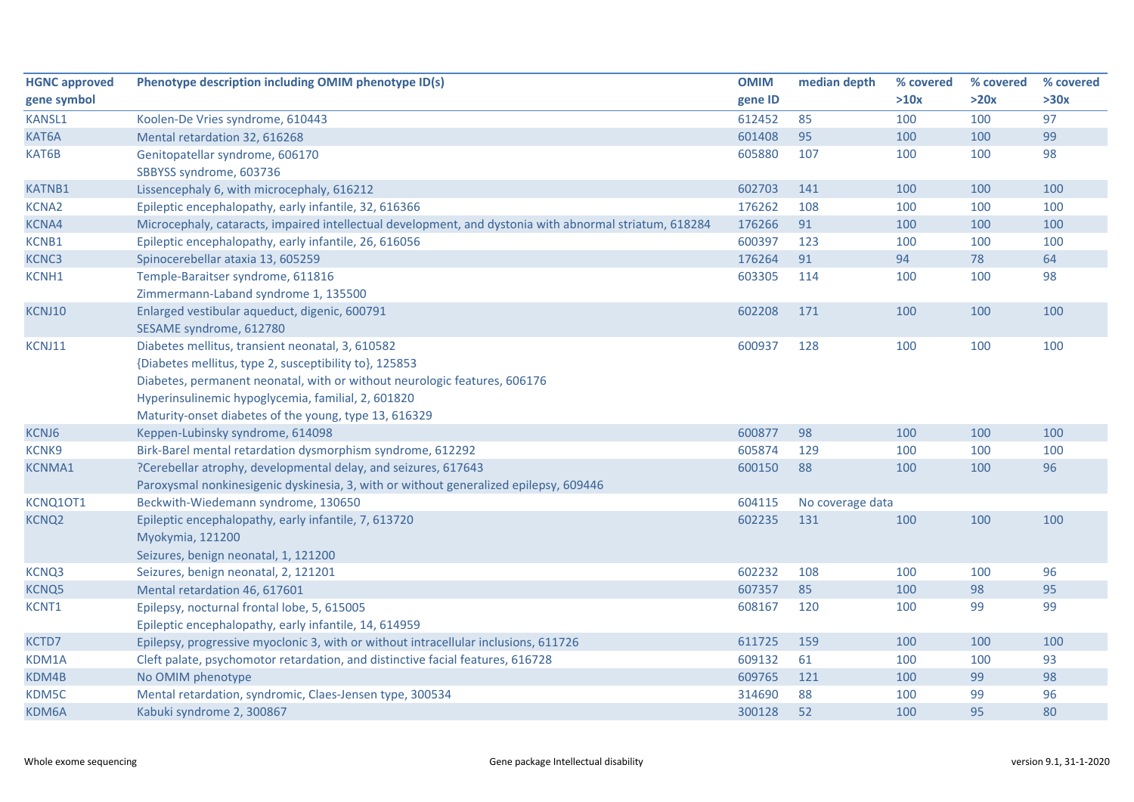| <b>HGNC approved</b> | Phenotype description including OMIM phenotype ID(s)                                                                                                                                                                                                                                                   | <b>OMIM</b> | median depth     | % covered | % covered | % covered |
|----------------------|--------------------------------------------------------------------------------------------------------------------------------------------------------------------------------------------------------------------------------------------------------------------------------------------------------|-------------|------------------|-----------|-----------|-----------|
| gene symbol          |                                                                                                                                                                                                                                                                                                        | gene ID     |                  | >10x      | >20x      | >30x      |
| <b>KANSL1</b>        | Koolen-De Vries syndrome, 610443                                                                                                                                                                                                                                                                       | 612452      | 85               | 100       | 100       | 97        |
| KAT6A                | Mental retardation 32, 616268                                                                                                                                                                                                                                                                          | 601408      | 95               | 100       | 100       | 99        |
| KAT6B                | Genitopatellar syndrome, 606170<br>SBBYSS syndrome, 603736                                                                                                                                                                                                                                             | 605880      | 107              | 100       | 100       | 98        |
| <b>KATNB1</b>        | Lissencephaly 6, with microcephaly, 616212                                                                                                                                                                                                                                                             | 602703      | 141              | 100       | 100       | 100       |
| <b>KCNA2</b>         | Epileptic encephalopathy, early infantile, 32, 616366                                                                                                                                                                                                                                                  | 176262      | 108              | 100       | 100       | 100       |
| <b>KCNA4</b>         | Microcephaly, cataracts, impaired intellectual development, and dystonia with abnormal striatum, 618284                                                                                                                                                                                                | 176266      | 91               | 100       | 100       | 100       |
| KCNB1                | Epileptic encephalopathy, early infantile, 26, 616056                                                                                                                                                                                                                                                  | 600397      | 123              | 100       | 100       | 100       |
| KCNC3                | Spinocerebellar ataxia 13, 605259                                                                                                                                                                                                                                                                      | 176264      | 91               | 94        | 78        | 64        |
| KCNH1                | Temple-Baraitser syndrome, 611816<br>Zimmermann-Laband syndrome 1, 135500                                                                                                                                                                                                                              | 603305      | 114              | 100       | 100       | 98        |
| KCNJ10               | Enlarged vestibular aqueduct, digenic, 600791<br>SESAME syndrome, 612780                                                                                                                                                                                                                               | 602208      | 171              | 100       | 100       | 100       |
| KCNJ11               | Diabetes mellitus, transient neonatal, 3, 610582<br>{Diabetes mellitus, type 2, susceptibility to}, 125853<br>Diabetes, permanent neonatal, with or without neurologic features, 606176<br>Hyperinsulinemic hypoglycemia, familial, 2, 601820<br>Maturity-onset diabetes of the young, type 13, 616329 | 600937      | 128              | 100       | 100       | 100       |
| KCNJ6                | Keppen-Lubinsky syndrome, 614098                                                                                                                                                                                                                                                                       | 600877      | 98               | 100       | 100       | 100       |
| KCNK9                | Birk-Barel mental retardation dysmorphism syndrome, 612292                                                                                                                                                                                                                                             | 605874      | 129              | 100       | 100       | 100       |
| <b>KCNMA1</b>        | ?Cerebellar atrophy, developmental delay, and seizures, 617643<br>Paroxysmal nonkinesigenic dyskinesia, 3, with or without generalized epilepsy, 609446                                                                                                                                                | 600150      | 88               | 100       | 100       | 96        |
| KCNQ10T1             | Beckwith-Wiedemann syndrome, 130650                                                                                                                                                                                                                                                                    | 604115      | No coverage data |           |           |           |
| <b>KCNQ2</b>         | Epileptic encephalopathy, early infantile, 7, 613720<br>Myokymia, 121200<br>Seizures, benign neonatal, 1, 121200                                                                                                                                                                                       | 602235      | 131              | 100       | 100       | 100       |
| KCNQ3                | Seizures, benign neonatal, 2, 121201                                                                                                                                                                                                                                                                   | 602232      | 108              | 100       | 100       | 96        |
| <b>KCNQ5</b>         | Mental retardation 46, 617601                                                                                                                                                                                                                                                                          | 607357      | 85               | 100       | 98        | 95        |
| KCNT1                | Epilepsy, nocturnal frontal lobe, 5, 615005<br>Epileptic encephalopathy, early infantile, 14, 614959                                                                                                                                                                                                   | 608167      | 120              | 100       | 99        | 99        |
| KCTD7                | Epilepsy, progressive myoclonic 3, with or without intracellular inclusions, 611726                                                                                                                                                                                                                    | 611725      | 159              | 100       | 100       | 100       |
| KDM1A                | Cleft palate, psychomotor retardation, and distinctive facial features, 616728                                                                                                                                                                                                                         | 609132      | 61               | 100       | 100       | 93        |
| KDM4B                | No OMIM phenotype                                                                                                                                                                                                                                                                                      | 609765      | 121              | 100       | 99        | 98        |
| KDM5C                | Mental retardation, syndromic, Claes-Jensen type, 300534                                                                                                                                                                                                                                               | 314690      | 88               | 100       | 99        | 96        |
| KDM6A                | Kabuki syndrome 2, 300867                                                                                                                                                                                                                                                                              | 300128      | 52               | 100       | 95        | 80        |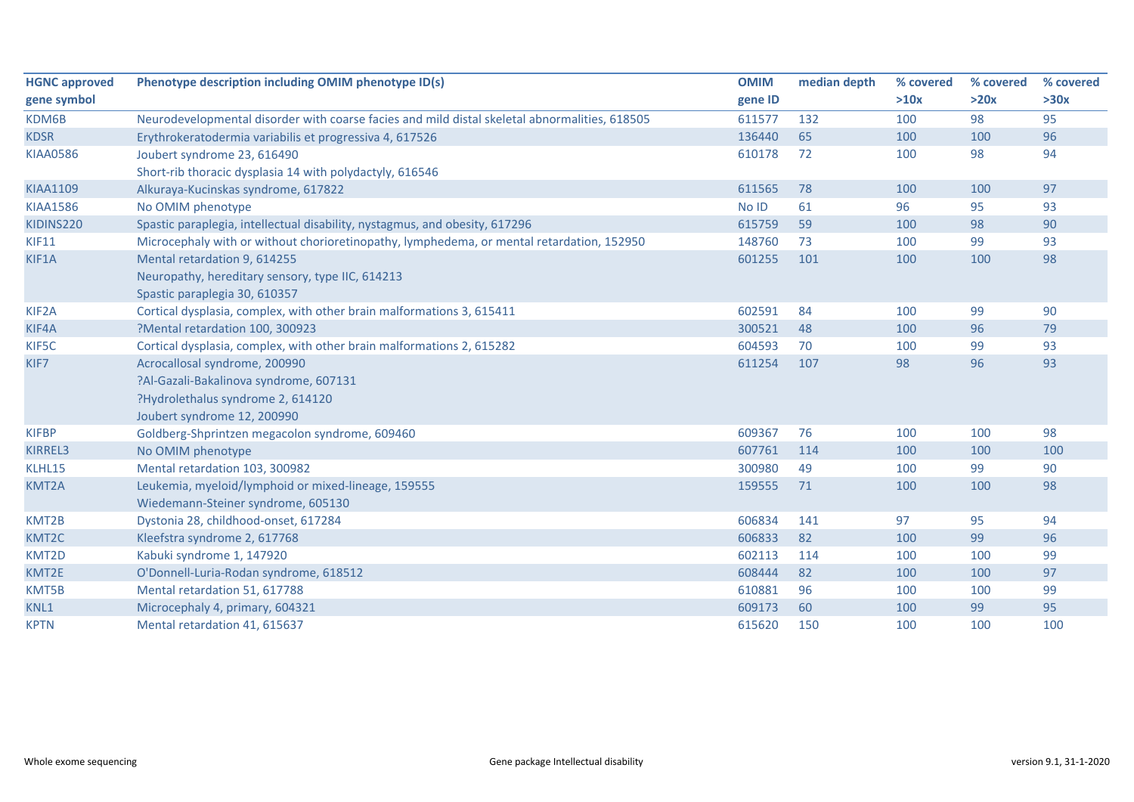| <b>HGNC approved</b> | Phenotype description including OMIM phenotype ID(s)                                          | <b>OMIM</b> | median depth | % covered | % covered | % covered |
|----------------------|-----------------------------------------------------------------------------------------------|-------------|--------------|-----------|-----------|-----------|
| gene symbol          |                                                                                               | gene ID     |              | >10x      | >20x      | >30x      |
| KDM6B                | Neurodevelopmental disorder with coarse facies and mild distal skeletal abnormalities, 618505 | 611577      | 132          | 100       | 98        | 95        |
| <b>KDSR</b>          | Erythrokeratodermia variabilis et progressiva 4, 617526                                       | 136440      | 65           | 100       | 100       | 96        |
| <b>KIAA0586</b>      | Joubert syndrome 23, 616490                                                                   | 610178      | 72           | 100       | 98        | 94        |
|                      | Short-rib thoracic dysplasia 14 with polydactyly, 616546                                      |             |              |           |           |           |
| <b>KIAA1109</b>      | Alkuraya-Kucinskas syndrome, 617822                                                           | 611565      | 78           | 100       | 100       | 97        |
| <b>KIAA1586</b>      | No OMIM phenotype                                                                             | No ID       | 61           | 96        | 95        | 93        |
| KIDINS220            | Spastic paraplegia, intellectual disability, nystagmus, and obesity, 617296                   | 615759      | 59           | 100       | 98        | 90        |
| <b>KIF11</b>         | Microcephaly with or without chorioretinopathy, lymphedema, or mental retardation, 152950     | 148760      | 73           | 100       | 99        | 93        |
| KIF1A                | Mental retardation 9, 614255                                                                  | 601255      | 101          | 100       | 100       | 98        |
|                      | Neuropathy, hereditary sensory, type IIC, 614213                                              |             |              |           |           |           |
|                      | Spastic paraplegia 30, 610357                                                                 |             |              |           |           |           |
| KIF <sub>2</sub> A   | Cortical dysplasia, complex, with other brain malformations 3, 615411                         | 602591      | 84           | 100       | 99        | 90        |
| KIF4A                | ?Mental retardation 100, 300923                                                               | 300521      | 48           | 100       | 96        | 79        |
| KIF5C                | Cortical dysplasia, complex, with other brain malformations 2, 615282                         | 604593      | 70           | 100       | 99        | 93        |
| KIF7                 | Acrocallosal syndrome, 200990                                                                 | 611254      | 107          | 98        | 96        | 93        |
|                      | ?Al-Gazali-Bakalinova syndrome, 607131                                                        |             |              |           |           |           |
|                      | ?Hydrolethalus syndrome 2, 614120                                                             |             |              |           |           |           |
|                      | Joubert syndrome 12, 200990                                                                   |             |              |           |           |           |
| <b>KIFBP</b>         | Goldberg-Shprintzen megacolon syndrome, 609460                                                | 609367      | 76           | 100       | 100       | 98        |
| <b>KIRREL3</b>       | No OMIM phenotype                                                                             | 607761      | 114          | 100       | 100       | 100       |
| KLHL15               | Mental retardation 103, 300982                                                                | 300980      | 49           | 100       | 99        | 90        |
| KMT2A                | Leukemia, myeloid/lymphoid or mixed-lineage, 159555                                           | 159555      | 71           | 100       | 100       | 98        |
|                      | Wiedemann-Steiner syndrome, 605130                                                            |             |              |           |           |           |
| KMT2B                | Dystonia 28, childhood-onset, 617284                                                          | 606834      | 141          | 97        | 95        | 94        |
| KMT2C                | Kleefstra syndrome 2, 617768                                                                  | 606833      | 82           | 100       | 99        | 96        |
| KMT2D                | Kabuki syndrome 1, 147920                                                                     | 602113      | 114          | 100       | 100       | 99        |
| KMT2E                | O'Donnell-Luria-Rodan syndrome, 618512                                                        | 608444      | 82           | 100       | 100       | 97        |
| KMT5B                | Mental retardation 51, 617788                                                                 | 610881      | 96           | 100       | 100       | 99        |
| KNL1                 | Microcephaly 4, primary, 604321                                                               | 609173      | 60           | 100       | 99        | 95        |
| <b>KPTN</b>          | Mental retardation 41, 615637                                                                 | 615620      | 150          | 100       | 100       | 100       |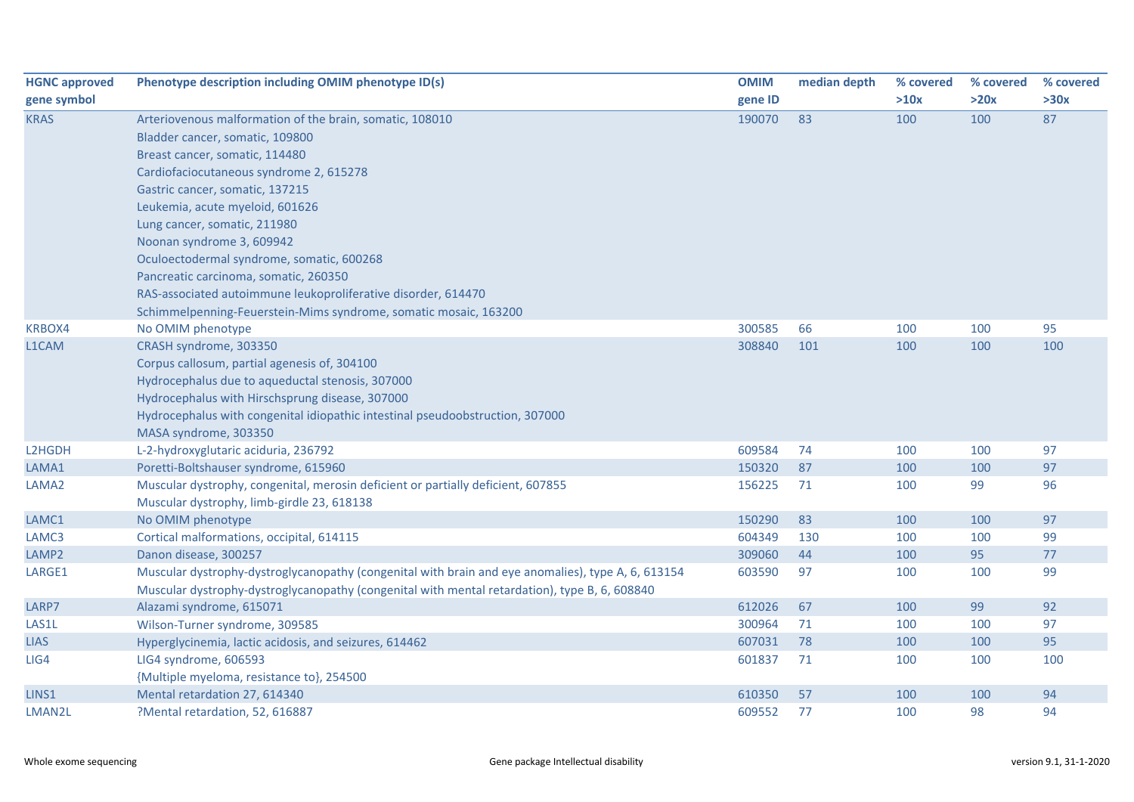| <b>HGNC approved</b> | Phenotype description including OMIM phenotype ID(s)                                               | <b>OMIM</b> | median depth | % covered | % covered | % covered |
|----------------------|----------------------------------------------------------------------------------------------------|-------------|--------------|-----------|-----------|-----------|
| gene symbol          |                                                                                                    | gene ID     |              | >10x      | >20x      | >30x      |
| <b>KRAS</b>          | Arteriovenous malformation of the brain, somatic, 108010                                           | 190070      | 83           | 100       | 100       | 87        |
|                      | Bladder cancer, somatic, 109800                                                                    |             |              |           |           |           |
|                      | Breast cancer, somatic, 114480                                                                     |             |              |           |           |           |
|                      | Cardiofaciocutaneous syndrome 2, 615278                                                            |             |              |           |           |           |
|                      | Gastric cancer, somatic, 137215                                                                    |             |              |           |           |           |
|                      | Leukemia, acute myeloid, 601626                                                                    |             |              |           |           |           |
|                      | Lung cancer, somatic, 211980                                                                       |             |              |           |           |           |
|                      | Noonan syndrome 3, 609942                                                                          |             |              |           |           |           |
|                      | Oculoectodermal syndrome, somatic, 600268                                                          |             |              |           |           |           |
|                      | Pancreatic carcinoma, somatic, 260350                                                              |             |              |           |           |           |
|                      | RAS-associated autoimmune leukoproliferative disorder, 614470                                      |             |              |           |           |           |
|                      | Schimmelpenning-Feuerstein-Mims syndrome, somatic mosaic, 163200                                   |             |              |           |           |           |
| KRBOX4               | No OMIM phenotype                                                                                  | 300585      | 66           | 100       | 100       | 95        |
| L1CAM                | CRASH syndrome, 303350                                                                             | 308840      | 101          | 100       | 100       | 100       |
|                      | Corpus callosum, partial agenesis of, 304100                                                       |             |              |           |           |           |
|                      | Hydrocephalus due to aqueductal stenosis, 307000                                                   |             |              |           |           |           |
|                      | Hydrocephalus with Hirschsprung disease, 307000                                                    |             |              |           |           |           |
|                      | Hydrocephalus with congenital idiopathic intestinal pseudoobstruction, 307000                      |             |              |           |           |           |
|                      | MASA syndrome, 303350                                                                              |             |              |           |           |           |
| L2HGDH               | L-2-hydroxyglutaric aciduria, 236792                                                               | 609584      | 74           | 100       | 100       | 97        |
| LAMA1                | Poretti-Boltshauser syndrome, 615960                                                               | 150320      | 87           | 100       | 100       | 97        |
| LAMA <sub>2</sub>    | Muscular dystrophy, congenital, merosin deficient or partially deficient, 607855                   | 156225      | 71           | 100       | 99        | 96        |
|                      | Muscular dystrophy, limb-girdle 23, 618138                                                         |             |              |           |           |           |
| LAMC1                | No OMIM phenotype                                                                                  | 150290      | 83           | 100       | 100       | 97        |
| LAMC3                | Cortical malformations, occipital, 614115                                                          | 604349      | 130          | 100       | 100       | 99        |
| LAMP2                | Danon disease, 300257                                                                              | 309060      | 44           | 100       | 95        | 77        |
| LARGE1               | Muscular dystrophy-dystroglycanopathy (congenital with brain and eye anomalies), type A, 6, 613154 | 603590      | 97           | 100       | 100       | 99        |
|                      | Muscular dystrophy-dystroglycanopathy (congenital with mental retardation), type B, 6, 608840      |             |              |           |           |           |
| LARP7                | Alazami syndrome, 615071                                                                           | 612026      | 67           | 100       | 99        | 92        |
| LAS1L                | Wilson-Turner syndrome, 309585                                                                     | 300964      | 71           | 100       | 100       | 97        |
| <b>LIAS</b>          | Hyperglycinemia, lactic acidosis, and seizures, 614462                                             | 607031      | 78           | 100       | 100       | 95        |
| LIG4                 | LIG4 syndrome, 606593                                                                              | 601837      | 71           | 100       | 100       | 100       |
|                      | {Multiple myeloma, resistance to}, 254500                                                          |             |              |           |           |           |
| LINS1                | Mental retardation 27, 614340                                                                      | 610350      | 57           | 100       | 100       | 94        |
| LMAN2L               | ?Mental retardation, 52, 616887                                                                    | 609552      | 77           | 100       | 98        | 94        |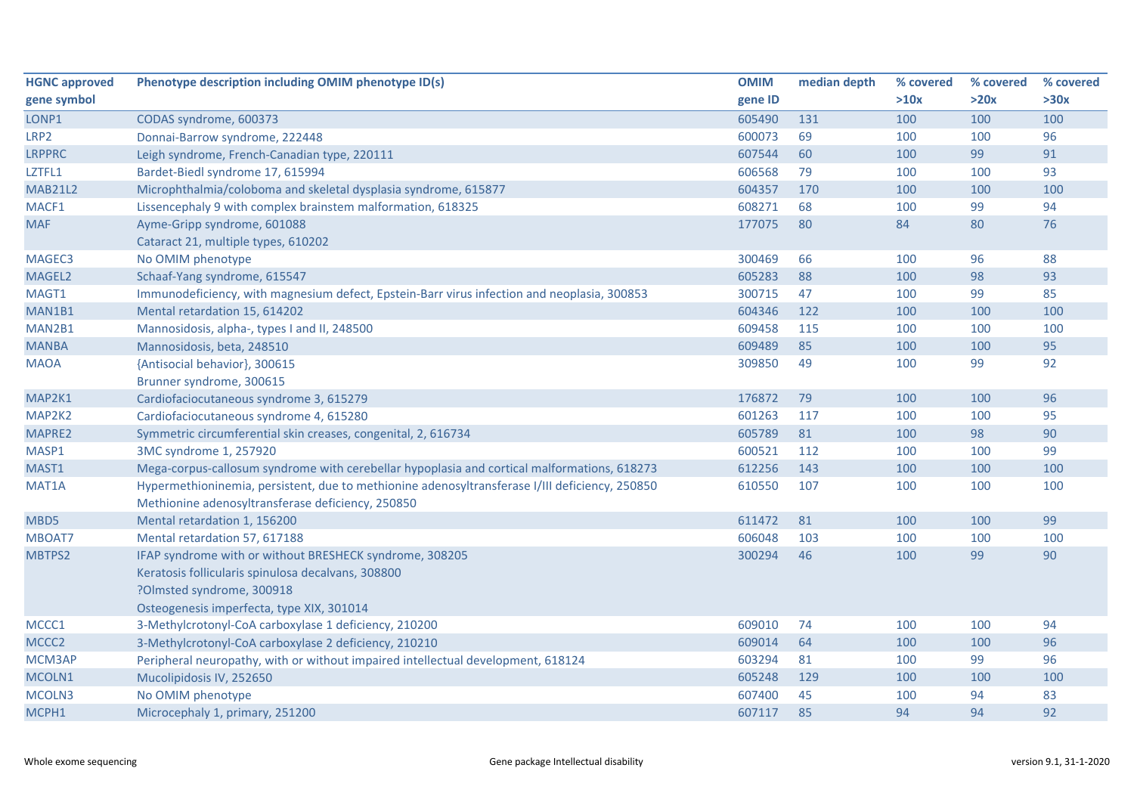| <b>HGNC approved</b> | Phenotype description including OMIM phenotype ID(s)                                           | <b>OMIM</b> | median depth | % covered | % covered | % covered |
|----------------------|------------------------------------------------------------------------------------------------|-------------|--------------|-----------|-----------|-----------|
| gene symbol          |                                                                                                | gene ID     |              | >10x      | >20x      | >30x      |
| LONP1                | CODAS syndrome, 600373                                                                         | 605490      | 131          | 100       | 100       | 100       |
| LRP2                 | Donnai-Barrow syndrome, 222448                                                                 | 600073      | 69           | 100       | 100       | 96        |
| <b>LRPPRC</b>        | Leigh syndrome, French-Canadian type, 220111                                                   | 607544      | 60           | 100       | 99        | 91        |
| LZTFL1               | Bardet-Biedl syndrome 17, 615994                                                               | 606568      | 79           | 100       | 100       | 93        |
| <b>MAB21L2</b>       | Microphthalmia/coloboma and skeletal dysplasia syndrome, 615877                                | 604357      | 170          | 100       | 100       | 100       |
| MACF1                | Lissencephaly 9 with complex brainstem malformation, 618325                                    | 608271      | 68           | 100       | 99        | 94        |
| <b>MAF</b>           | Ayme-Gripp syndrome, 601088                                                                    | 177075      | 80           | 84        | 80        | 76        |
|                      | Cataract 21, multiple types, 610202                                                            |             |              |           |           |           |
| MAGEC3               | No OMIM phenotype                                                                              | 300469      | 66           | 100       | 96        | 88        |
| MAGEL2               | Schaaf-Yang syndrome, 615547                                                                   | 605283      | 88           | 100       | 98        | 93        |
| MAGT1                | Immunodeficiency, with magnesium defect, Epstein-Barr virus infection and neoplasia, 300853    | 300715      | 47           | 100       | 99        | 85        |
| MAN1B1               | Mental retardation 15, 614202                                                                  | 604346      | 122          | 100       | 100       | 100       |
| MAN2B1               | Mannosidosis, alpha-, types I and II, 248500                                                   | 609458      | 115          | 100       | 100       | 100       |
| <b>MANBA</b>         | Mannosidosis, beta, 248510                                                                     | 609489      | 85           | 100       | 100       | 95        |
| <b>MAOA</b>          | {Antisocial behavior}, 300615                                                                  | 309850      | 49           | 100       | 99        | 92        |
|                      | Brunner syndrome, 300615                                                                       |             |              |           |           |           |
| MAP2K1               | Cardiofaciocutaneous syndrome 3, 615279                                                        | 176872      | 79           | 100       | 100       | 96        |
| MAP2K2               | Cardiofaciocutaneous syndrome 4, 615280                                                        | 601263      | 117          | 100       | 100       | 95        |
| MAPRE2               | Symmetric circumferential skin creases, congenital, 2, 616734                                  | 605789      | 81           | 100       | 98        | 90        |
| MASP1                | 3MC syndrome 1, 257920                                                                         | 600521      | 112          | 100       | 100       | 99        |
| MAST1                | Mega-corpus-callosum syndrome with cerebellar hypoplasia and cortical malformations, 618273    | 612256      | 143          | 100       | 100       | 100       |
| MAT1A                | Hypermethioninemia, persistent, due to methionine adenosyltransferase I/III deficiency, 250850 | 610550      | 107          | 100       | 100       | 100       |
|                      | Methionine adenosyltransferase deficiency, 250850                                              |             |              |           |           |           |
| MBD5                 | Mental retardation 1, 156200                                                                   | 611472      | 81           | 100       | 100       | 99        |
| MBOAT7               | Mental retardation 57, 617188                                                                  | 606048      | 103          | 100       | 100       | 100       |
| MBTPS2               | IFAP syndrome with or without BRESHECK syndrome, 308205                                        | 300294      | 46           | 100       | 99        | 90        |
|                      | Keratosis follicularis spinulosa decalvans, 308800                                             |             |              |           |           |           |
|                      | ?Olmsted syndrome, 300918                                                                      |             |              |           |           |           |
|                      | Osteogenesis imperfecta, type XIX, 301014                                                      |             |              |           |           |           |
| MCCC1                | 3-Methylcrotonyl-CoA carboxylase 1 deficiency, 210200                                          | 609010      | 74           | 100       | 100       | 94        |
| MCCC <sub>2</sub>    | 3-Methylcrotonyl-CoA carboxylase 2 deficiency, 210210                                          | 609014      | 64           | 100       | 100       | 96        |
| MCM3AP               | Peripheral neuropathy, with or without impaired intellectual development, 618124               | 603294      | 81           | 100       | 99        | 96        |
| MCOLN1               | Mucolipidosis IV, 252650                                                                       | 605248      | 129          | 100       | 100       | 100       |
| MCOLN3               | No OMIM phenotype                                                                              | 607400      | 45           | 100       | 94        | 83        |
| MCPH1                | Microcephaly 1, primary, 251200                                                                | 607117      | 85           | 94        | 94        | 92        |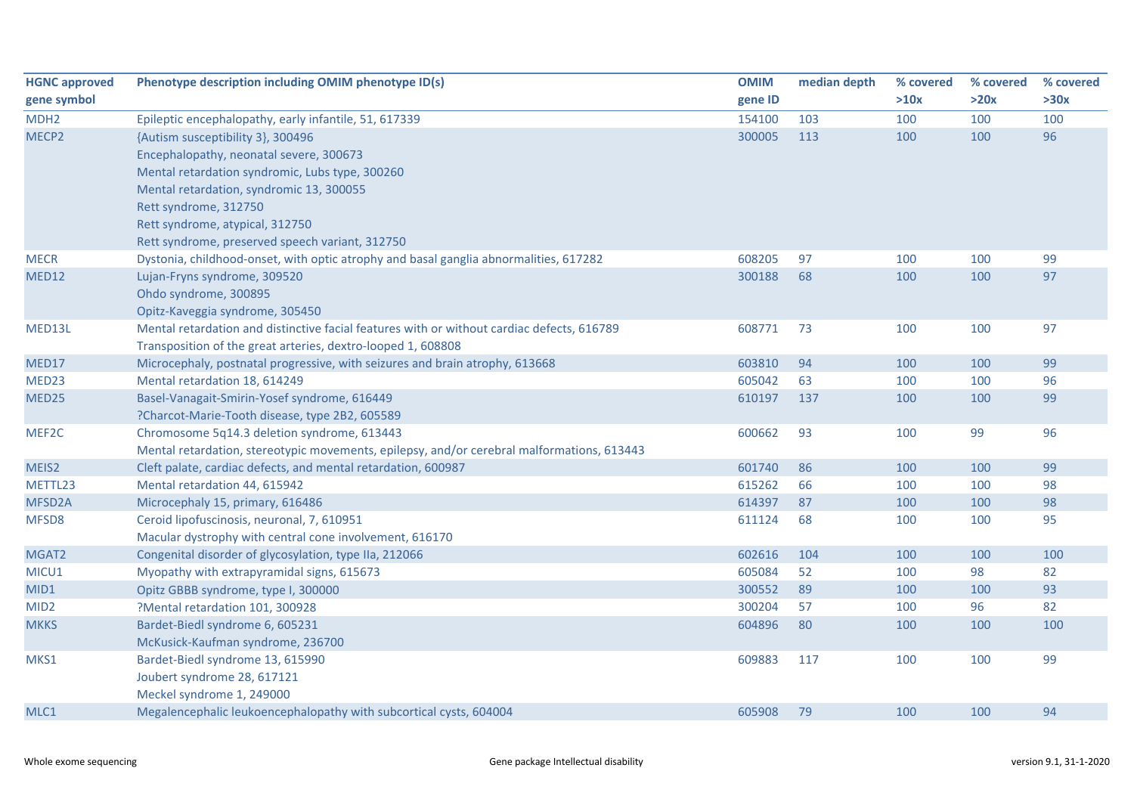| <b>HGNC approved</b> | Phenotype description including OMIM phenotype ID(s)                                       | <b>OMIM</b> | median depth | % covered | % covered | % covered |
|----------------------|--------------------------------------------------------------------------------------------|-------------|--------------|-----------|-----------|-----------|
| gene symbol          |                                                                                            | gene ID     |              | >10x      | >20x      | >30x      |
| MDH <sub>2</sub>     | Epileptic encephalopathy, early infantile, 51, 617339                                      | 154100      | 103          | 100       | 100       | 100       |
| MECP2                | {Autism susceptibility 3}, 300496                                                          | 300005      | 113          | 100       | 100       | 96        |
|                      | Encephalopathy, neonatal severe, 300673                                                    |             |              |           |           |           |
|                      | Mental retardation syndromic, Lubs type, 300260                                            |             |              |           |           |           |
|                      | Mental retardation, syndromic 13, 300055                                                   |             |              |           |           |           |
|                      | Rett syndrome, 312750                                                                      |             |              |           |           |           |
|                      | Rett syndrome, atypical, 312750                                                            |             |              |           |           |           |
|                      | Rett syndrome, preserved speech variant, 312750                                            |             |              |           |           |           |
| <b>MECR</b>          | Dystonia, childhood-onset, with optic atrophy and basal ganglia abnormalities, 617282      | 608205      | 97           | 100       | 100       | 99        |
| MED12                | Lujan-Fryns syndrome, 309520                                                               | 300188      | 68           | 100       | 100       | 97        |
|                      | Ohdo syndrome, 300895                                                                      |             |              |           |           |           |
|                      | Opitz-Kaveggia syndrome, 305450                                                            |             |              |           |           |           |
| MED13L               | Mental retardation and distinctive facial features with or without cardiac defects, 616789 | 608771      | 73           | 100       | 100       | 97        |
|                      | Transposition of the great arteries, dextro-looped 1, 608808                               |             |              |           |           |           |
| MED17                | Microcephaly, postnatal progressive, with seizures and brain atrophy, 613668               | 603810      | 94           | 100       | 100       | 99        |
| MED <sub>23</sub>    | Mental retardation 18, 614249                                                              | 605042      | 63           | 100       | 100       | 96        |
| MED25                | Basel-Vanagait-Smirin-Yosef syndrome, 616449                                               | 610197      | 137          | 100       | 100       | 99        |
|                      | ?Charcot-Marie-Tooth disease, type 2B2, 605589                                             |             |              |           |           |           |
| MEF2C                | Chromosome 5q14.3 deletion syndrome, 613443                                                | 600662      | 93           | 100       | 99        | 96        |
|                      | Mental retardation, stereotypic movements, epilepsy, and/or cerebral malformations, 613443 |             |              |           |           |           |
| MEIS2                | Cleft palate, cardiac defects, and mental retardation, 600987                              | 601740      | 86           | 100       | 100       | 99        |
| METTL23              | Mental retardation 44, 615942                                                              | 615262      | 66           | 100       | 100       | 98        |
| MFSD2A               | Microcephaly 15, primary, 616486                                                           | 614397      | 87           | 100       | 100       | 98        |
| MFSD8                | Ceroid lipofuscinosis, neuronal, 7, 610951                                                 | 611124      | 68           | 100       | 100       | 95        |
|                      | Macular dystrophy with central cone involvement, 616170                                    |             |              |           |           |           |
| MGAT2                | Congenital disorder of glycosylation, type IIa, 212066                                     | 602616      | 104          | 100       | 100       | 100       |
| MICU1                | Myopathy with extrapyramidal signs, 615673                                                 | 605084      | 52           | 100       | 98        | 82        |
| MID1                 | Opitz GBBB syndrome, type I, 300000                                                        | 300552      | 89           | 100       | 100       | 93        |
| MID <sub>2</sub>     | ?Mental retardation 101, 300928                                                            | 300204      | 57           | 100       | 96        | 82        |
| <b>MKKS</b>          | Bardet-Biedl syndrome 6, 605231                                                            | 604896      | 80           | 100       | 100       | 100       |
|                      | McKusick-Kaufman syndrome, 236700                                                          |             |              |           |           |           |
| MKS1                 | Bardet-Biedl syndrome 13, 615990                                                           | 609883      | 117          | 100       | 100       | 99        |
|                      | Joubert syndrome 28, 617121                                                                |             |              |           |           |           |
|                      | Meckel syndrome 1, 249000                                                                  |             |              |           |           |           |
| MLC1                 | Megalencephalic leukoencephalopathy with subcortical cysts, 604004                         | 605908      | 79           | 100       | 100       | 94        |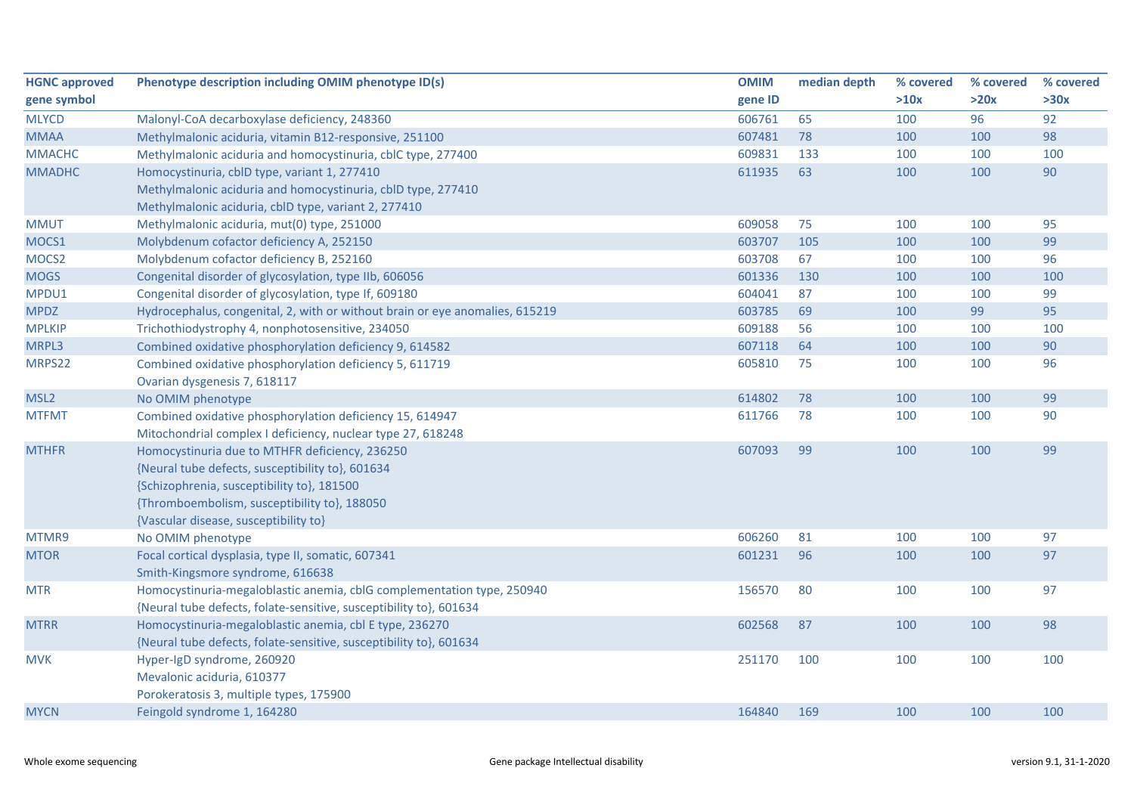| <b>HGNC approved</b> | Phenotype description including OMIM phenotype ID(s)                         | <b>OMIM</b> | median depth | % covered | % covered | % covered |
|----------------------|------------------------------------------------------------------------------|-------------|--------------|-----------|-----------|-----------|
| gene symbol          |                                                                              | gene ID     |              | >10x      | >20x      | >30x      |
| <b>MLYCD</b>         | Malonyl-CoA decarboxylase deficiency, 248360                                 | 606761      | 65           | 100       | 96        | 92        |
| <b>MMAA</b>          | Methylmalonic aciduria, vitamin B12-responsive, 251100                       | 607481      | 78           | 100       | 100       | 98        |
| <b>MMACHC</b>        | Methylmalonic aciduria and homocystinuria, cblC type, 277400                 | 609831      | 133          | 100       | 100       | 100       |
| <b>MMADHC</b>        | Homocystinuria, cblD type, variant 1, 277410                                 | 611935      | 63           | 100       | 100       | 90        |
|                      | Methylmalonic aciduria and homocystinuria, cblD type, 277410                 |             |              |           |           |           |
|                      | Methylmalonic aciduria, cblD type, variant 2, 277410                         |             |              |           |           |           |
| <b>MMUT</b>          | Methylmalonic aciduria, mut(0) type, 251000                                  | 609058      | 75           | 100       | 100       | 95        |
| MOCS1                | Molybdenum cofactor deficiency A, 252150                                     | 603707      | 105          | 100       | 100       | 99        |
| MOCS <sub>2</sub>    | Molybdenum cofactor deficiency B, 252160                                     | 603708      | 67           | 100       | 100       | 96        |
| <b>MOGS</b>          | Congenital disorder of glycosylation, type IIb, 606056                       | 601336      | 130          | 100       | 100       | 100       |
| MPDU1                | Congenital disorder of glycosylation, type If, 609180                        | 604041      | 87           | 100       | 100       | 99        |
| <b>MPDZ</b>          | Hydrocephalus, congenital, 2, with or without brain or eye anomalies, 615219 | 603785      | 69           | 100       | 99        | 95        |
| <b>MPLKIP</b>        | Trichothiodystrophy 4, nonphotosensitive, 234050                             | 609188      | 56           | 100       | 100       | 100       |
| MRPL3                | Combined oxidative phosphorylation deficiency 9, 614582                      | 607118      | 64           | 100       | 100       | 90        |
| MRPS22               | Combined oxidative phosphorylation deficiency 5, 611719                      | 605810      | 75           | 100       | 100       | 96        |
|                      | Ovarian dysgenesis 7, 618117                                                 |             |              |           |           |           |
| MSL <sub>2</sub>     | No OMIM phenotype                                                            | 614802      | 78           | 100       | 100       | 99        |
| <b>MTFMT</b>         | Combined oxidative phosphorylation deficiency 15, 614947                     | 611766      | 78           | 100       | 100       | 90        |
|                      | Mitochondrial complex I deficiency, nuclear type 27, 618248                  |             |              |           |           |           |
| <b>MTHFR</b>         | Homocystinuria due to MTHFR deficiency, 236250                               | 607093      | 99           | 100       | 100       | 99        |
|                      | {Neural tube defects, susceptibility to}, 601634                             |             |              |           |           |           |
|                      | {Schizophrenia, susceptibility to}, 181500                                   |             |              |           |           |           |
|                      | {Thromboembolism, susceptibility to}, 188050                                 |             |              |           |           |           |
|                      | {Vascular disease, susceptibility to}                                        |             |              |           |           |           |
| MTMR9                | No OMIM phenotype                                                            | 606260      | 81           | 100       | 100       | 97        |
| <b>MTOR</b>          | Focal cortical dysplasia, type II, somatic, 607341                           | 601231      | 96           | 100       | 100       | 97        |
|                      | Smith-Kingsmore syndrome, 616638                                             |             |              |           |           |           |
| <b>MTR</b>           | Homocystinuria-megaloblastic anemia, cblG complementation type, 250940       | 156570      | 80           | 100       | 100       | 97        |
|                      | {Neural tube defects, folate-sensitive, susceptibility to}, 601634           |             |              |           |           |           |
| <b>MTRR</b>          | Homocystinuria-megaloblastic anemia, cbl E type, 236270                      | 602568      | 87           | 100       | 100       | 98        |
|                      | {Neural tube defects, folate-sensitive, susceptibility to}, 601634           |             |              |           |           |           |
| <b>MVK</b>           | Hyper-IgD syndrome, 260920                                                   | 251170      | 100          | 100       | 100       | 100       |
|                      | Mevalonic aciduria, 610377                                                   |             |              |           |           |           |
|                      | Porokeratosis 3, multiple types, 175900                                      |             |              |           |           |           |
| <b>MYCN</b>          | Feingold syndrome 1, 164280                                                  | 164840      | 169          | 100       | 100       | 100       |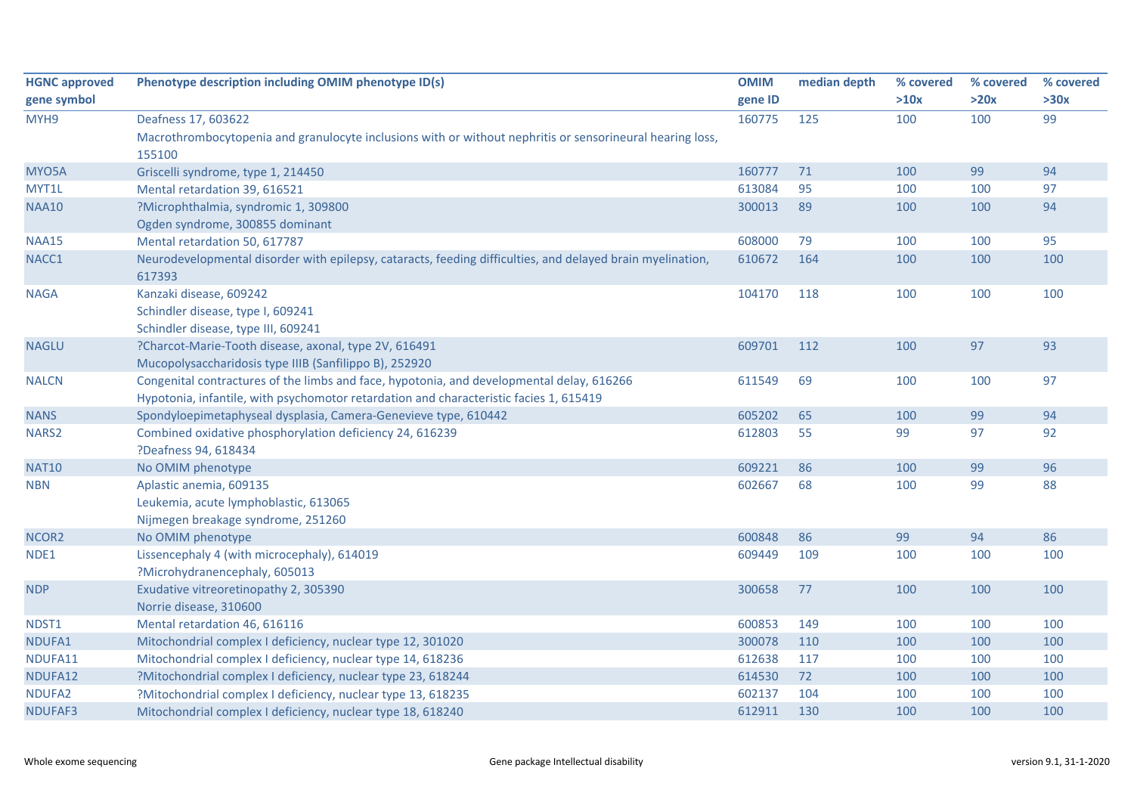| <b>HGNC approved</b> | Phenotype description including OMIM phenotype ID(s)                                                       | <b>OMIM</b> | median depth | % covered | % covered | % covered |
|----------------------|------------------------------------------------------------------------------------------------------------|-------------|--------------|-----------|-----------|-----------|
| gene symbol          |                                                                                                            | gene ID     |              | >10x      | >20x      | >30x      |
| MYH9                 | Deafness 17, 603622                                                                                        | 160775      | 125          | 100       | 100       | 99        |
|                      | Macrothrombocytopenia and granulocyte inclusions with or without nephritis or sensorineural hearing loss,  |             |              |           |           |           |
|                      | 155100                                                                                                     |             |              |           |           |           |
| MYO5A                | Griscelli syndrome, type 1, 214450                                                                         | 160777      | 71           | 100       | 99        | 94        |
| MYT1L                | Mental retardation 39, 616521                                                                              | 613084      | 95           | 100       | 100       | 97        |
| <b>NAA10</b>         | ?Microphthalmia, syndromic 1, 309800                                                                       | 300013      | 89           | 100       | 100       | 94        |
|                      | Ogden syndrome, 300855 dominant                                                                            |             |              |           |           |           |
| <b>NAA15</b>         | Mental retardation 50, 617787                                                                              | 608000      | 79           | 100       | 100       | 95        |
| NACC1                | Neurodevelopmental disorder with epilepsy, cataracts, feeding difficulties, and delayed brain myelination, | 610672      | 164          | 100       | 100       | 100       |
|                      | 617393                                                                                                     |             |              |           |           |           |
| <b>NAGA</b>          | Kanzaki disease, 609242                                                                                    | 104170      | 118          | 100       | 100       | 100       |
|                      | Schindler disease, type I, 609241                                                                          |             |              |           |           |           |
|                      | Schindler disease, type III, 609241                                                                        |             |              |           |           |           |
| <b>NAGLU</b>         | ?Charcot-Marie-Tooth disease, axonal, type 2V, 616491                                                      | 609701      | 112          | 100       | 97        | 93        |
|                      | Mucopolysaccharidosis type IIIB (Sanfilippo B), 252920                                                     |             |              |           |           |           |
| <b>NALCN</b>         | Congenital contractures of the limbs and face, hypotonia, and developmental delay, 616266                  | 611549      | 69           | 100       | 100       | 97        |
|                      | Hypotonia, infantile, with psychomotor retardation and characteristic facies 1, 615419                     |             |              |           |           |           |
| <b>NANS</b>          | Spondyloepimetaphyseal dysplasia, Camera-Genevieve type, 610442                                            | 605202      | 65           | 100       | 99        | 94        |
| NARS2                | Combined oxidative phosphorylation deficiency 24, 616239                                                   | 612803      | 55           | 99        | 97        | 92        |
|                      | ?Deafness 94, 618434                                                                                       |             |              |           |           |           |
| <b>NAT10</b>         | No OMIM phenotype                                                                                          | 609221      | 86           | 100       | 99        | 96        |
| <b>NBN</b>           | Aplastic anemia, 609135                                                                                    | 602667      | 68           | 100       | 99        | 88        |
|                      | Leukemia, acute lymphoblastic, 613065                                                                      |             |              |           |           |           |
|                      | Nijmegen breakage syndrome, 251260                                                                         |             |              |           |           |           |
| NCOR <sub>2</sub>    | No OMIM phenotype                                                                                          | 600848      | 86           | 99        | 94        | 86        |
| NDE1                 | Lissencephaly 4 (with microcephaly), 614019                                                                | 609449      | 109          | 100       | 100       | 100       |
|                      | ?Microhydranencephaly, 605013                                                                              |             |              |           |           |           |
| <b>NDP</b>           | Exudative vitreoretinopathy 2, 305390                                                                      | 300658      | 77           | 100       | 100       | 100       |
|                      | Norrie disease, 310600                                                                                     |             |              |           |           |           |
| NDST1                | Mental retardation 46, 616116                                                                              | 600853      | 149          | 100       | 100       | 100       |
| NDUFA1               | Mitochondrial complex I deficiency, nuclear type 12, 301020                                                | 300078      | 110          | 100       | 100       | 100       |
| NDUFA11              | Mitochondrial complex I deficiency, nuclear type 14, 618236                                                | 612638      | 117          | 100       | 100       | 100       |
| NDUFA12              | ?Mitochondrial complex I deficiency, nuclear type 23, 618244                                               | 614530      | 72           | 100       | 100       | 100       |
| NDUFA2               | ?Mitochondrial complex I deficiency, nuclear type 13, 618235                                               | 602137      | 104          | 100       | 100       | 100       |
| NDUFAF3              | Mitochondrial complex I deficiency, nuclear type 18, 618240                                                | 612911      | 130          | 100       | 100       | 100       |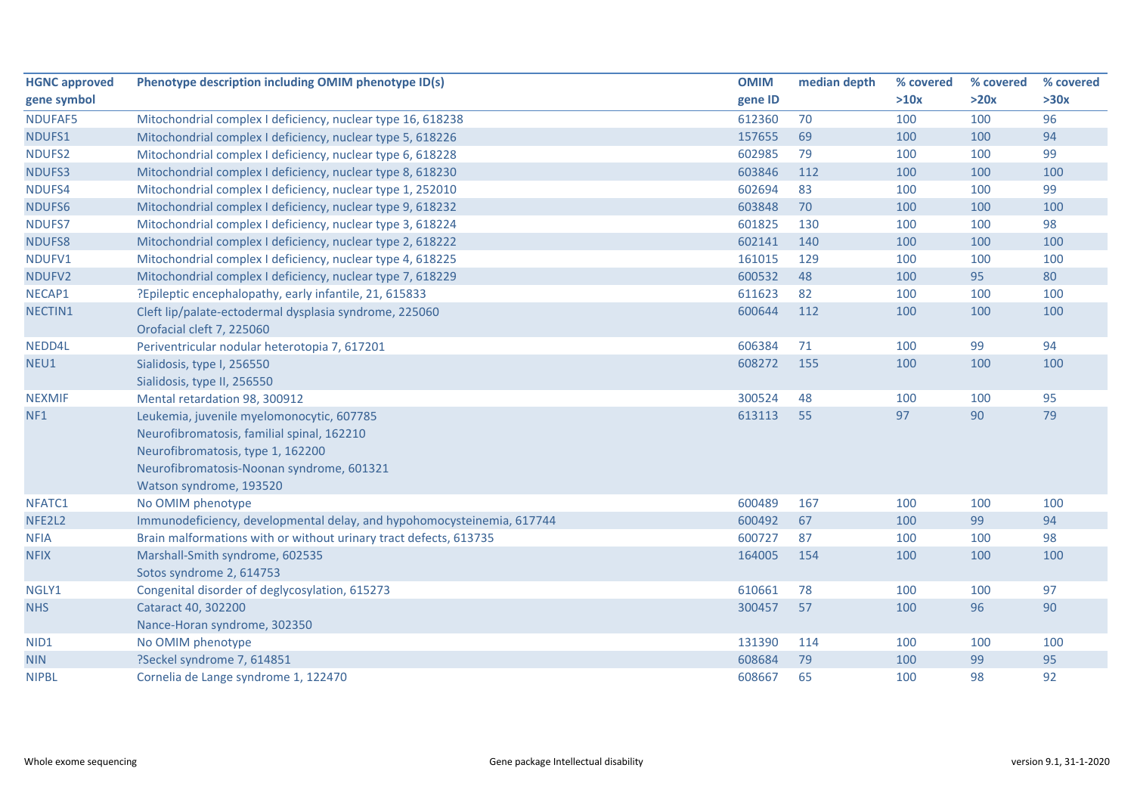| <b>HGNC approved</b> | Phenotype description including OMIM phenotype ID(s)                   | <b>OMIM</b> | median depth | % covered | % covered | % covered |
|----------------------|------------------------------------------------------------------------|-------------|--------------|-----------|-----------|-----------|
| gene symbol          |                                                                        | gene ID     |              | >10x      | >20x      | >30x      |
| NDUFAF5              | Mitochondrial complex I deficiency, nuclear type 16, 618238            | 612360      | 70           | 100       | 100       | 96        |
| NDUFS1               | Mitochondrial complex I deficiency, nuclear type 5, 618226             | 157655      | 69           | 100       | 100       | 94        |
| NDUFS2               | Mitochondrial complex I deficiency, nuclear type 6, 618228             | 602985      | 79           | 100       | 100       | 99        |
| NDUFS3               | Mitochondrial complex I deficiency, nuclear type 8, 618230             | 603846      | 112          | 100       | 100       | 100       |
| NDUFS4               | Mitochondrial complex I deficiency, nuclear type 1, 252010             | 602694      | 83           | 100       | 100       | 99        |
| NDUFS6               | Mitochondrial complex I deficiency, nuclear type 9, 618232             | 603848      | 70           | 100       | 100       | 100       |
| NDUFS7               | Mitochondrial complex I deficiency, nuclear type 3, 618224             | 601825      | 130          | 100       | 100       | 98        |
| NDUFS8               | Mitochondrial complex I deficiency, nuclear type 2, 618222             | 602141      | 140          | 100       | 100       | 100       |
| NDUFV1               | Mitochondrial complex I deficiency, nuclear type 4, 618225             | 161015      | 129          | 100       | 100       | 100       |
| NDUFV2               | Mitochondrial complex I deficiency, nuclear type 7, 618229             | 600532      | 48           | 100       | 95        | 80        |
| NECAP1               | ?Epileptic encephalopathy, early infantile, 21, 615833                 | 611623      | 82           | 100       | 100       | 100       |
| NECTIN1              | Cleft lip/palate-ectodermal dysplasia syndrome, 225060                 | 600644      | 112          | 100       | 100       | 100       |
|                      | Orofacial cleft 7, 225060                                              |             |              |           |           |           |
| NEDD4L               | Periventricular nodular heterotopia 7, 617201                          | 606384      | 71           | 100       | 99        | 94        |
| NEU1                 | Sialidosis, type I, 256550                                             | 608272      | 155          | 100       | 100       | 100       |
|                      | Sialidosis, type II, 256550                                            |             |              |           |           |           |
| <b>NEXMIF</b>        | Mental retardation 98, 300912                                          | 300524      | 48           | 100       | 100       | 95        |
| NF1                  | Leukemia, juvenile myelomonocytic, 607785                              | 613113      | 55           | 97        | 90        | 79        |
|                      | Neurofibromatosis, familial spinal, 162210                             |             |              |           |           |           |
|                      | Neurofibromatosis, type 1, 162200                                      |             |              |           |           |           |
|                      | Neurofibromatosis-Noonan syndrome, 601321                              |             |              |           |           |           |
|                      | Watson syndrome, 193520                                                |             |              |           |           |           |
| NFATC1               | No OMIM phenotype                                                      | 600489      | 167          | 100       | 100       | 100       |
| NFE2L2               | Immunodeficiency, developmental delay, and hypohomocysteinemia, 617744 | 600492      | 67           | 100       | 99        | 94        |
| <b>NFIA</b>          | Brain malformations with or without urinary tract defects, 613735      | 600727      | 87           | 100       | 100       | 98        |
| <b>NFIX</b>          | Marshall-Smith syndrome, 602535                                        | 164005      | 154          | 100       | 100       | 100       |
|                      | Sotos syndrome 2, 614753                                               |             |              |           |           |           |
| NGLY1                | Congenital disorder of deglycosylation, 615273                         | 610661      | 78           | 100       | 100       | 97        |
| <b>NHS</b>           | Cataract 40, 302200                                                    | 300457      | 57           | 100       | 96        | 90        |
|                      | Nance-Horan syndrome, 302350                                           |             |              |           |           |           |
| NID <sub>1</sub>     | No OMIM phenotype                                                      | 131390      | 114          | 100       | 100       | 100       |
| <b>NIN</b>           | ?Seckel syndrome 7, 614851                                             | 608684      | 79           | 100       | 99        | 95        |
| <b>NIPBL</b>         | Cornelia de Lange syndrome 1, 122470                                   | 608667      | 65           | 100       | 98        | 92        |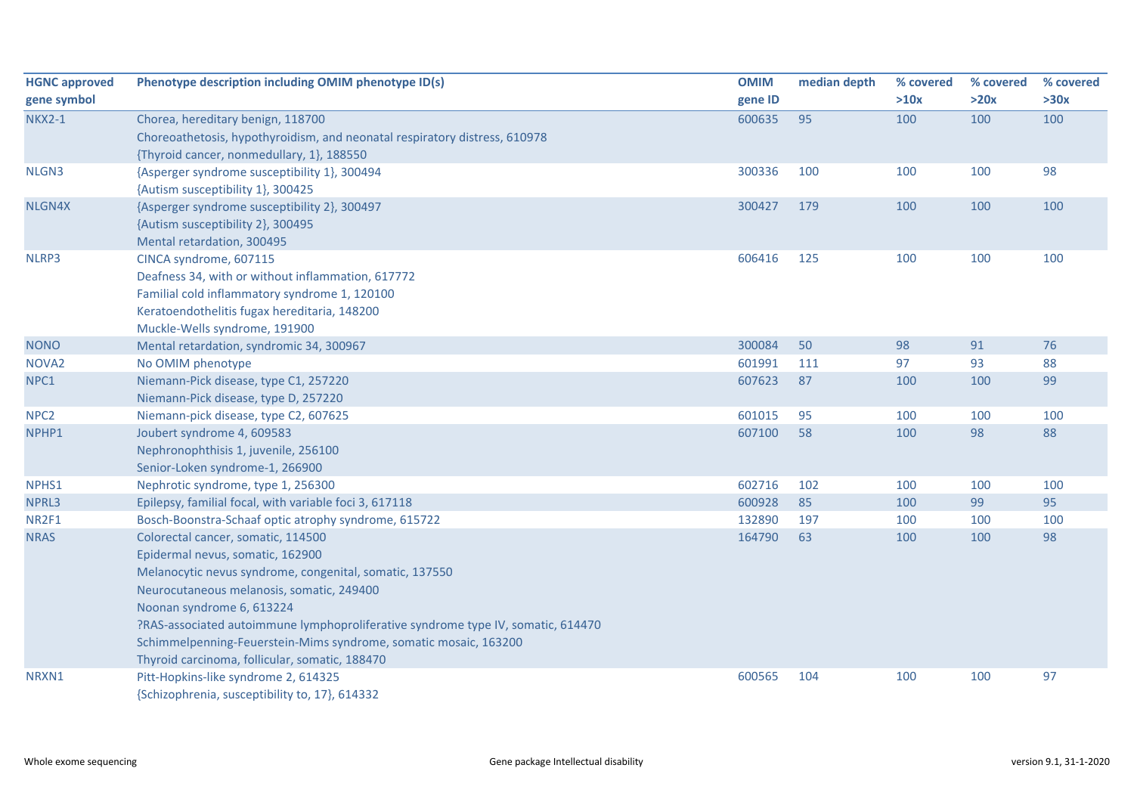| <b>HGNC approved</b>      | Phenotype description including OMIM phenotype ID(s)                             | <b>OMIM</b>      | median depth | % covered | % covered | % covered |
|---------------------------|----------------------------------------------------------------------------------|------------------|--------------|-----------|-----------|-----------|
| gene symbol               |                                                                                  | gene ID          |              | >10x      | >20x      | >30x      |
| <b>NKX2-1</b>             | Chorea, hereditary benign, 118700                                                | 600635           | 95           | 100       | 100       | 100       |
|                           | Choreoathetosis, hypothyroidism, and neonatal respiratory distress, 610978       |                  |              |           |           |           |
|                           | {Thyroid cancer, nonmedullary, 1}, 188550                                        |                  |              |           |           |           |
| NLGN3                     | {Asperger syndrome susceptibility 1}, 300494                                     | 300336           | 100          | 100       | 100       | 98        |
|                           | {Autism susceptibility 1}, 300425                                                |                  |              |           |           |           |
| NLGN4X                    | {Asperger syndrome susceptibility 2}, 300497                                     | 300427           | 179          | 100       | 100       | 100       |
|                           | {Autism susceptibility 2}, 300495                                                |                  |              |           |           |           |
|                           | Mental retardation, 300495                                                       |                  |              |           |           |           |
| NLRP3                     | CINCA syndrome, 607115                                                           | 606416           | 125          | 100       | 100       | 100       |
|                           | Deafness 34, with or without inflammation, 617772                                |                  |              |           |           |           |
|                           | Familial cold inflammatory syndrome 1, 120100                                    |                  |              |           |           |           |
|                           | Keratoendothelitis fugax hereditaria, 148200                                     |                  |              |           |           |           |
| <b>NONO</b>               | Muckle-Wells syndrome, 191900                                                    | 300084           | 50           | 98        | 91        | 76        |
|                           | Mental retardation, syndromic 34, 300967                                         |                  | 111          |           | 93        | 88        |
| NOVA <sub>2</sub><br>NPC1 | No OMIM phenotype<br>Niemann-Pick disease, type C1, 257220                       | 601991<br>607623 | 87           | 97<br>100 | 100       | 99        |
|                           | Niemann-Pick disease, type D, 257220                                             |                  |              |           |           |           |
| NPC <sub>2</sub>          | Niemann-pick disease, type C2, 607625                                            | 601015           | 95           | 100       | 100       | 100       |
| NPHP1                     | Joubert syndrome 4, 609583                                                       | 607100           | 58           | 100       | 98        | 88        |
|                           | Nephronophthisis 1, juvenile, 256100                                             |                  |              |           |           |           |
|                           | Senior-Loken syndrome-1, 266900                                                  |                  |              |           |           |           |
| NPHS1                     | Nephrotic syndrome, type 1, 256300                                               | 602716           | 102          | 100       | 100       | 100       |
| NPRL3                     | Epilepsy, familial focal, with variable foci 3, 617118                           | 600928           | 85           | 100       | 99        | 95        |
| NR2F1                     | Bosch-Boonstra-Schaaf optic atrophy syndrome, 615722                             | 132890           | 197          | 100       | 100       | 100       |
| <b>NRAS</b>               | Colorectal cancer, somatic, 114500                                               | 164790           | 63           | 100       | 100       | 98        |
|                           | Epidermal nevus, somatic, 162900                                                 |                  |              |           |           |           |
|                           | Melanocytic nevus syndrome, congenital, somatic, 137550                          |                  |              |           |           |           |
|                           | Neurocutaneous melanosis, somatic, 249400                                        |                  |              |           |           |           |
|                           | Noonan syndrome 6, 613224                                                        |                  |              |           |           |           |
|                           | ?RAS-associated autoimmune lymphoproliferative syndrome type IV, somatic, 614470 |                  |              |           |           |           |
|                           | Schimmelpenning-Feuerstein-Mims syndrome, somatic mosaic, 163200                 |                  |              |           |           |           |
|                           | Thyroid carcinoma, follicular, somatic, 188470                                   |                  |              |           |           |           |
| NRXN1                     | Pitt-Hopkins-like syndrome 2, 614325                                             | 600565           | 104          | 100       | 100       | 97        |
|                           | {Schizophrenia, susceptibility to, 17}, 614332                                   |                  |              |           |           |           |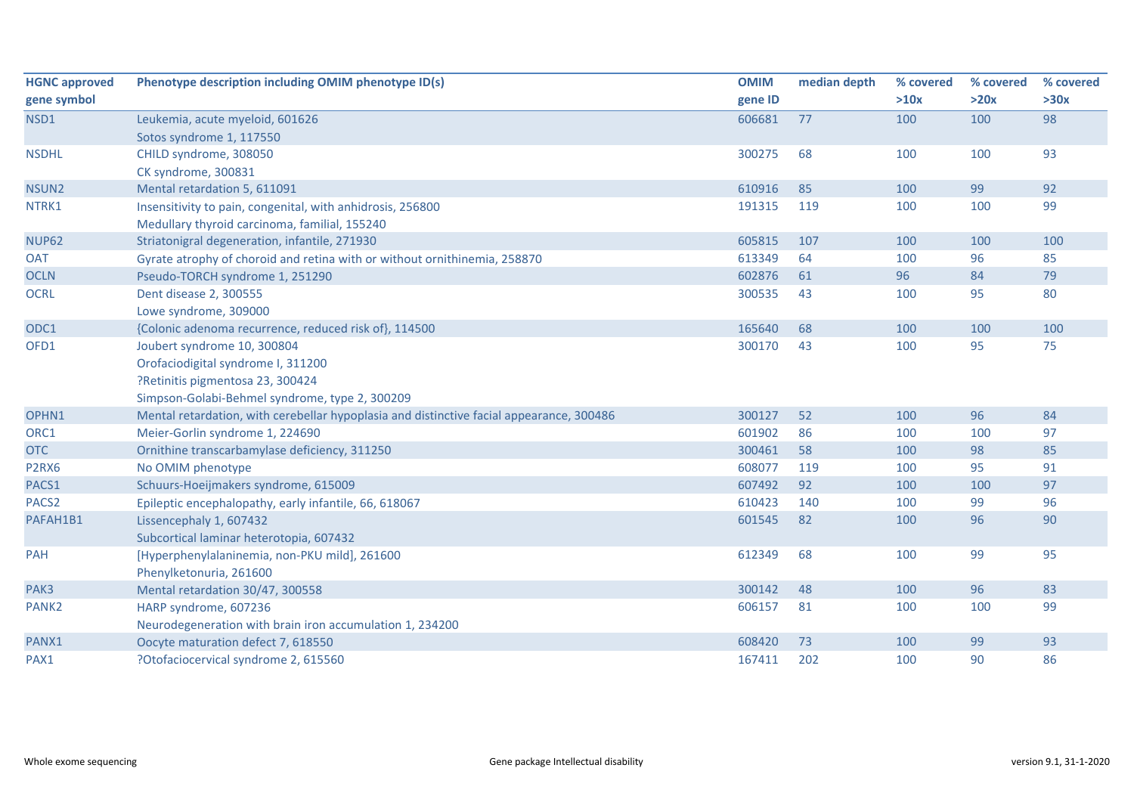| <b>HGNC approved</b> | Phenotype description including OMIM phenotype ID(s)                                     | <b>OMIM</b> | median depth | % covered | % covered | % covered |
|----------------------|------------------------------------------------------------------------------------------|-------------|--------------|-----------|-----------|-----------|
| gene symbol          |                                                                                          | gene ID     |              | >10x      | >20x      | >30x      |
| NSD1                 | Leukemia, acute myeloid, 601626                                                          | 606681      | 77           | 100       | 100       | 98        |
|                      | Sotos syndrome 1, 117550                                                                 |             |              |           |           |           |
| <b>NSDHL</b>         | CHILD syndrome, 308050                                                                   | 300275      | 68           | 100       | 100       | 93        |
|                      | CK syndrome, 300831                                                                      |             |              |           |           |           |
| NSUN <sub>2</sub>    | Mental retardation 5, 611091                                                             | 610916      | 85           | 100       | 99        | 92        |
| NTRK1                | Insensitivity to pain, congenital, with anhidrosis, 256800                               | 191315      | 119          | 100       | 100       | 99        |
|                      | Medullary thyroid carcinoma, familial, 155240                                            |             |              |           |           |           |
| <b>NUP62</b>         | Striatonigral degeneration, infantile, 271930                                            | 605815      | 107          | 100       | 100       | 100       |
| <b>OAT</b>           | Gyrate atrophy of choroid and retina with or without ornithinemia, 258870                | 613349      | 64           | 100       | 96        | 85        |
| <b>OCLN</b>          | Pseudo-TORCH syndrome 1, 251290                                                          | 602876      | 61           | 96        | 84        | 79        |
| <b>OCRL</b>          | Dent disease 2, 300555                                                                   | 300535      | 43           | 100       | 95        | 80        |
|                      | Lowe syndrome, 309000                                                                    |             |              |           |           |           |
| ODC1                 | {Colonic adenoma recurrence, reduced risk of}, 114500                                    | 165640      | 68           | 100       | 100       | 100       |
| OFD1                 | Joubert syndrome 10, 300804                                                              | 300170      | 43           | 100       | 95        | 75        |
|                      | Orofaciodigital syndrome I, 311200                                                       |             |              |           |           |           |
|                      | ?Retinitis pigmentosa 23, 300424                                                         |             |              |           |           |           |
|                      | Simpson-Golabi-Behmel syndrome, type 2, 300209                                           |             |              |           |           |           |
| OPHN1                | Mental retardation, with cerebellar hypoplasia and distinctive facial appearance, 300486 | 300127      | 52           | 100       | 96        | 84        |
| ORC1                 | Meier-Gorlin syndrome 1, 224690                                                          | 601902      | 86           | 100       | 100       | 97        |
| <b>OTC</b>           | Ornithine transcarbamylase deficiency, 311250                                            | 300461      | 58           | 100       | 98        | 85        |
| P <sub>2RX6</sub>    | No OMIM phenotype                                                                        | 608077      | 119          | 100       | 95        | 91        |
| PACS1                | Schuurs-Hoeijmakers syndrome, 615009                                                     | 607492      | 92           | 100       | 100       | 97        |
| PACS <sub>2</sub>    | Epileptic encephalopathy, early infantile, 66, 618067                                    | 610423      | 140          | 100       | 99        | 96        |
| PAFAH1B1             | Lissencephaly 1, 607432                                                                  | 601545      | 82           | 100       | 96        | 90        |
|                      | Subcortical laminar heterotopia, 607432                                                  |             |              |           |           |           |
| PAH                  | [Hyperphenylalaninemia, non-PKU mild], 261600                                            | 612349      | 68           | 100       | 99        | 95        |
|                      | Phenylketonuria, 261600                                                                  |             |              |           |           |           |
| PAK3                 | Mental retardation 30/47, 300558                                                         | 300142      | 48           | 100       | 96        | 83        |
| PANK <sub>2</sub>    | HARP syndrome, 607236                                                                    | 606157      | 81           | 100       | 100       | 99        |
|                      | Neurodegeneration with brain iron accumulation 1, 234200                                 |             |              |           |           |           |
| PANX1                | Oocyte maturation defect 7, 618550                                                       | 608420      | 73           | 100       | 99        | 93        |
| PAX1                 | ?Otofaciocervical syndrome 2, 615560                                                     | 167411      | 202          | 100       | 90        | 86        |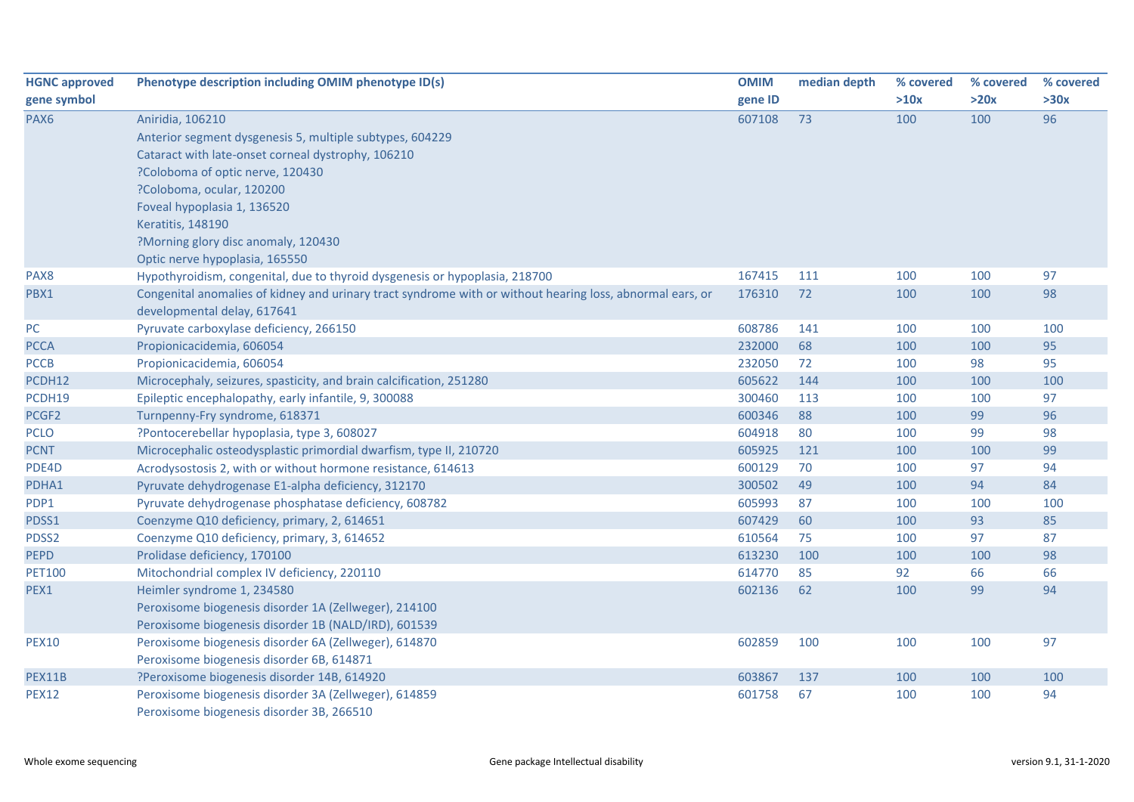| <b>HGNC approved</b> | Phenotype description including OMIM phenotype ID(s)                                                      | <b>OMIM</b> | median depth | % covered | % covered | % covered |
|----------------------|-----------------------------------------------------------------------------------------------------------|-------------|--------------|-----------|-----------|-----------|
| gene symbol          |                                                                                                           | gene ID     |              | >10x      | >20x      | >30x      |
| PAX6                 | Aniridia, 106210                                                                                          | 607108      | 73           | 100       | 100       | 96        |
|                      | Anterior segment dysgenesis 5, multiple subtypes, 604229                                                  |             |              |           |           |           |
|                      | Cataract with late-onset corneal dystrophy, 106210                                                        |             |              |           |           |           |
|                      | ?Coloboma of optic nerve, 120430                                                                          |             |              |           |           |           |
|                      | ?Coloboma, ocular, 120200                                                                                 |             |              |           |           |           |
|                      | Foveal hypoplasia 1, 136520                                                                               |             |              |           |           |           |
|                      | <b>Keratitis, 148190</b>                                                                                  |             |              |           |           |           |
|                      | ?Morning glory disc anomaly, 120430                                                                       |             |              |           |           |           |
|                      | Optic nerve hypoplasia, 165550                                                                            |             |              |           |           |           |
| PAX8                 | Hypothyroidism, congenital, due to thyroid dysgenesis or hypoplasia, 218700                               | 167415      | 111          | 100       | 100       | 97        |
| PBX1                 | Congenital anomalies of kidney and urinary tract syndrome with or without hearing loss, abnormal ears, or | 176310      | 72           | 100       | 100       | 98        |
|                      | developmental delay, 617641                                                                               |             |              |           |           |           |
| PC                   | Pyruvate carboxylase deficiency, 266150                                                                   | 608786      | 141          | 100       | 100       | 100       |
| <b>PCCA</b>          | Propionicacidemia, 606054                                                                                 | 232000      | 68           | 100       | 100       | 95        |
| <b>PCCB</b>          | Propionicacidemia, 606054                                                                                 | 232050      | 72           | 100       | 98        | 95        |
| PCDH12               | Microcephaly, seizures, spasticity, and brain calcification, 251280                                       | 605622      | 144          | 100       | 100       | 100       |
| PCDH19               | Epileptic encephalopathy, early infantile, 9, 300088                                                      | 300460      | 113          | 100       | 100       | 97        |
| PCGF2                | Turnpenny-Fry syndrome, 618371                                                                            | 600346      | 88           | 100       | 99        | 96        |
| <b>PCLO</b>          | ?Pontocerebellar hypoplasia, type 3, 608027                                                               | 604918      | 80           | 100       | 99        | 98        |
| <b>PCNT</b>          | Microcephalic osteodysplastic primordial dwarfism, type II, 210720                                        | 605925      | 121          | 100       | 100       | 99        |
| PDE4D                | Acrodysostosis 2, with or without hormone resistance, 614613                                              | 600129      | 70           | 100       | 97        | 94        |
| PDHA1                | Pyruvate dehydrogenase E1-alpha deficiency, 312170                                                        | 300502      | 49           | 100       | 94        | 84        |
| PDP1                 | Pyruvate dehydrogenase phosphatase deficiency, 608782                                                     | 605993      | 87           | 100       | 100       | 100       |
| PDSS1                | Coenzyme Q10 deficiency, primary, 2, 614651                                                               | 607429      | 60           | 100       | 93        | 85        |
| PDSS2                | Coenzyme Q10 deficiency, primary, 3, 614652                                                               | 610564      | 75           | 100       | 97        | 87        |
| <b>PEPD</b>          | Prolidase deficiency, 170100                                                                              | 613230      | 100          | 100       | 100       | 98        |
| <b>PET100</b>        | Mitochondrial complex IV deficiency, 220110                                                               | 614770      | 85           | 92        | 66        | 66        |
| PEX1                 | Heimler syndrome 1, 234580                                                                                | 602136      | 62           | 100       | 99        | 94        |
|                      | Peroxisome biogenesis disorder 1A (Zellweger), 214100                                                     |             |              |           |           |           |
|                      | Peroxisome biogenesis disorder 1B (NALD/IRD), 601539                                                      |             |              |           |           |           |
| <b>PEX10</b>         | Peroxisome biogenesis disorder 6A (Zellweger), 614870                                                     | 602859      | 100          | 100       | 100       | 97        |
|                      | Peroxisome biogenesis disorder 6B, 614871                                                                 |             |              |           |           |           |
| PEX11B               | ?Peroxisome biogenesis disorder 14B, 614920                                                               | 603867      | 137          | 100       | 100       | 100       |
| <b>PEX12</b>         | Peroxisome biogenesis disorder 3A (Zellweger), 614859                                                     | 601758      | 67           | 100       | 100       | 94        |
|                      | Peroxisome biogenesis disorder 3B, 266510                                                                 |             |              |           |           |           |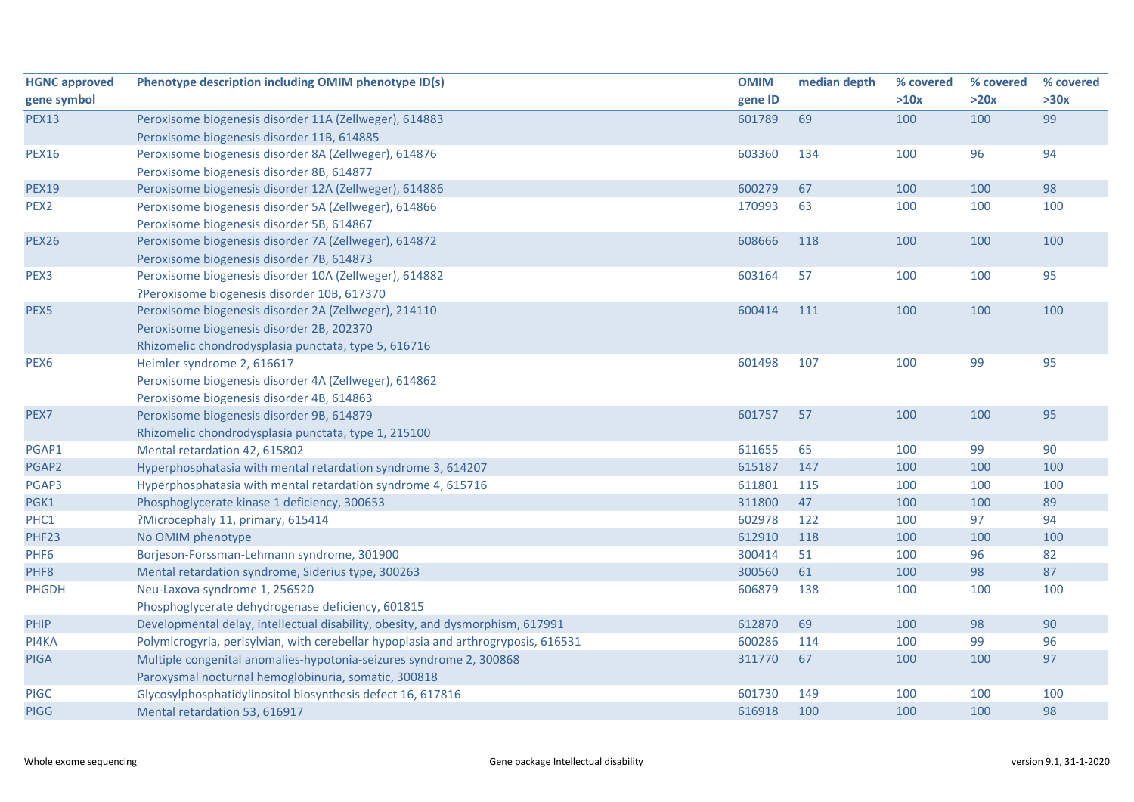| <b>HGNC approved</b> | Phenotype description including OMIM phenotype ID(s)                               | <b>OMIM</b> | median depth | % covered | % covered | % covered |
|----------------------|------------------------------------------------------------------------------------|-------------|--------------|-----------|-----------|-----------|
| gene symbol          |                                                                                    | gene ID     |              | >10x      | >20x      | >30x      |
| <b>PEX13</b>         | Peroxisome biogenesis disorder 11A (Zellweger), 614883                             | 601789      | 69           | 100       | 100       | 99        |
|                      | Peroxisome biogenesis disorder 11B, 614885                                         |             |              |           |           |           |
| <b>PEX16</b>         | Peroxisome biogenesis disorder 8A (Zellweger), 614876                              | 603360      | 134          | 100       | 96        | 94        |
|                      | Peroxisome biogenesis disorder 8B, 614877                                          |             |              |           |           |           |
| <b>PEX19</b>         | Peroxisome biogenesis disorder 12A (Zellweger), 614886                             | 600279      | 67           | 100       | 100       | 98        |
| PEX2                 | Peroxisome biogenesis disorder 5A (Zellweger), 614866                              | 170993      | 63           | 100       | 100       | 100       |
|                      | Peroxisome biogenesis disorder 5B, 614867                                          |             |              |           |           |           |
| <b>PEX26</b>         | Peroxisome biogenesis disorder 7A (Zellweger), 614872                              | 608666      | 118          | 100       | 100       | 100       |
|                      | Peroxisome biogenesis disorder 7B, 614873                                          |             |              |           |           |           |
| PEX3                 | Peroxisome biogenesis disorder 10A (Zellweger), 614882                             | 603164      | 57           | 100       | 100       | 95        |
|                      | ?Peroxisome biogenesis disorder 10B, 617370                                        |             |              |           |           |           |
| PEX5                 | Peroxisome biogenesis disorder 2A (Zellweger), 214110                              | 600414      | 111          | 100       | 100       | 100       |
|                      | Peroxisome biogenesis disorder 2B, 202370                                          |             |              |           |           |           |
|                      | Rhizomelic chondrodysplasia punctata, type 5, 616716                               |             |              |           |           |           |
| PEX <sub>6</sub>     | Heimler syndrome 2, 616617                                                         | 601498      | 107          | 100       | 99        | 95        |
|                      | Peroxisome biogenesis disorder 4A (Zellweger), 614862                              |             |              |           |           |           |
|                      | Peroxisome biogenesis disorder 4B, 614863                                          |             |              |           |           |           |
| PEX7                 | Peroxisome biogenesis disorder 9B, 614879                                          | 601757      | 57           | 100       | 100       | 95        |
|                      | Rhizomelic chondrodysplasia punctata, type 1, 215100                               |             |              |           |           |           |
| PGAP1                | Mental retardation 42, 615802                                                      | 611655      | 65           | 100       | 99        | 90        |
| PGAP2                | Hyperphosphatasia with mental retardation syndrome 3, 614207                       | 615187      | 147          | 100       | 100       | 100       |
| PGAP3                | Hyperphosphatasia with mental retardation syndrome 4, 615716                       | 611801      | 115          | 100       | 100       | 100       |
| PGK1                 | Phosphoglycerate kinase 1 deficiency, 300653                                       | 311800      | 47           | 100       | 100       | 89        |
| PHC1                 | ?Microcephaly 11, primary, 615414                                                  | 602978      | 122          | 100       | 97        | 94        |
| PHF23                | No OMIM phenotype                                                                  | 612910      | 118          | 100       | 100       | 100       |
| PHF <sub>6</sub>     | Borjeson-Forssman-Lehmann syndrome, 301900                                         | 300414      | 51           | 100       | 96        | 82        |
| PHF8                 | Mental retardation syndrome, Siderius type, 300263                                 | 300560      | 61           | 100       | 98        | 87        |
| <b>PHGDH</b>         | Neu-Laxova syndrome 1, 256520                                                      | 606879      | 138          | 100       | 100       | 100       |
|                      | Phosphoglycerate dehydrogenase deficiency, 601815                                  |             |              |           |           |           |
| PHIP                 | Developmental delay, intellectual disability, obesity, and dysmorphism, 617991     | 612870      | 69           | 100       | 98        | 90        |
| PI4KA                | Polymicrogyria, perisylvian, with cerebellar hypoplasia and arthrogryposis, 616531 | 600286      | 114          | 100       | 99        | 96        |
| <b>PIGA</b>          | Multiple congenital anomalies-hypotonia-seizures syndrome 2, 300868                | 311770      | 67           | 100       | 100       | 97        |
|                      | Paroxysmal nocturnal hemoglobinuria, somatic, 300818                               |             |              |           |           |           |
| <b>PIGC</b>          | Glycosylphosphatidylinositol biosynthesis defect 16, 617816                        | 601730      | 149          | 100       | 100       | 100       |
| <b>PIGG</b>          | Mental retardation 53, 616917                                                      | 616918      | 100          | 100       | 100       | 98        |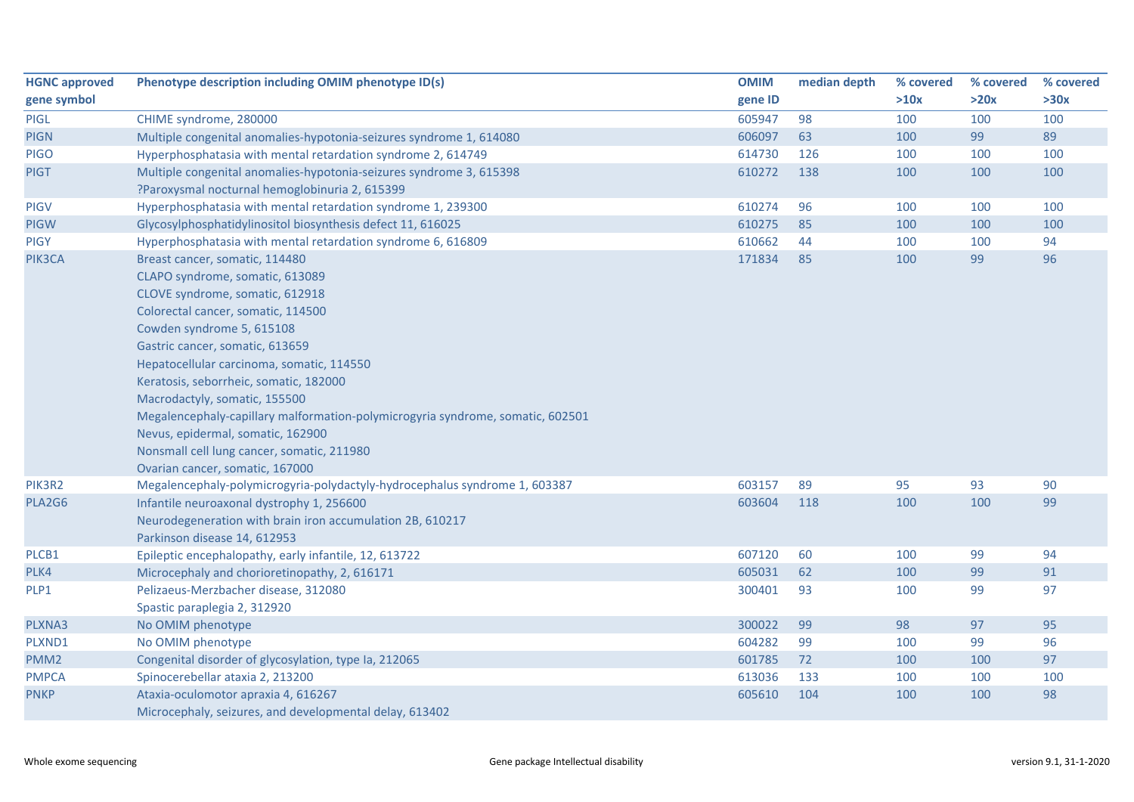| <b>HGNC approved</b> | Phenotype description including OMIM phenotype ID(s)                                                                                                                                                                                                                                                                                                                                                                                                                                                                                       | <b>OMIM</b> | median depth | % covered | % covered | % covered |
|----------------------|--------------------------------------------------------------------------------------------------------------------------------------------------------------------------------------------------------------------------------------------------------------------------------------------------------------------------------------------------------------------------------------------------------------------------------------------------------------------------------------------------------------------------------------------|-------------|--------------|-----------|-----------|-----------|
| gene symbol          |                                                                                                                                                                                                                                                                                                                                                                                                                                                                                                                                            | gene ID     |              | >10x      | >20x      | >30x      |
| PIGL                 | CHIME syndrome, 280000                                                                                                                                                                                                                                                                                                                                                                                                                                                                                                                     | 605947      | 98           | 100       | 100       | 100       |
| <b>PIGN</b>          | Multiple congenital anomalies-hypotonia-seizures syndrome 1, 614080                                                                                                                                                                                                                                                                                                                                                                                                                                                                        | 606097      | 63           | 100       | 99        | 89        |
| <b>PIGO</b>          | Hyperphosphatasia with mental retardation syndrome 2, 614749                                                                                                                                                                                                                                                                                                                                                                                                                                                                               | 614730      | 126          | 100       | 100       | 100       |
| <b>PIGT</b>          | Multiple congenital anomalies-hypotonia-seizures syndrome 3, 615398<br>?Paroxysmal nocturnal hemoglobinuria 2, 615399                                                                                                                                                                                                                                                                                                                                                                                                                      | 610272      | 138          | 100       | 100       | 100       |
| <b>PIGV</b>          | Hyperphosphatasia with mental retardation syndrome 1, 239300                                                                                                                                                                                                                                                                                                                                                                                                                                                                               | 610274      | 96           | 100       | 100       | 100       |
| <b>PIGW</b>          | Glycosylphosphatidylinositol biosynthesis defect 11, 616025                                                                                                                                                                                                                                                                                                                                                                                                                                                                                | 610275      | 85           | 100       | 100       | 100       |
| <b>PIGY</b>          | Hyperphosphatasia with mental retardation syndrome 6, 616809                                                                                                                                                                                                                                                                                                                                                                                                                                                                               | 610662      | 44           | 100       | 100       | 94        |
| PIK3CA               | Breast cancer, somatic, 114480<br>CLAPO syndrome, somatic, 613089<br>CLOVE syndrome, somatic, 612918<br>Colorectal cancer, somatic, 114500<br>Cowden syndrome 5, 615108<br>Gastric cancer, somatic, 613659<br>Hepatocellular carcinoma, somatic, 114550<br>Keratosis, seborrheic, somatic, 182000<br>Macrodactyly, somatic, 155500<br>Megalencephaly-capillary malformation-polymicrogyria syndrome, somatic, 602501<br>Nevus, epidermal, somatic, 162900<br>Nonsmall cell lung cancer, somatic, 211980<br>Ovarian cancer, somatic, 167000 | 171834      | 85           | 100       | 99        | 96        |
| PIK3R2               | Megalencephaly-polymicrogyria-polydactyly-hydrocephalus syndrome 1, 603387                                                                                                                                                                                                                                                                                                                                                                                                                                                                 | 603157      | 89           | 95        | 93        | 90        |
| PLA2G6               | Infantile neuroaxonal dystrophy 1, 256600<br>Neurodegeneration with brain iron accumulation 2B, 610217<br>Parkinson disease 14, 612953                                                                                                                                                                                                                                                                                                                                                                                                     | 603604      | 118          | 100       | 100       | 99        |
| PLCB1                | Epileptic encephalopathy, early infantile, 12, 613722                                                                                                                                                                                                                                                                                                                                                                                                                                                                                      | 607120      | 60           | 100       | 99        | 94        |
| PLK4                 | Microcephaly and chorioretinopathy, 2, 616171                                                                                                                                                                                                                                                                                                                                                                                                                                                                                              | 605031      | 62           | 100       | 99        | 91        |
| PLP1                 | Pelizaeus-Merzbacher disease, 312080<br>Spastic paraplegia 2, 312920                                                                                                                                                                                                                                                                                                                                                                                                                                                                       | 300401      | 93           | 100       | 99        | 97        |
| PLXNA3               | No OMIM phenotype                                                                                                                                                                                                                                                                                                                                                                                                                                                                                                                          | 300022      | 99           | 98        | 97        | 95        |
| PLXND1               | No OMIM phenotype                                                                                                                                                                                                                                                                                                                                                                                                                                                                                                                          | 604282      | 99           | 100       | 99        | 96        |
| PMM <sub>2</sub>     | Congenital disorder of glycosylation, type Ia, 212065                                                                                                                                                                                                                                                                                                                                                                                                                                                                                      | 601785      | 72           | 100       | 100       | 97        |
| <b>PMPCA</b>         | Spinocerebellar ataxia 2, 213200                                                                                                                                                                                                                                                                                                                                                                                                                                                                                                           | 613036      | 133          | 100       | 100       | 100       |
| <b>PNKP</b>          | Ataxia-oculomotor apraxia 4, 616267<br>Microcephaly, seizures, and developmental delay, 613402                                                                                                                                                                                                                                                                                                                                                                                                                                             | 605610      | 104          | 100       | 100       | 98        |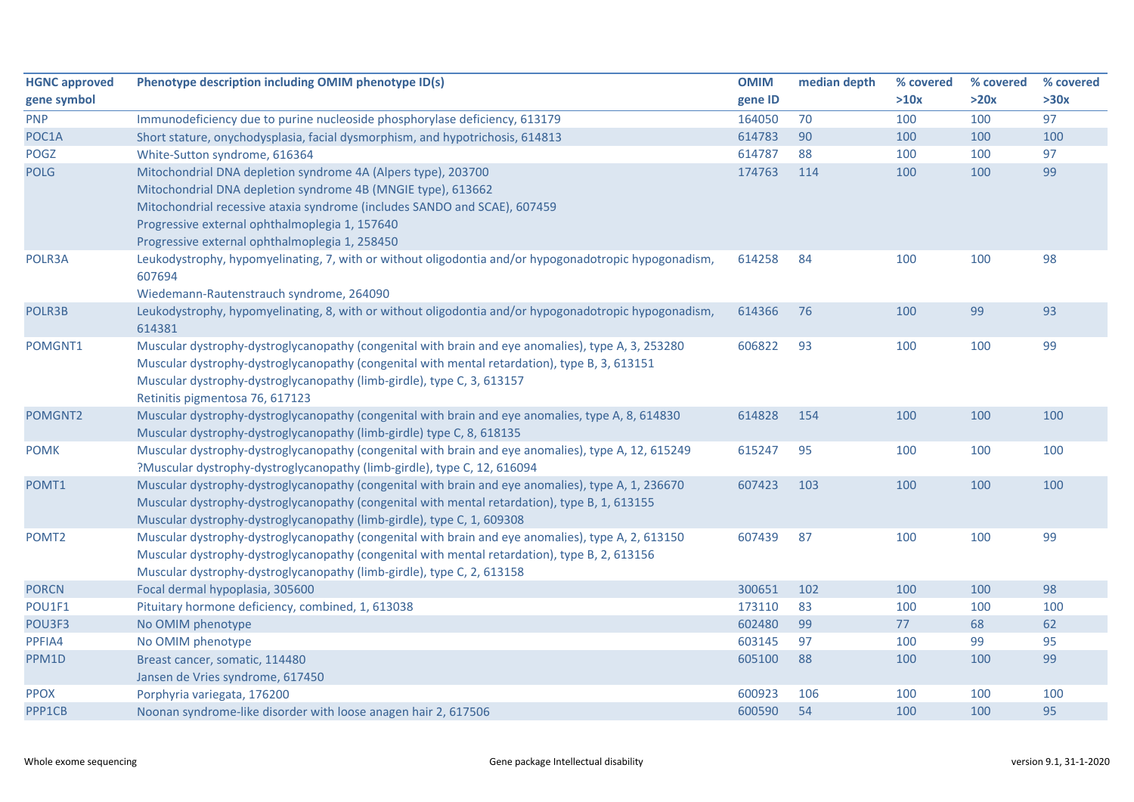| <b>HGNC approved</b> | Phenotype description including OMIM phenotype ID(s)                                                  | <b>OMIM</b> | median depth | % covered | % covered | % covered |
|----------------------|-------------------------------------------------------------------------------------------------------|-------------|--------------|-----------|-----------|-----------|
| gene symbol          |                                                                                                       | gene ID     |              | >10x      | >20x      | >30x      |
| <b>PNP</b>           | Immunodeficiency due to purine nucleoside phosphorylase deficiency, 613179                            | 164050      | 70           | 100       | 100       | 97        |
| POC1A                | Short stature, onychodysplasia, facial dysmorphism, and hypotrichosis, 614813                         | 614783      | 90           | 100       | 100       | 100       |
| <b>POGZ</b>          | White-Sutton syndrome, 616364                                                                         | 614787      | 88           | 100       | 100       | 97        |
| <b>POLG</b>          | Mitochondrial DNA depletion syndrome 4A (Alpers type), 203700                                         | 174763      | 114          | 100       | 100       | 99        |
|                      | Mitochondrial DNA depletion syndrome 4B (MNGIE type), 613662                                          |             |              |           |           |           |
|                      | Mitochondrial recessive ataxia syndrome (includes SANDO and SCAE), 607459                             |             |              |           |           |           |
|                      | Progressive external ophthalmoplegia 1, 157640                                                        |             |              |           |           |           |
|                      | Progressive external ophthalmoplegia 1, 258450                                                        |             |              |           |           |           |
| POLR3A               | Leukodystrophy, hypomyelinating, 7, with or without oligodontia and/or hypogonadotropic hypogonadism, | 614258      | 84           | 100       | 100       | 98        |
|                      | 607694                                                                                                |             |              |           |           |           |
|                      | Wiedemann-Rautenstrauch syndrome, 264090                                                              |             |              |           |           |           |
| POLR3B               | Leukodystrophy, hypomyelinating, 8, with or without oligodontia and/or hypogonadotropic hypogonadism, | 614366      | 76           | 100       | 99        | 93        |
|                      | 614381                                                                                                |             |              |           |           |           |
| POMGNT1              | Muscular dystrophy-dystroglycanopathy (congenital with brain and eye anomalies), type A, 3, 253280    | 606822      | 93           | 100       | 100       | 99        |
|                      | Muscular dystrophy-dystroglycanopathy (congenital with mental retardation), type B, 3, 613151         |             |              |           |           |           |
|                      | Muscular dystrophy-dystroglycanopathy (limb-girdle), type C, 3, 613157                                |             |              |           |           |           |
|                      | Retinitis pigmentosa 76, 617123                                                                       |             |              |           |           |           |
| POMGNT2              | Muscular dystrophy-dystroglycanopathy (congenital with brain and eye anomalies, type A, 8, 614830     | 614828      | 154          | 100       | 100       | 100       |
|                      | Muscular dystrophy-dystroglycanopathy (limb-girdle) type C, 8, 618135                                 |             |              |           |           |           |
| <b>POMK</b>          | Muscular dystrophy-dystroglycanopathy (congenital with brain and eye anomalies), type A, 12, 615249   | 615247      | 95           | 100       | 100       | 100       |
|                      | ?Muscular dystrophy-dystroglycanopathy (limb-girdle), type C, 12, 616094                              |             |              |           |           |           |
| POMT1                | Muscular dystrophy-dystroglycanopathy (congenital with brain and eye anomalies), type A, 1, 236670    | 607423      | 103          | 100       | 100       | 100       |
|                      | Muscular dystrophy-dystroglycanopathy (congenital with mental retardation), type B, 1, 613155         |             |              |           |           |           |
|                      | Muscular dystrophy-dystroglycanopathy (limb-girdle), type C, 1, 609308                                |             |              |           |           |           |
| POMT <sub>2</sub>    | Muscular dystrophy-dystroglycanopathy (congenital with brain and eye anomalies), type A, 2, 613150    | 607439      | 87           | 100       | 100       | 99        |
|                      | Muscular dystrophy-dystroglycanopathy (congenital with mental retardation), type B, 2, 613156         |             |              |           |           |           |
|                      | Muscular dystrophy-dystroglycanopathy (limb-girdle), type C, 2, 613158                                |             |              |           |           |           |
| <b>PORCN</b>         | Focal dermal hypoplasia, 305600                                                                       | 300651      | 102          | 100       | 100       | 98        |
| POU1F1               | Pituitary hormone deficiency, combined, 1, 613038                                                     | 173110      | 83           | 100       | 100       | 100       |
| POU3F3               | No OMIM phenotype                                                                                     | 602480      | 99           | 77        | 68        | 62        |
| PPFIA4               | No OMIM phenotype                                                                                     | 603145      | 97           | 100       | 99        | 95        |
| PPM1D                | Breast cancer, somatic, 114480                                                                        | 605100      | 88           | 100       | 100       | 99        |
|                      | Jansen de Vries syndrome, 617450                                                                      |             |              |           |           |           |
| <b>PPOX</b>          | Porphyria variegata, 176200                                                                           | 600923      | 106          | 100       | 100       | 100       |
| PPP1CB               | Noonan syndrome-like disorder with loose anagen hair 2, 617506                                        | 600590      | 54           | 100       | 100       | 95        |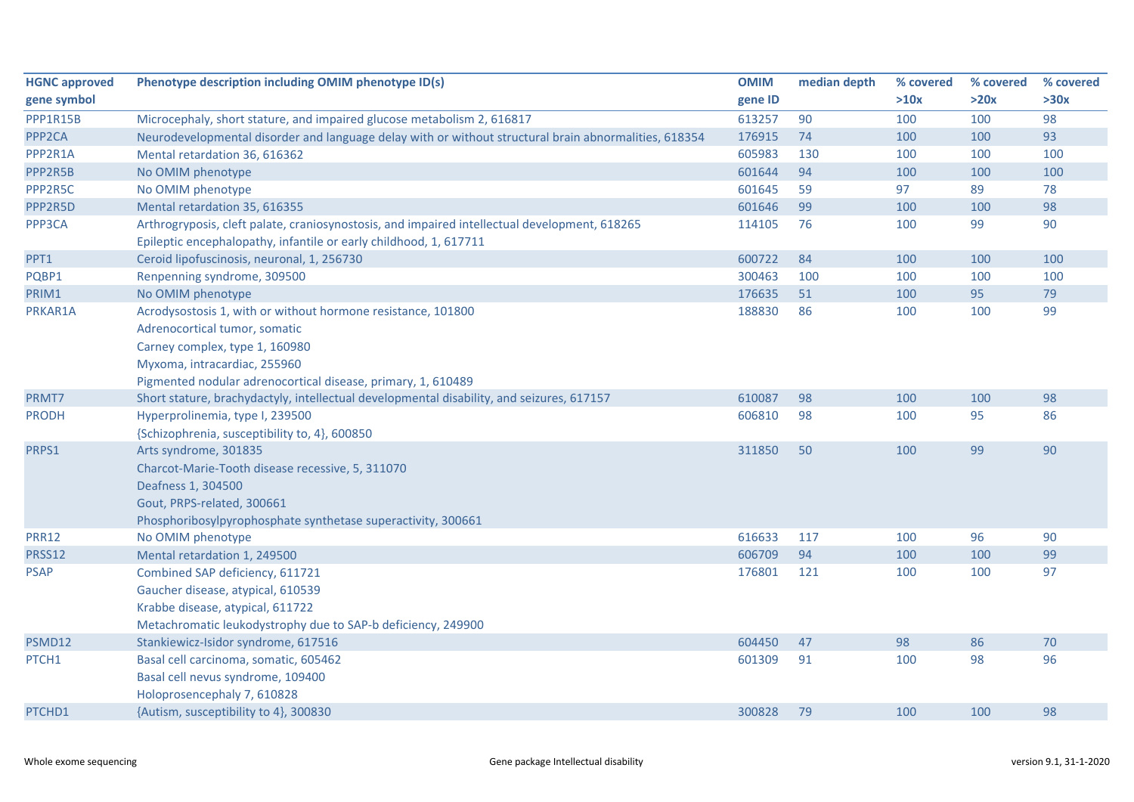| <b>HGNC approved</b> | Phenotype description including OMIM phenotype ID(s)                                                  | <b>OMIM</b> | median depth | % covered | % covered | % covered |
|----------------------|-------------------------------------------------------------------------------------------------------|-------------|--------------|-----------|-----------|-----------|
| gene symbol          |                                                                                                       | gene ID     |              | >10x      | >20x      | >30x      |
| PPP1R15B             | Microcephaly, short stature, and impaired glucose metabolism 2, 616817                                | 613257      | 90           | 100       | 100       | 98        |
| PPP <sub>2</sub> CA  | Neurodevelopmental disorder and language delay with or without structural brain abnormalities, 618354 | 176915      | 74           | 100       | 100       | 93        |
| PPP2R1A              | Mental retardation 36, 616362                                                                         | 605983      | 130          | 100       | 100       | 100       |
| PPP2R5B              | No OMIM phenotype                                                                                     | 601644      | 94           | 100       | 100       | 100       |
| PPP2R5C              | No OMIM phenotype                                                                                     | 601645      | 59           | 97        | 89        | 78        |
| PPP2R5D              | Mental retardation 35, 616355                                                                         | 601646      | 99           | 100       | 100       | 98        |
| PPP3CA               | Arthrogryposis, cleft palate, craniosynostosis, and impaired intellectual development, 618265         | 114105      | 76           | 100       | 99        | 90        |
|                      | Epileptic encephalopathy, infantile or early childhood, 1, 617711                                     |             |              |           |           |           |
| PPT1                 | Ceroid lipofuscinosis, neuronal, 1, 256730                                                            | 600722      | 84           | 100       | 100       | 100       |
| PQBP1                | Renpenning syndrome, 309500                                                                           | 300463      | 100          | 100       | 100       | 100       |
| PRIM1                | No OMIM phenotype                                                                                     | 176635      | 51           | 100       | 95        | 79        |
| PRKAR1A              | Acrodysostosis 1, with or without hormone resistance, 101800                                          | 188830      | 86           | 100       | 100       | 99        |
|                      | Adrenocortical tumor, somatic                                                                         |             |              |           |           |           |
|                      | Carney complex, type 1, 160980                                                                        |             |              |           |           |           |
|                      | Myxoma, intracardiac, 255960                                                                          |             |              |           |           |           |
|                      | Pigmented nodular adrenocortical disease, primary, 1, 610489                                          |             |              |           |           |           |
| PRMT7                | Short stature, brachydactyly, intellectual developmental disability, and seizures, 617157             | 610087      | 98           | 100       | 100       | 98        |
| <b>PRODH</b>         | Hyperprolinemia, type I, 239500                                                                       | 606810      | 98           | 100       | 95        | 86        |
|                      | {Schizophrenia, susceptibility to, 4}, 600850                                                         |             |              |           |           |           |
| PRPS1                | Arts syndrome, 301835                                                                                 | 311850      | 50           | 100       | 99        | 90        |
|                      | Charcot-Marie-Tooth disease recessive, 5, 311070                                                      |             |              |           |           |           |
|                      | Deafness 1, 304500                                                                                    |             |              |           |           |           |
|                      | Gout, PRPS-related, 300661                                                                            |             |              |           |           |           |
|                      | Phosphoribosylpyrophosphate synthetase superactivity, 300661                                          |             |              |           |           |           |
| <b>PRR12</b>         | No OMIM phenotype                                                                                     | 616633      | 117          | 100       | 96        | 90        |
| <b>PRSS12</b>        | Mental retardation 1, 249500                                                                          | 606709      | 94           | 100       | 100       | 99        |
| <b>PSAP</b>          | Combined SAP deficiency, 611721                                                                       | 176801      | 121          | 100       | 100       | 97        |
|                      | Gaucher disease, atypical, 610539                                                                     |             |              |           |           |           |
|                      | Krabbe disease, atypical, 611722                                                                      |             |              |           |           |           |
|                      | Metachromatic leukodystrophy due to SAP-b deficiency, 249900                                          |             |              |           |           |           |
| PSMD12               | Stankiewicz-Isidor syndrome, 617516                                                                   | 604450      | 47           | 98        | 86        | 70        |
| PTCH1                | Basal cell carcinoma, somatic, 605462                                                                 | 601309      | 91           | 100       | 98        | 96        |
|                      | Basal cell nevus syndrome, 109400                                                                     |             |              |           |           |           |
|                      | Holoprosencephaly 7, 610828                                                                           |             |              |           |           |           |
| PTCHD1               | {Autism, susceptibility to 4}, 300830                                                                 | 300828      | 79           | 100       | 100       | 98        |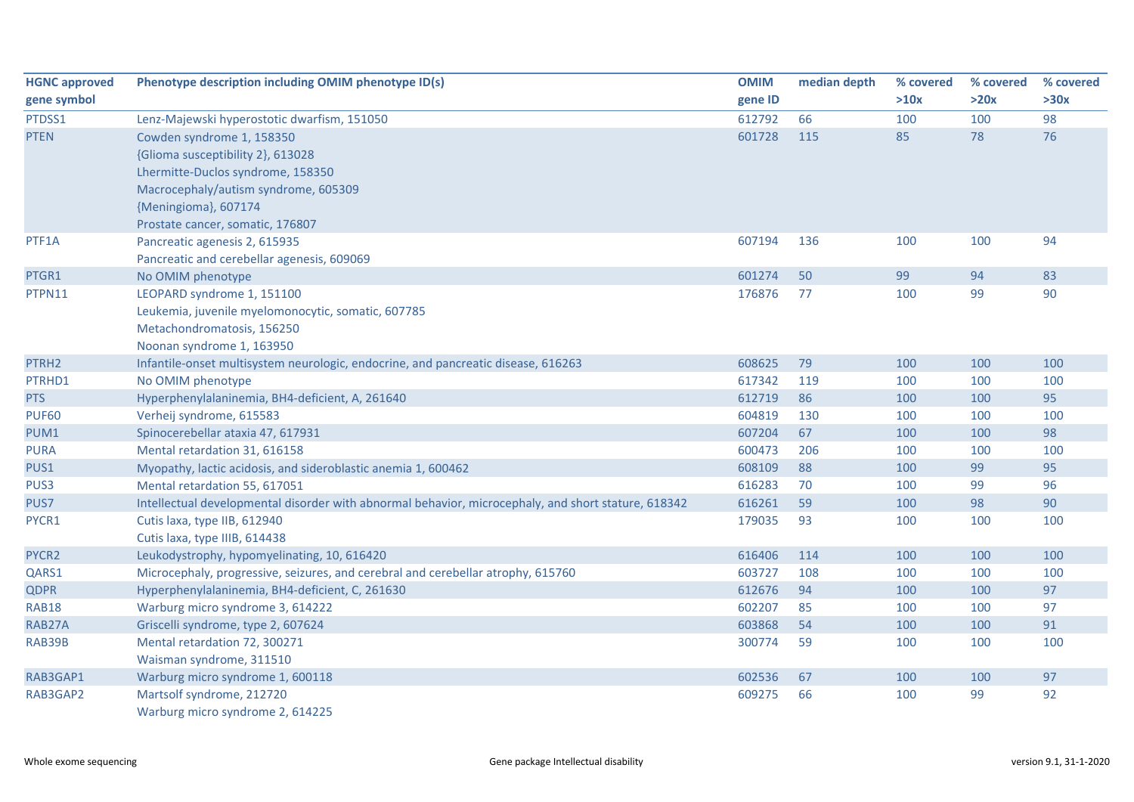| <b>HGNC approved</b> | Phenotype description including OMIM phenotype ID(s)                                                | <b>OMIM</b> | median depth | % covered | % covered | % covered |
|----------------------|-----------------------------------------------------------------------------------------------------|-------------|--------------|-----------|-----------|-----------|
| gene symbol          |                                                                                                     | gene ID     |              | >10x      | >20x      | >30x      |
| PTDSS1               | Lenz-Majewski hyperostotic dwarfism, 151050                                                         | 612792      | 66           | 100       | 100       | 98        |
| <b>PTEN</b>          | Cowden syndrome 1, 158350                                                                           | 601728      | 115          | 85        | 78        | 76        |
|                      | {Glioma susceptibility 2}, 613028                                                                   |             |              |           |           |           |
|                      | Lhermitte-Duclos syndrome, 158350                                                                   |             |              |           |           |           |
|                      | Macrocephaly/autism syndrome, 605309                                                                |             |              |           |           |           |
|                      | {Meningioma}, 607174                                                                                |             |              |           |           |           |
|                      | Prostate cancer, somatic, 176807                                                                    |             |              |           |           |           |
| PTF1A                | Pancreatic agenesis 2, 615935                                                                       | 607194      | 136          | 100       | 100       | 94        |
|                      | Pancreatic and cerebellar agenesis, 609069                                                          |             |              |           |           |           |
| PTGR1                | No OMIM phenotype                                                                                   | 601274      | 50           | 99        | 94        | 83        |
| PTPN11               | LEOPARD syndrome 1, 151100                                                                          | 176876      | 77           | 100       | 99        | 90        |
|                      | Leukemia, juvenile myelomonocytic, somatic, 607785                                                  |             |              |           |           |           |
|                      | Metachondromatosis, 156250                                                                          |             |              |           |           |           |
|                      | Noonan syndrome 1, 163950                                                                           |             |              |           |           |           |
| PTRH <sub>2</sub>    | Infantile-onset multisystem neurologic, endocrine, and pancreatic disease, 616263                   | 608625      | 79           | 100       | 100       | 100       |
| PTRHD1               | No OMIM phenotype                                                                                   | 617342      | 119          | 100       | 100       | 100       |
| <b>PTS</b>           | Hyperphenylalaninemia, BH4-deficient, A, 261640                                                     | 612719      | 86           | 100       | 100       | 95        |
| <b>PUF60</b>         | Verheij syndrome, 615583                                                                            | 604819      | 130          | 100       | 100       | 100       |
| PUM1                 | Spinocerebellar ataxia 47, 617931                                                                   | 607204      | 67           | 100       | 100       | 98        |
| <b>PURA</b>          | Mental retardation 31, 616158                                                                       | 600473      | 206          | 100       | 100       | 100       |
| PUS1                 | Myopathy, lactic acidosis, and sideroblastic anemia 1, 600462                                       | 608109      | 88           | 100       | 99        | 95        |
| PUS3                 | Mental retardation 55, 617051                                                                       | 616283      | 70           | 100       | 99        | 96        |
| PUS7                 | Intellectual developmental disorder with abnormal behavior, microcephaly, and short stature, 618342 | 616261      | 59           | 100       | 98        | 90        |
| PYCR1                | Cutis laxa, type IIB, 612940                                                                        | 179035      | 93           | 100       | 100       | 100       |
|                      | Cutis laxa, type IIIB, 614438                                                                       |             |              |           |           |           |
| PYCR2                | Leukodystrophy, hypomyelinating, 10, 616420                                                         | 616406      | 114          | 100       | 100       | 100       |
| QARS1                | Microcephaly, progressive, seizures, and cerebral and cerebellar atrophy, 615760                    | 603727      | 108          | 100       | 100       | 100       |
| <b>QDPR</b>          | Hyperphenylalaninemia, BH4-deficient, C, 261630                                                     | 612676      | 94           | 100       | 100       | 97        |
| <b>RAB18</b>         | Warburg micro syndrome 3, 614222                                                                    | 602207      | 85           | 100       | 100       | 97        |
| RAB27A               | Griscelli syndrome, type 2, 607624                                                                  | 603868      | 54           | 100       | 100       | 91        |
| RAB39B               | Mental retardation 72, 300271                                                                       | 300774      | 59           | 100       | 100       | 100       |
|                      | Waisman syndrome, 311510                                                                            |             |              |           |           |           |
| RAB3GAP1             | Warburg micro syndrome 1, 600118                                                                    | 602536      | 67           | 100       | 100       | 97        |
| RAB3GAP2             | Martsolf syndrome, 212720                                                                           | 609275      | 66           | 100       | 99        | 92        |
|                      | Warburg micro syndrome 2, 614225                                                                    |             |              |           |           |           |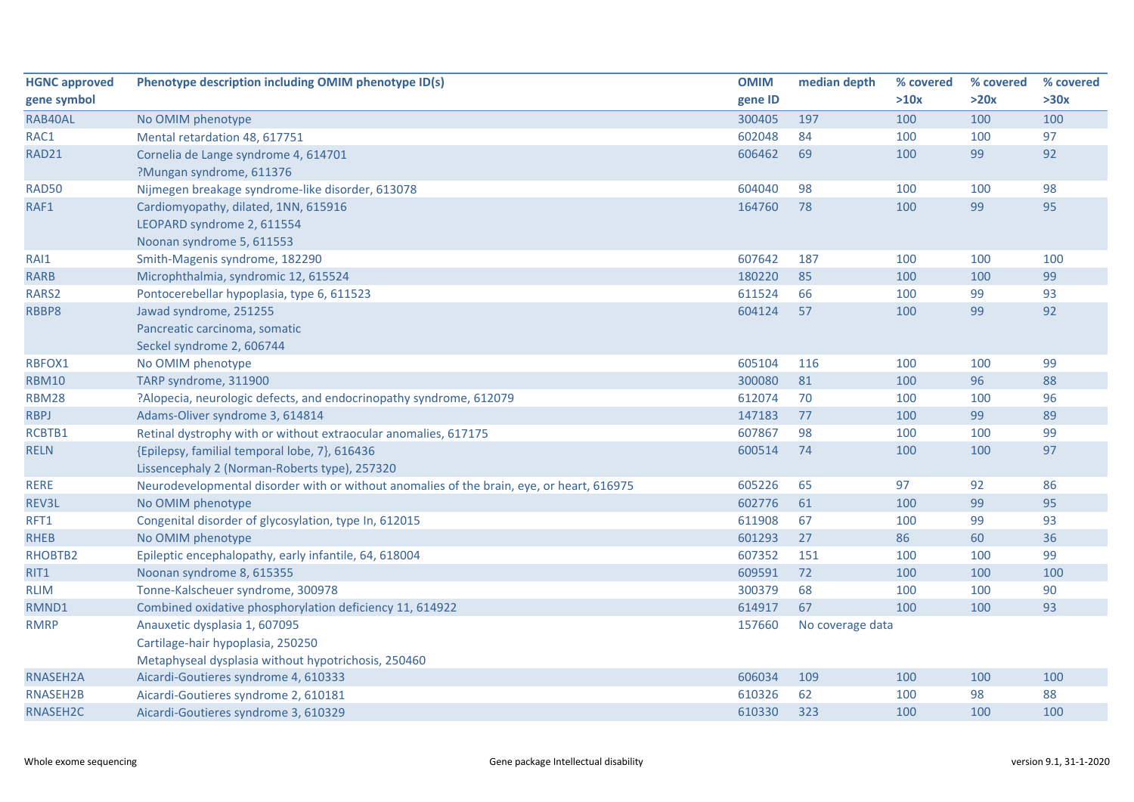| <b>HGNC approved</b> | Phenotype description including OMIM phenotype ID(s)                                      | <b>OMIM</b> | median depth     | % covered | % covered | % covered |
|----------------------|-------------------------------------------------------------------------------------------|-------------|------------------|-----------|-----------|-----------|
| gene symbol          |                                                                                           | gene ID     |                  | >10x      | >20x      | >30x      |
| RAB40AL              | No OMIM phenotype                                                                         | 300405      | 197              | 100       | 100       | 100       |
| RAC1                 | Mental retardation 48, 617751                                                             | 602048      | 84               | 100       | 100       | 97        |
| <b>RAD21</b>         | Cornelia de Lange syndrome 4, 614701                                                      | 606462      | 69               | 100       | 99        | 92        |
|                      | ?Mungan syndrome, 611376                                                                  |             |                  |           |           |           |
| <b>RAD50</b>         | Nijmegen breakage syndrome-like disorder, 613078                                          | 604040      | 98               | 100       | 100       | 98        |
| RAF1                 | Cardiomyopathy, dilated, 1NN, 615916                                                      | 164760      | 78               | 100       | 99        | 95        |
|                      | LEOPARD syndrome 2, 611554                                                                |             |                  |           |           |           |
|                      | Noonan syndrome 5, 611553                                                                 |             |                  |           |           |           |
| RAI1                 | Smith-Magenis syndrome, 182290                                                            | 607642      | 187              | 100       | 100       | 100       |
| <b>RARB</b>          | Microphthalmia, syndromic 12, 615524                                                      | 180220      | 85               | 100       | 100       | 99        |
| RARS2                | Pontocerebellar hypoplasia, type 6, 611523                                                | 611524      | 66               | 100       | 99        | 93        |
| RBBP8                | Jawad syndrome, 251255                                                                    | 604124      | 57               | 100       | 99        | 92        |
|                      | Pancreatic carcinoma, somatic                                                             |             |                  |           |           |           |
|                      | Seckel syndrome 2, 606744                                                                 |             |                  |           |           |           |
| RBFOX1               | No OMIM phenotype                                                                         | 605104      | 116              | 100       | 100       | 99        |
| <b>RBM10</b>         | TARP syndrome, 311900                                                                     | 300080      | 81               | 100       | 96        | 88        |
| <b>RBM28</b>         | ?Alopecia, neurologic defects, and endocrinopathy syndrome, 612079                        | 612074      | 70               | 100       | 100       | 96        |
| <b>RBPJ</b>          | Adams-Oliver syndrome 3, 614814                                                           | 147183      | 77               | 100       | 99        | 89        |
| RCBTB1               | Retinal dystrophy with or without extraocular anomalies, 617175                           | 607867      | 98               | 100       | 100       | 99        |
| <b>RELN</b>          | {Epilepsy, familial temporal lobe, 7}, 616436                                             | 600514      | 74               | 100       | 100       | 97        |
|                      | Lissencephaly 2 (Norman-Roberts type), 257320                                             |             |                  |           |           |           |
| <b>RERE</b>          | Neurodevelopmental disorder with or without anomalies of the brain, eye, or heart, 616975 | 605226      | 65               | 97        | 92        | 86        |
| REV3L                | No OMIM phenotype                                                                         | 602776      | 61               | 100       | 99        | 95        |
| RFT1                 | Congenital disorder of glycosylation, type In, 612015                                     | 611908      | 67               | 100       | 99        | 93        |
| <b>RHEB</b>          | No OMIM phenotype                                                                         | 601293      | 27               | 86        | 60        | 36        |
| RHOBTB2              | Epileptic encephalopathy, early infantile, 64, 618004                                     | 607352      | 151              | 100       | 100       | 99        |
| RIT1                 | Noonan syndrome 8, 615355                                                                 | 609591      | 72               | 100       | 100       | 100       |
| <b>RLIM</b>          | Tonne-Kalscheuer syndrome, 300978                                                         | 300379      | 68               | 100       | 100       | 90        |
| RMND1                | Combined oxidative phosphorylation deficiency 11, 614922                                  | 614917      | 67               | 100       | 100       | 93        |
| <b>RMRP</b>          | Anauxetic dysplasia 1, 607095                                                             | 157660      | No coverage data |           |           |           |
|                      | Cartilage-hair hypoplasia, 250250                                                         |             |                  |           |           |           |
|                      | Metaphyseal dysplasia without hypotrichosis, 250460                                       |             |                  |           |           |           |
| RNASEH2A             | Aicardi-Goutieres syndrome 4, 610333                                                      | 606034      | 109              | 100       | 100       | 100       |
| RNASEH2B             | Aicardi-Goutieres syndrome 2, 610181                                                      | 610326      | 62               | 100       | 98        | 88        |
| RNASEH <sub>2C</sub> | Aicardi-Goutieres syndrome 3, 610329                                                      | 610330      | 323              | 100       | 100       | 100       |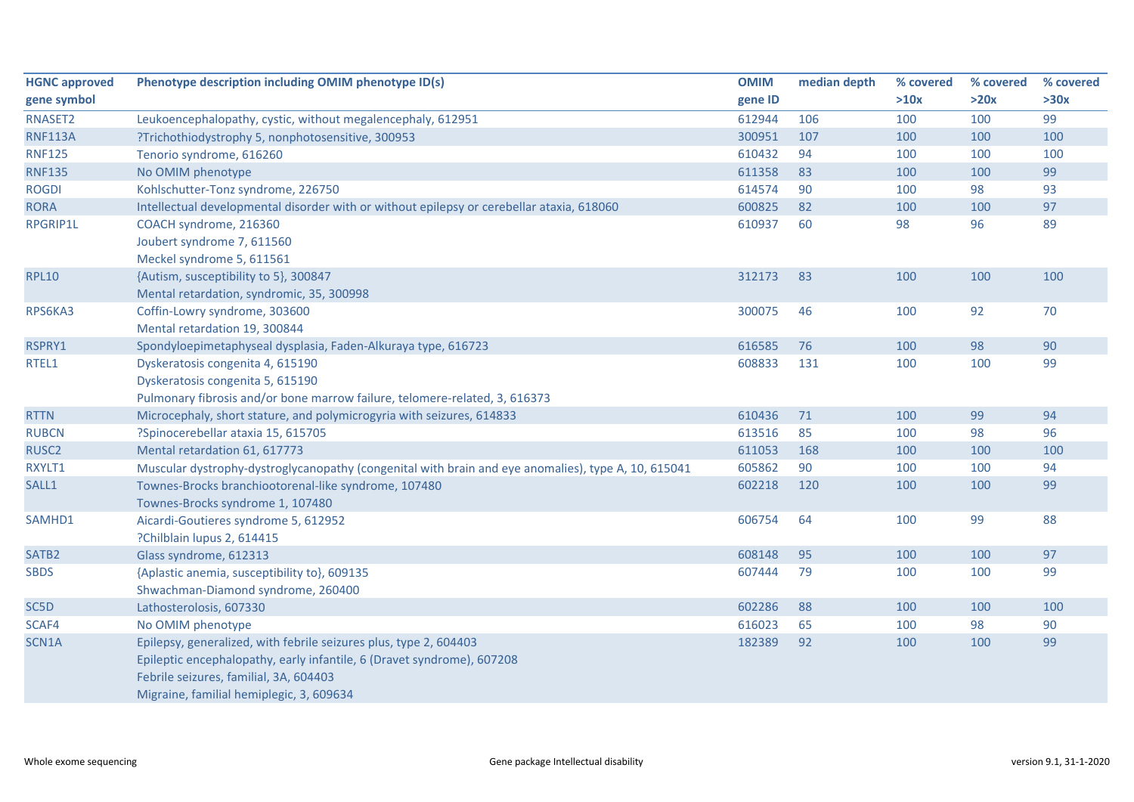| <b>HGNC approved</b> | Phenotype description including OMIM phenotype ID(s)                                                | <b>OMIM</b> | median depth | % covered | % covered | % covered |
|----------------------|-----------------------------------------------------------------------------------------------------|-------------|--------------|-----------|-----------|-----------|
| gene symbol          |                                                                                                     | gene ID     |              | >10x      | >20x      | >30x      |
| RNASET2              | Leukoencephalopathy, cystic, without megalencephaly, 612951                                         | 612944      | 106          | 100       | 100       | 99        |
| <b>RNF113A</b>       | ?Trichothiodystrophy 5, nonphotosensitive, 300953                                                   | 300951      | 107          | 100       | 100       | 100       |
| <b>RNF125</b>        | Tenorio syndrome, 616260                                                                            | 610432      | 94           | 100       | 100       | 100       |
| <b>RNF135</b>        | No OMIM phenotype                                                                                   | 611358      | 83           | 100       | 100       | 99        |
| <b>ROGDI</b>         | Kohlschutter-Tonz syndrome, 226750                                                                  | 614574      | 90           | 100       | 98        | 93        |
| <b>RORA</b>          | Intellectual developmental disorder with or without epilepsy or cerebellar ataxia, 618060           | 600825      | 82           | 100       | 100       | 97        |
| RPGRIP1L             | COACH syndrome, 216360                                                                              | 610937      | 60           | 98        | 96        | 89        |
|                      | Joubert syndrome 7, 611560                                                                          |             |              |           |           |           |
|                      | Meckel syndrome 5, 611561                                                                           |             |              |           |           |           |
| <b>RPL10</b>         | {Autism, susceptibility to 5}, 300847                                                               | 312173      | 83           | 100       | 100       | 100       |
|                      | Mental retardation, syndromic, 35, 300998                                                           |             |              |           |           |           |
| RPS6KA3              | Coffin-Lowry syndrome, 303600                                                                       | 300075      | 46           | 100       | 92        | 70        |
|                      | Mental retardation 19, 300844                                                                       |             |              |           |           |           |
| RSPRY1               | Spondyloepimetaphyseal dysplasia, Faden-Alkuraya type, 616723                                       | 616585      | 76           | 100       | 98        | 90        |
| RTEL1                | Dyskeratosis congenita 4, 615190                                                                    | 608833      | 131          | 100       | 100       | 99        |
|                      | Dyskeratosis congenita 5, 615190                                                                    |             |              |           |           |           |
|                      | Pulmonary fibrosis and/or bone marrow failure, telomere-related, 3, 616373                          |             |              |           |           |           |
| <b>RTTN</b>          | Microcephaly, short stature, and polymicrogyria with seizures, 614833                               | 610436      | 71           | 100       | 99        | 94        |
| <b>RUBCN</b>         | ?Spinocerebellar ataxia 15, 615705                                                                  | 613516      | 85           | 100       | 98        | 96        |
| RUSC <sub>2</sub>    | Mental retardation 61, 617773                                                                       | 611053      | 168          | 100       | 100       | 100       |
| RXYLT1               | Muscular dystrophy-dystroglycanopathy (congenital with brain and eye anomalies), type A, 10, 615041 | 605862      | 90           | 100       | 100       | 94        |
| SALL1                | Townes-Brocks branchiootorenal-like syndrome, 107480                                                | 602218      | 120          | 100       | 100       | 99        |
|                      | Townes-Brocks syndrome 1, 107480                                                                    |             |              |           |           |           |
| SAMHD1               | Aicardi-Goutieres syndrome 5, 612952                                                                | 606754      | 64           | 100       | 99        | 88        |
|                      | ?Chilblain lupus 2, 614415                                                                          |             |              |           |           |           |
| SATB <sub>2</sub>    | Glass syndrome, 612313                                                                              | 608148      | 95           | 100       | 100       | 97        |
| <b>SBDS</b>          | {Aplastic anemia, susceptibility to}, 609135                                                        | 607444      | 79           | 100       | 100       | 99        |
|                      | Shwachman-Diamond syndrome, 260400                                                                  |             |              |           |           |           |
| SC5D                 | Lathosterolosis, 607330                                                                             | 602286      | 88           | 100       | 100       | 100       |
| SCAF4                | No OMIM phenotype                                                                                   | 616023      | 65           | 100       | 98        | 90        |
| SCN1A                | Epilepsy, generalized, with febrile seizures plus, type 2, 604403                                   | 182389      | 92           | 100       | 100       | 99        |
|                      | Epileptic encephalopathy, early infantile, 6 (Dravet syndrome), 607208                              |             |              |           |           |           |
|                      | Febrile seizures, familial, 3A, 604403                                                              |             |              |           |           |           |
|                      | Migraine, familial hemiplegic, 3, 609634                                                            |             |              |           |           |           |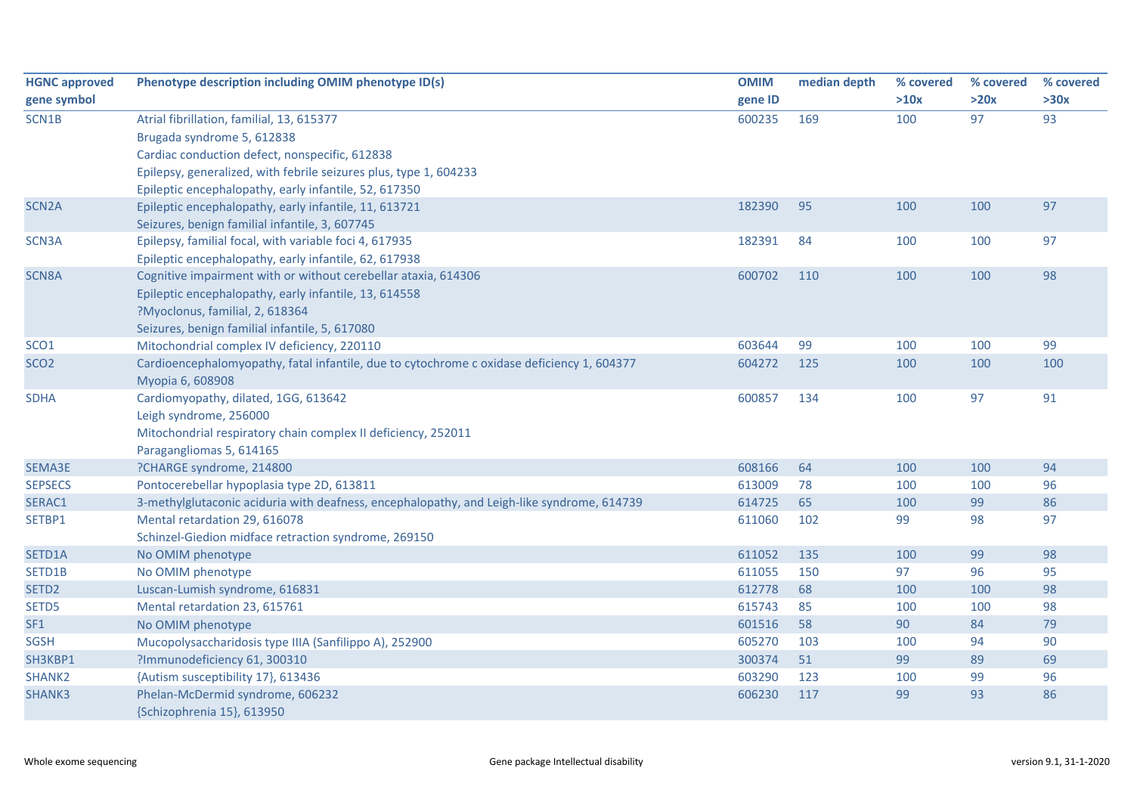| <b>HGNC approved</b> | Phenotype description including OMIM phenotype ID(s)                                       | <b>OMIM</b> | median depth | % covered | % covered | % covered |
|----------------------|--------------------------------------------------------------------------------------------|-------------|--------------|-----------|-----------|-----------|
| gene symbol          |                                                                                            | gene ID     |              | >10x      | >20x      | >30x      |
| SCN1B                | Atrial fibrillation, familial, 13, 615377                                                  | 600235      | 169          | 100       | 97        | 93        |
|                      | Brugada syndrome 5, 612838                                                                 |             |              |           |           |           |
|                      | Cardiac conduction defect, nonspecific, 612838                                             |             |              |           |           |           |
|                      | Epilepsy, generalized, with febrile seizures plus, type 1, 604233                          |             |              |           |           |           |
|                      | Epileptic encephalopathy, early infantile, 52, 617350                                      |             |              |           |           |           |
| SCN <sub>2</sub> A   | Epileptic encephalopathy, early infantile, 11, 613721                                      | 182390      | 95           | 100       | 100       | 97        |
|                      | Seizures, benign familial infantile, 3, 607745                                             |             |              |           |           |           |
| SCN3A                | Epilepsy, familial focal, with variable foci 4, 617935                                     | 182391      | 84           | 100       | 100       | 97        |
|                      | Epileptic encephalopathy, early infantile, 62, 617938                                      |             |              |           |           |           |
| SCN8A                | Cognitive impairment with or without cerebellar ataxia, 614306                             | 600702      | 110          | 100       | 100       | 98        |
|                      | Epileptic encephalopathy, early infantile, 13, 614558                                      |             |              |           |           |           |
|                      | ?Myoclonus, familial, 2, 618364                                                            |             |              |           |           |           |
|                      | Seizures, benign familial infantile, 5, 617080                                             |             |              |           |           |           |
| SCO <sub>1</sub>     | Mitochondrial complex IV deficiency, 220110                                                | 603644      | 99           | 100       | 100       | 99        |
| SCO <sub>2</sub>     | Cardioencephalomyopathy, fatal infantile, due to cytochrome c oxidase deficiency 1, 604377 | 604272      | 125          | 100       | 100       | 100       |
|                      | Myopia 6, 608908                                                                           |             |              |           |           |           |
| <b>SDHA</b>          | Cardiomyopathy, dilated, 1GG, 613642                                                       | 600857      | 134          | 100       | 97        | 91        |
|                      | Leigh syndrome, 256000                                                                     |             |              |           |           |           |
|                      | Mitochondrial respiratory chain complex II deficiency, 252011                              |             |              |           |           |           |
|                      | Paragangliomas 5, 614165                                                                   |             |              |           |           |           |
| SEMA3E               | ?CHARGE syndrome, 214800                                                                   | 608166      | 64           | 100       | 100       | 94        |
| <b>SEPSECS</b>       | Pontocerebellar hypoplasia type 2D, 613811                                                 | 613009      | 78           | 100       | 100       | 96        |
| SERAC1               | 3-methylglutaconic aciduria with deafness, encephalopathy, and Leigh-like syndrome, 614739 | 614725      | 65           | 100       | 99        | 86        |
| SETBP1               | Mental retardation 29, 616078                                                              | 611060      | 102          | 99        | 98        | 97        |
|                      | Schinzel-Giedion midface retraction syndrome, 269150                                       |             |              |           |           |           |
| SETD1A               | No OMIM phenotype                                                                          | 611052      | 135          | 100       | 99        | 98        |
| SETD1B               | No OMIM phenotype                                                                          | 611055      | 150          | 97        | 96        | 95        |
| SETD <sub>2</sub>    | Luscan-Lumish syndrome, 616831                                                             | 612778      | 68           | 100       | 100       | 98        |
| SETD5                | Mental retardation 23, 615761                                                              | 615743      | 85           | 100       | 100       | 98        |
| SF1                  | No OMIM phenotype                                                                          | 601516      | 58           | 90        | 84        | 79        |
| <b>SGSH</b>          | Mucopolysaccharidosis type IIIA (Sanfilippo A), 252900                                     | 605270      | 103          | 100       | 94        | 90        |
| SH3KBP1              | ?Immunodeficiency 61, 300310                                                               | 300374      | 51           | 99        | 89        | 69        |
| SHANK2               | {Autism susceptibility 17}, 613436                                                         | 603290      | 123          | 100       | 99        | 96        |
| SHANK3               | Phelan-McDermid syndrome, 606232                                                           | 606230      | 117          | 99        | 93        | 86        |
|                      | {Schizophrenia 15}, 613950                                                                 |             |              |           |           |           |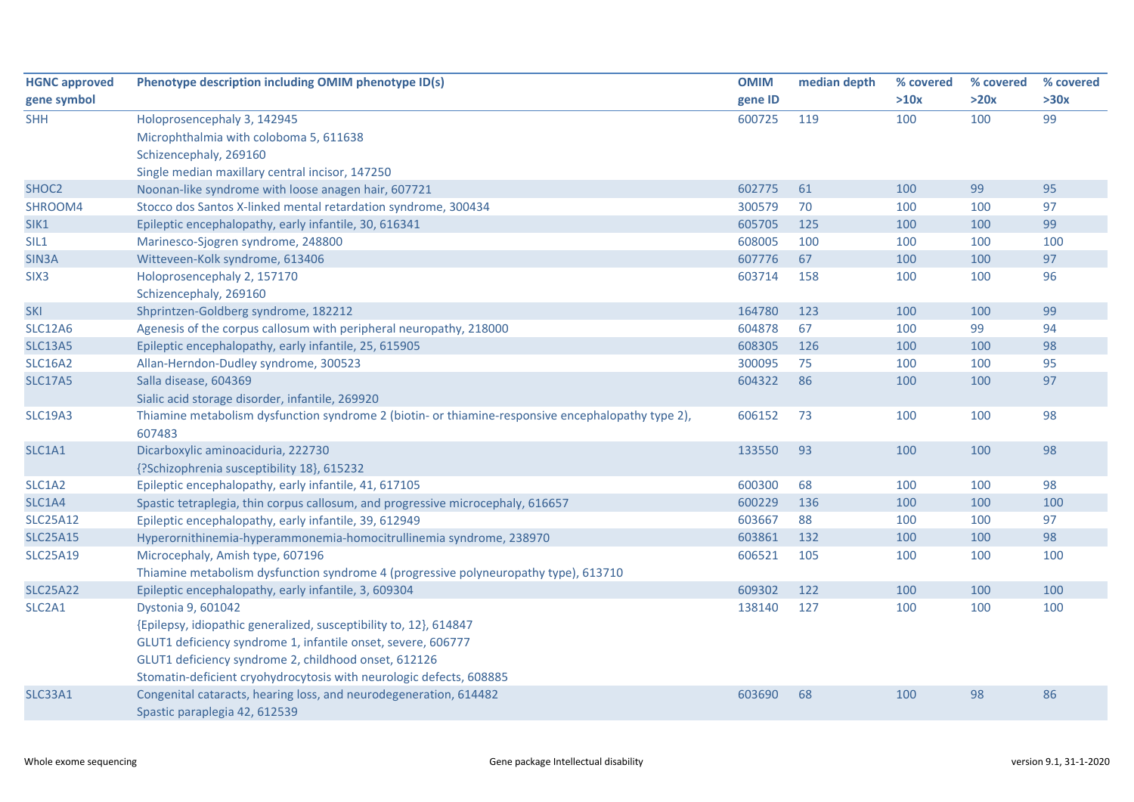| <b>HGNC approved</b> | Phenotype description including OMIM phenotype ID(s)                                               | <b>OMIM</b> | median depth | % covered | % covered | % covered |
|----------------------|----------------------------------------------------------------------------------------------------|-------------|--------------|-----------|-----------|-----------|
| gene symbol          |                                                                                                    | gene ID     |              | >10x      | >20x      | >30x      |
| <b>SHH</b>           | Holoprosencephaly 3, 142945                                                                        | 600725      | 119          | 100       | 100       | 99        |
|                      | Microphthalmia with coloboma 5, 611638                                                             |             |              |           |           |           |
|                      | Schizencephaly, 269160                                                                             |             |              |           |           |           |
|                      | Single median maxillary central incisor, 147250                                                    |             |              |           |           |           |
| SHOC <sub>2</sub>    | Noonan-like syndrome with loose anagen hair, 607721                                                | 602775      | 61           | 100       | 99        | 95        |
| SHROOM4              | Stocco dos Santos X-linked mental retardation syndrome, 300434                                     | 300579      | 70           | 100       | 100       | 97        |
| SIK1                 | Epileptic encephalopathy, early infantile, 30, 616341                                              | 605705      | 125          | 100       | 100       | 99        |
| SIL1                 | Marinesco-Sjogren syndrome, 248800                                                                 | 608005      | 100          | 100       | 100       | 100       |
| SIN3A                | Witteveen-Kolk syndrome, 613406                                                                    | 607776      | 67           | 100       | 100       | 97        |
| SIX <sub>3</sub>     | Holoprosencephaly 2, 157170                                                                        | 603714      | 158          | 100       | 100       | 96        |
|                      | Schizencephaly, 269160                                                                             |             |              |           |           |           |
| <b>SKI</b>           | Shprintzen-Goldberg syndrome, 182212                                                               | 164780      | 123          | 100       | 100       | 99        |
| <b>SLC12A6</b>       | Agenesis of the corpus callosum with peripheral neuropathy, 218000                                 | 604878      | 67           | 100       | 99        | 94        |
| <b>SLC13A5</b>       | Epileptic encephalopathy, early infantile, 25, 615905                                              | 608305      | 126          | 100       | 100       | 98        |
| <b>SLC16A2</b>       | Allan-Herndon-Dudley syndrome, 300523                                                              | 300095      | 75           | 100       | 100       | 95        |
| <b>SLC17A5</b>       | Salla disease, 604369                                                                              | 604322      | 86           | 100       | 100       | 97        |
|                      | Sialic acid storage disorder, infantile, 269920                                                    |             |              |           |           |           |
| <b>SLC19A3</b>       | Thiamine metabolism dysfunction syndrome 2 (biotin- or thiamine-responsive encephalopathy type 2), | 606152      | 73           | 100       | 100       | 98        |
|                      | 607483                                                                                             |             |              |           |           |           |
| SLC1A1               | Dicarboxylic aminoaciduria, 222730                                                                 | 133550      | 93           | 100       | 100       | 98        |
|                      | {?Schizophrenia susceptibility 18}, 615232                                                         |             |              |           |           |           |
| SLC1A2               | Epileptic encephalopathy, early infantile, 41, 617105                                              | 600300      | 68           | 100       | 100       | 98        |
| SLC1A4               | Spastic tetraplegia, thin corpus callosum, and progressive microcephaly, 616657                    | 600229      | 136          | 100       | 100       | 100       |
| <b>SLC25A12</b>      | Epileptic encephalopathy, early infantile, 39, 612949                                              | 603667      | 88           | 100       | 100       | 97        |
| <b>SLC25A15</b>      | Hyperornithinemia-hyperammonemia-homocitrullinemia syndrome, 238970                                | 603861      | 132          | 100       | 100       | 98        |
| <b>SLC25A19</b>      | Microcephaly, Amish type, 607196                                                                   | 606521      | 105          | 100       | 100       | 100       |
|                      | Thiamine metabolism dysfunction syndrome 4 (progressive polyneuropathy type), 613710               |             |              |           |           |           |
| <b>SLC25A22</b>      | Epileptic encephalopathy, early infantile, 3, 609304                                               | 609302      | 122          | 100       | 100       | 100       |
| SLC2A1               | Dystonia 9, 601042                                                                                 | 138140      | 127          | 100       | 100       | 100       |
|                      | {Epilepsy, idiopathic generalized, susceptibility to, 12}, 614847                                  |             |              |           |           |           |
|                      | GLUT1 deficiency syndrome 1, infantile onset, severe, 606777                                       |             |              |           |           |           |
|                      | GLUT1 deficiency syndrome 2, childhood onset, 612126                                               |             |              |           |           |           |
|                      | Stomatin-deficient cryohydrocytosis with neurologic defects, 608885                                |             |              |           |           |           |
| <b>SLC33A1</b>       | Congenital cataracts, hearing loss, and neurodegeneration, 614482                                  | 603690      | 68           | 100       | 98        | 86        |
|                      | Spastic paraplegia 42, 612539                                                                      |             |              |           |           |           |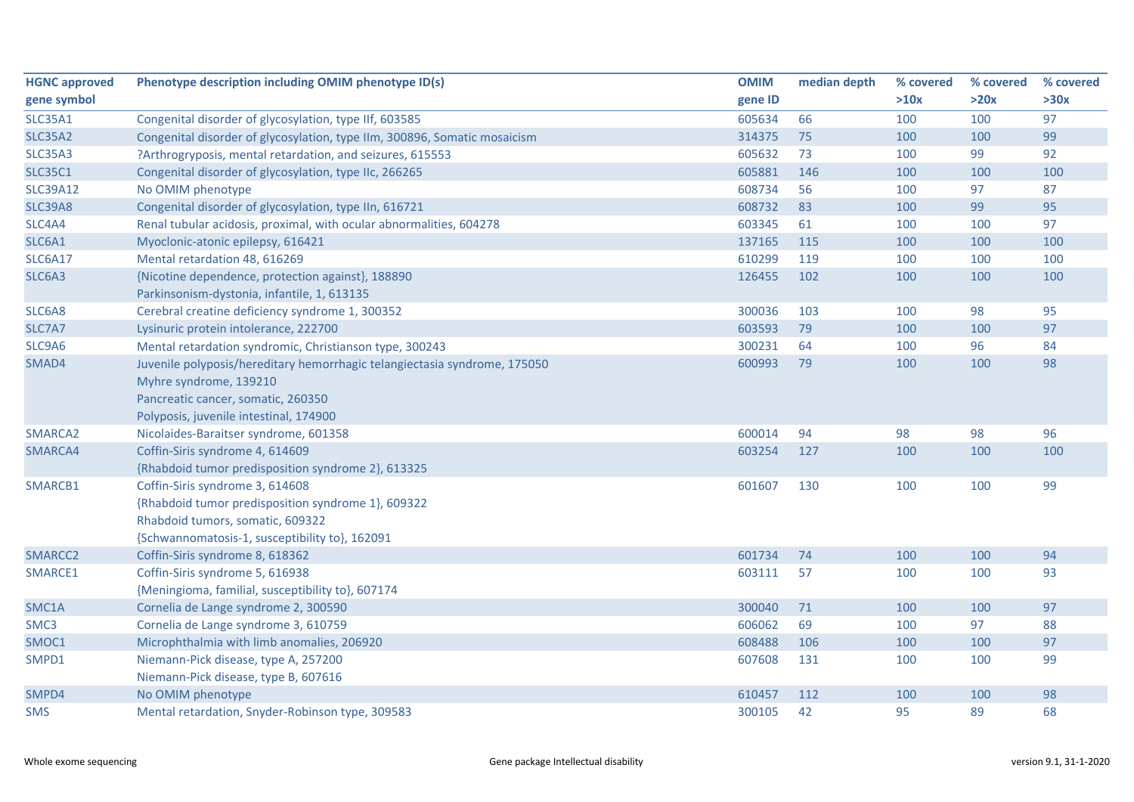| <b>HGNC approved</b> | Phenotype description including OMIM phenotype ID(s)                      | <b>OMIM</b> | median depth | % covered | % covered | % covered |
|----------------------|---------------------------------------------------------------------------|-------------|--------------|-----------|-----------|-----------|
| gene symbol          |                                                                           | gene ID     |              | >10x      | >20x      | >30x      |
| <b>SLC35A1</b>       | Congenital disorder of glycosylation, type IIf, 603585                    | 605634      | 66           | 100       | 100       | 97        |
| <b>SLC35A2</b>       | Congenital disorder of glycosylation, type IIm, 300896, Somatic mosaicism | 314375      | 75           | 100       | 100       | 99        |
| <b>SLC35A3</b>       | ?Arthrogryposis, mental retardation, and seizures, 615553                 | 605632      | 73           | 100       | 99        | 92        |
| <b>SLC35C1</b>       | Congenital disorder of glycosylation, type IIc, 266265                    | 605881      | 146          | 100       | 100       | 100       |
| <b>SLC39A12</b>      | No OMIM phenotype                                                         | 608734      | 56           | 100       | 97        | 87        |
| <b>SLC39A8</b>       | Congenital disorder of glycosylation, type IIn, 616721                    | 608732      | 83           | 100       | 99        | 95        |
| SLC4A4               | Renal tubular acidosis, proximal, with ocular abnormalities, 604278       | 603345      | 61           | 100       | 100       | 97        |
| SLC6A1               | Myoclonic-atonic epilepsy, 616421                                         | 137165      | 115          | 100       | 100       | 100       |
| <b>SLC6A17</b>       | Mental retardation 48, 616269                                             | 610299      | 119          | 100       | 100       | 100       |
| SLC6A3               | {Nicotine dependence, protection against}, 188890                         | 126455      | 102          | 100       | 100       | 100       |
|                      | Parkinsonism-dystonia, infantile, 1, 613135                               |             |              |           |           |           |
| SLC6A8               | Cerebral creatine deficiency syndrome 1, 300352                           | 300036      | 103          | 100       | 98        | 95        |
| SLC7A7               | Lysinuric protein intolerance, 222700                                     | 603593      | 79           | 100       | 100       | 97        |
| SLC9A6               | Mental retardation syndromic, Christianson type, 300243                   | 300231      | 64           | 100       | 96        | 84        |
| SMAD4                | Juvenile polyposis/hereditary hemorrhagic telangiectasia syndrome, 175050 | 600993      | 79           | 100       | 100       | 98        |
|                      | Myhre syndrome, 139210                                                    |             |              |           |           |           |
|                      | Pancreatic cancer, somatic, 260350                                        |             |              |           |           |           |
|                      | Polyposis, juvenile intestinal, 174900                                    |             |              |           |           |           |
| SMARCA2              | Nicolaides-Baraitser syndrome, 601358                                     | 600014      | 94           | 98        | 98        | 96        |
| SMARCA4              | Coffin-Siris syndrome 4, 614609                                           | 603254      | 127          | 100       | 100       | 100       |
|                      | {Rhabdoid tumor predisposition syndrome 2}, 613325                        |             |              |           |           |           |
| SMARCB1              | Coffin-Siris syndrome 3, 614608                                           | 601607      | 130          | 100       | 100       | 99        |
|                      | {Rhabdoid tumor predisposition syndrome 1}, 609322                        |             |              |           |           |           |
|                      | Rhabdoid tumors, somatic, 609322                                          |             |              |           |           |           |
|                      | {Schwannomatosis-1, susceptibility to}, 162091                            |             |              |           |           |           |
| SMARCC <sub>2</sub>  | Coffin-Siris syndrome 8, 618362                                           | 601734      | 74           | 100       | 100       | 94        |
| SMARCE1              | Coffin-Siris syndrome 5, 616938                                           | 603111      | 57           | 100       | 100       | 93        |
|                      | {Meningioma, familial, susceptibility to}, 607174                         |             |              |           |           |           |
| SMC1A                | Cornelia de Lange syndrome 2, 300590                                      | 300040      | 71           | 100       | 100       | 97        |
| SMC <sub>3</sub>     | Cornelia de Lange syndrome 3, 610759                                      | 606062      | 69           | 100       | 97        | 88        |
| SMOC1                | Microphthalmia with limb anomalies, 206920                                | 608488      | 106          | 100       | 100       | 97        |
| SMPD1                | Niemann-Pick disease, type A, 257200                                      | 607608      | 131          | 100       | 100       | 99        |
|                      | Niemann-Pick disease, type B, 607616                                      |             |              |           |           |           |
| SMPD4                | No OMIM phenotype                                                         | 610457      | 112          | 100       | 100       | 98        |
| <b>SMS</b>           | Mental retardation, Snyder-Robinson type, 309583                          | 300105      | 42           | 95        | 89        | 68        |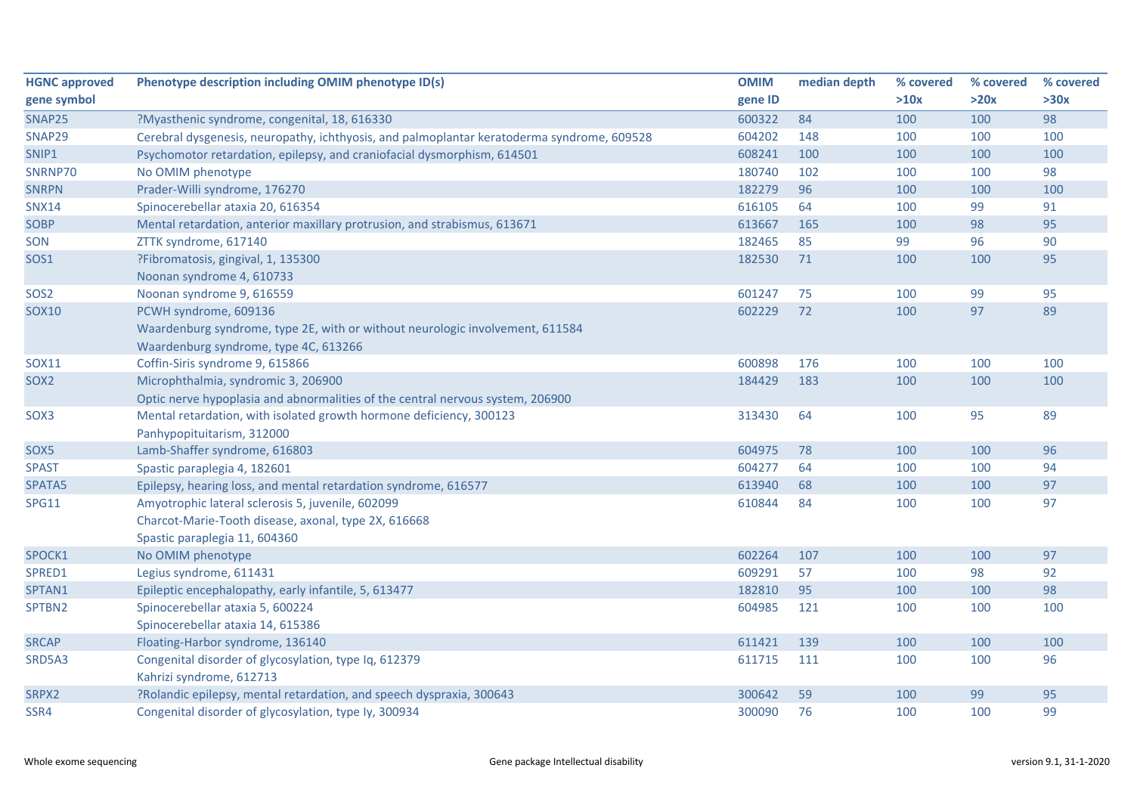| <b>HGNC approved</b> | Phenotype description including OMIM phenotype ID(s)                                       | <b>OMIM</b> | median depth | % covered | % covered | % covered |
|----------------------|--------------------------------------------------------------------------------------------|-------------|--------------|-----------|-----------|-----------|
| gene symbol          |                                                                                            | gene ID     |              | >10x      | >20x      | >30x      |
| SNAP25               | ?Myasthenic syndrome, congenital, 18, 616330                                               | 600322      | 84           | 100       | 100       | 98        |
| SNAP29               | Cerebral dysgenesis, neuropathy, ichthyosis, and palmoplantar keratoderma syndrome, 609528 | 604202      | 148          | 100       | 100       | 100       |
| SNIP1                | Psychomotor retardation, epilepsy, and craniofacial dysmorphism, 614501                    | 608241      | 100          | 100       | 100       | 100       |
| SNRNP70              | No OMIM phenotype                                                                          | 180740      | 102          | 100       | 100       | 98        |
| <b>SNRPN</b>         | Prader-Willi syndrome, 176270                                                              | 182279      | 96           | 100       | 100       | 100       |
| <b>SNX14</b>         | Spinocerebellar ataxia 20, 616354                                                          | 616105      | 64           | 100       | 99        | 91        |
| SOBP                 | Mental retardation, anterior maxillary protrusion, and strabismus, 613671                  | 613667      | 165          | 100       | 98        | 95        |
| SON                  | ZTTK syndrome, 617140                                                                      | 182465      | 85           | 99        | 96        | 90        |
| SOS1                 | ?Fibromatosis, gingival, 1, 135300                                                         | 182530      | 71           | 100       | 100       | 95        |
|                      | Noonan syndrome 4, 610733                                                                  |             |              |           |           |           |
| SOS <sub>2</sub>     | Noonan syndrome 9, 616559                                                                  | 601247      | 75           | 100       | 99        | 95        |
| <b>SOX10</b>         | PCWH syndrome, 609136                                                                      | 602229      | 72           | 100       | 97        | 89        |
|                      | Waardenburg syndrome, type 2E, with or without neurologic involvement, 611584              |             |              |           |           |           |
|                      | Waardenburg syndrome, type 4C, 613266                                                      |             |              |           |           |           |
| <b>SOX11</b>         | Coffin-Siris syndrome 9, 615866                                                            | 600898      | 176          | 100       | 100       | 100       |
| SOX <sub>2</sub>     | Microphthalmia, syndromic 3, 206900                                                        | 184429      | 183          | 100       | 100       | 100       |
|                      | Optic nerve hypoplasia and abnormalities of the central nervous system, 206900             |             |              |           |           |           |
| SOX3                 | Mental retardation, with isolated growth hormone deficiency, 300123                        | 313430      | 64           | 100       | 95        | 89        |
|                      | Panhypopituitarism, 312000                                                                 |             |              |           |           |           |
| SOX <sub>5</sub>     | Lamb-Shaffer syndrome, 616803                                                              | 604975      | 78           | 100       | 100       | 96        |
| <b>SPAST</b>         | Spastic paraplegia 4, 182601                                                               | 604277      | 64           | 100       | 100       | 94        |
| SPATA5               | Epilepsy, hearing loss, and mental retardation syndrome, 616577                            | 613940      | 68           | 100       | 100       | 97        |
| <b>SPG11</b>         | Amyotrophic lateral sclerosis 5, juvenile, 602099                                          | 610844      | 84           | 100       | 100       | 97        |
|                      | Charcot-Marie-Tooth disease, axonal, type 2X, 616668                                       |             |              |           |           |           |
|                      | Spastic paraplegia 11, 604360                                                              |             |              |           |           |           |
| SPOCK1               | No OMIM phenotype                                                                          | 602264      | 107          | 100       | 100       | 97        |
| SPRED1               | Legius syndrome, 611431                                                                    | 609291      | 57           | 100       | 98        | 92        |
| SPTAN1               | Epileptic encephalopathy, early infantile, 5, 613477                                       | 182810      | 95           | 100       | 100       | 98        |
| SPTBN2               | Spinocerebellar ataxia 5, 600224                                                           | 604985      | 121          | 100       | 100       | 100       |
|                      | Spinocerebellar ataxia 14, 615386                                                          |             |              |           |           |           |
| <b>SRCAP</b>         | Floating-Harbor syndrome, 136140                                                           | 611421      | 139          | 100       | 100       | 100       |
| SRD5A3               | Congenital disorder of glycosylation, type Iq, 612379                                      | 611715      | 111          | 100       | 100       | 96        |
|                      | Kahrizi syndrome, 612713                                                                   |             |              |           |           |           |
| SRPX2                | ?Rolandic epilepsy, mental retardation, and speech dyspraxia, 300643                       | 300642      | 59           | 100       | 99        | 95        |
| SSR4                 | Congenital disorder of glycosylation, type Iy, 300934                                      | 300090      | 76           | 100       | 100       | 99        |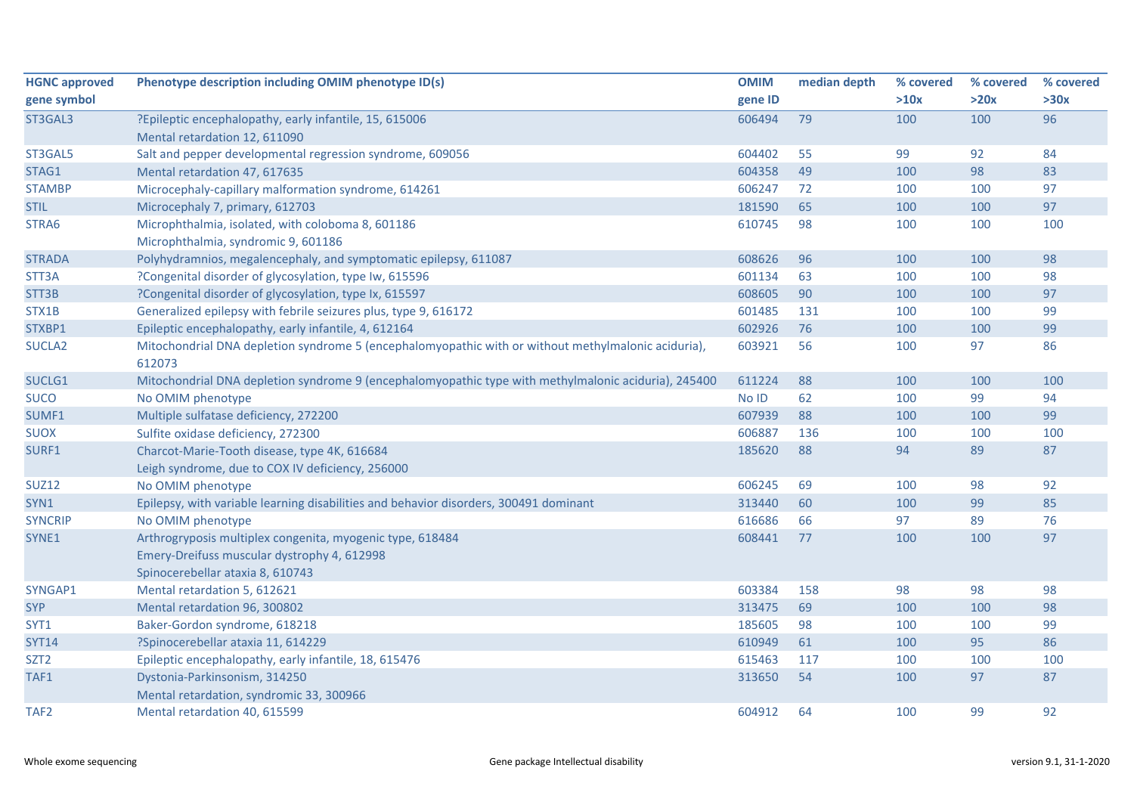| <b>HGNC approved</b> | Phenotype description including OMIM phenotype ID(s)                                                 | <b>OMIM</b> | median depth | % covered | % covered | % covered |
|----------------------|------------------------------------------------------------------------------------------------------|-------------|--------------|-----------|-----------|-----------|
| gene symbol          |                                                                                                      | gene ID     |              | >10x      | >20x      | >30x      |
| ST3GAL3              | ?Epileptic encephalopathy, early infantile, 15, 615006                                               | 606494      | 79           | 100       | 100       | 96        |
|                      | Mental retardation 12, 611090                                                                        |             |              |           |           |           |
| ST3GAL5              | Salt and pepper developmental regression syndrome, 609056                                            | 604402      | 55           | 99        | 92        | 84        |
| STAG1                | Mental retardation 47, 617635                                                                        | 604358      | 49           | 100       | 98        | 83        |
| <b>STAMBP</b>        | Microcephaly-capillary malformation syndrome, 614261                                                 | 606247      | 72           | 100       | 100       | 97        |
| <b>STIL</b>          | Microcephaly 7, primary, 612703                                                                      | 181590      | 65           | 100       | 100       | 97        |
| STRA6                | Microphthalmia, isolated, with coloboma 8, 601186                                                    | 610745      | 98           | 100       | 100       | 100       |
|                      | Microphthalmia, syndromic 9, 601186                                                                  |             |              |           |           |           |
| <b>STRADA</b>        | Polyhydramnios, megalencephaly, and symptomatic epilepsy, 611087                                     | 608626      | 96           | 100       | 100       | 98        |
| STT3A                | ?Congenital disorder of glycosylation, type Iw, 615596                                               | 601134      | 63           | 100       | 100       | 98        |
| STT3B                | ?Congenital disorder of glycosylation, type Ix, 615597                                               | 608605      | 90           | 100       | 100       | 97        |
| STX1B                | Generalized epilepsy with febrile seizures plus, type 9, 616172                                      | 601485      | 131          | 100       | 100       | 99        |
| STXBP1               | Epileptic encephalopathy, early infantile, 4, 612164                                                 | 602926      | 76           | 100       | 100       | 99        |
| SUCLA <sub>2</sub>   | Mitochondrial DNA depletion syndrome 5 (encephalomyopathic with or without methylmalonic aciduria),  | 603921      | 56           | 100       | 97        | 86        |
|                      | 612073                                                                                               |             |              |           |           |           |
| SUCLG1               | Mitochondrial DNA depletion syndrome 9 (encephalomyopathic type with methylmalonic aciduria), 245400 | 611224      | 88           | 100       | 100       | 100       |
| <b>SUCO</b>          | No OMIM phenotype                                                                                    | No ID       | 62           | 100       | 99        | 94        |
| SUMF1                | Multiple sulfatase deficiency, 272200                                                                | 607939      | 88           | 100       | 100       | 99        |
| <b>SUOX</b>          | Sulfite oxidase deficiency, 272300                                                                   | 606887      | 136          | 100       | 100       | 100       |
| SURF1                | Charcot-Marie-Tooth disease, type 4K, 616684                                                         | 185620      | 88           | 94        | 89        | 87        |
|                      | Leigh syndrome, due to COX IV deficiency, 256000                                                     |             |              |           |           |           |
| <b>SUZ12</b>         | No OMIM phenotype                                                                                    | 606245      | 69           | 100       | 98        | 92        |
| SYN1                 | Epilepsy, with variable learning disabilities and behavior disorders, 300491 dominant                | 313440      | 60           | 100       | 99        | 85        |
| <b>SYNCRIP</b>       | No OMIM phenotype                                                                                    | 616686      | 66           | 97        | 89        | 76        |
| SYNE1                | Arthrogryposis multiplex congenita, myogenic type, 618484                                            | 608441      | 77           | 100       | 100       | 97        |
|                      | Emery-Dreifuss muscular dystrophy 4, 612998                                                          |             |              |           |           |           |
|                      | Spinocerebellar ataxia 8, 610743                                                                     |             |              |           |           |           |
| SYNGAP1              | Mental retardation 5, 612621                                                                         | 603384      | 158          | 98        | 98        | 98        |
| <b>SYP</b>           | Mental retardation 96, 300802                                                                        | 313475      | 69           | 100       | 100       | 98        |
| SYT1                 | Baker-Gordon syndrome, 618218                                                                        | 185605      | 98           | 100       | 100       | 99        |
| <b>SYT14</b>         | ?Spinocerebellar ataxia 11, 614229                                                                   | 610949      | 61           | 100       | 95        | 86        |
| SZT <sub>2</sub>     | Epileptic encephalopathy, early infantile, 18, 615476                                                | 615463      | 117          | 100       | 100       | 100       |
| TAF1                 | Dystonia-Parkinsonism, 314250                                                                        | 313650      | 54           | 100       | 97        | 87        |
|                      | Mental retardation, syndromic 33, 300966                                                             |             |              |           |           |           |
| TAF <sub>2</sub>     | Mental retardation 40, 615599                                                                        | 604912      | 64           | 100       | 99        | 92        |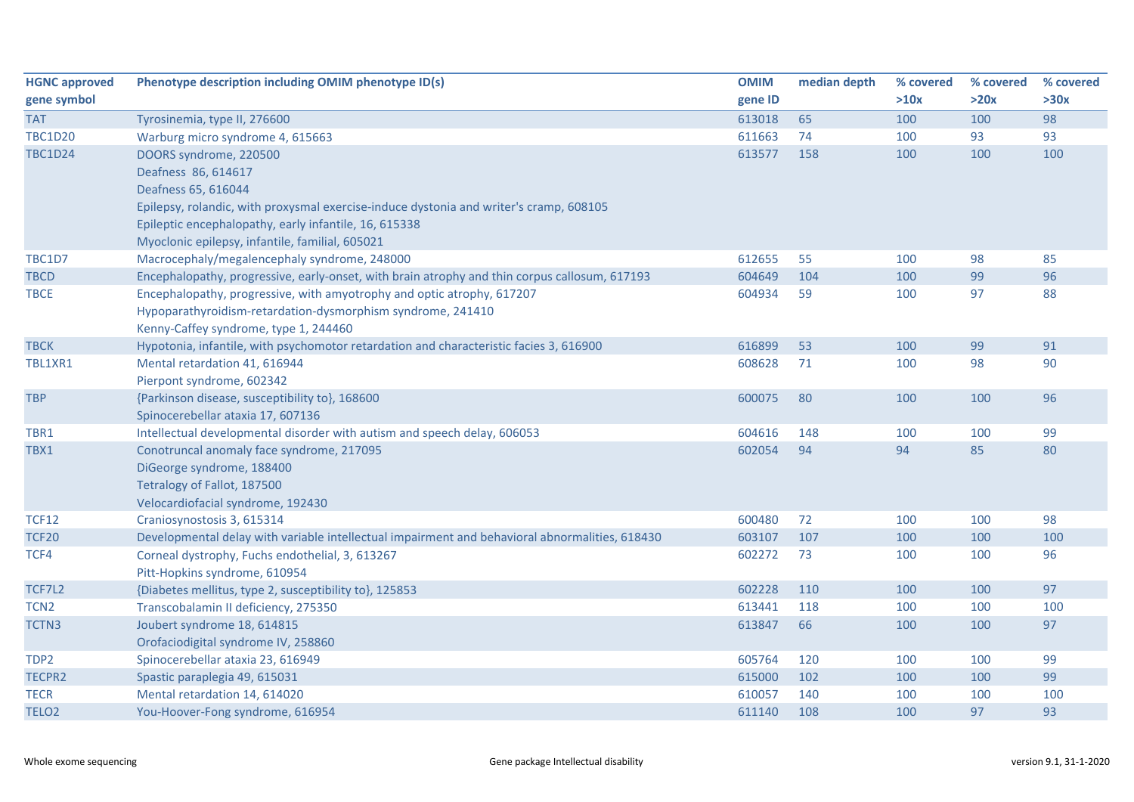| <b>HGNC approved</b> | Phenotype description including OMIM phenotype ID(s)                                           | <b>OMIM</b> | median depth | % covered | % covered | % covered |
|----------------------|------------------------------------------------------------------------------------------------|-------------|--------------|-----------|-----------|-----------|
| gene symbol          |                                                                                                | gene ID     |              | >10x      | >20x      | >30x      |
| <b>TAT</b>           | Tyrosinemia, type II, 276600                                                                   | 613018      | 65           | 100       | 100       | 98        |
| <b>TBC1D20</b>       | Warburg micro syndrome 4, 615663                                                               | 611663      | 74           | 100       | 93        | 93        |
| <b>TBC1D24</b>       | DOORS syndrome, 220500                                                                         | 613577      | 158          | 100       | 100       | 100       |
|                      | Deafness 86, 614617                                                                            |             |              |           |           |           |
|                      | Deafness 65, 616044                                                                            |             |              |           |           |           |
|                      | Epilepsy, rolandic, with proxysmal exercise-induce dystonia and writer's cramp, 608105         |             |              |           |           |           |
|                      | Epileptic encephalopathy, early infantile, 16, 615338                                          |             |              |           |           |           |
|                      | Myoclonic epilepsy, infantile, familial, 605021                                                |             |              |           |           |           |
| <b>TBC1D7</b>        | Macrocephaly/megalencephaly syndrome, 248000                                                   | 612655      | 55           | 100       | 98        | 85        |
| <b>TBCD</b>          | Encephalopathy, progressive, early-onset, with brain atrophy and thin corpus callosum, 617193  | 604649      | 104          | 100       | 99        | 96        |
| <b>TBCE</b>          | Encephalopathy, progressive, with amyotrophy and optic atrophy, 617207                         | 604934      | 59           | 100       | 97        | 88        |
|                      | Hypoparathyroidism-retardation-dysmorphism syndrome, 241410                                    |             |              |           |           |           |
|                      | Kenny-Caffey syndrome, type 1, 244460                                                          |             |              |           |           |           |
| <b>TBCK</b>          | Hypotonia, infantile, with psychomotor retardation and characteristic facies 3, 616900         | 616899      | 53           | 100       | 99        | 91        |
| TBL1XR1              | Mental retardation 41, 616944                                                                  | 608628      | 71           | 100       | 98        | 90        |
|                      | Pierpont syndrome, 602342                                                                      |             |              |           |           |           |
| <b>TBP</b>           | {Parkinson disease, susceptibility to}, 168600                                                 | 600075      | 80           | 100       | 100       | 96        |
|                      | Spinocerebellar ataxia 17, 607136                                                              |             |              |           |           |           |
| TBR1                 | Intellectual developmental disorder with autism and speech delay, 606053                       | 604616      | 148          | 100       | 100       | 99        |
| TBX1                 | Conotruncal anomaly face syndrome, 217095                                                      | 602054      | 94           | 94        | 85        | 80        |
|                      | DiGeorge syndrome, 188400                                                                      |             |              |           |           |           |
|                      | Tetralogy of Fallot, 187500                                                                    |             |              |           |           |           |
|                      | Velocardiofacial syndrome, 192430                                                              |             |              |           |           |           |
| <b>TCF12</b>         | Craniosynostosis 3, 615314                                                                     | 600480      | 72           | 100       | 100       | 98        |
| <b>TCF20</b>         | Developmental delay with variable intellectual impairment and behavioral abnormalities, 618430 | 603107      | 107          | 100       | 100       | 100       |
| TCF4                 | Corneal dystrophy, Fuchs endothelial, 3, 613267                                                | 602272      | 73           | 100       | 100       | 96        |
|                      | Pitt-Hopkins syndrome, 610954                                                                  |             |              |           |           |           |
| TCF7L2               | {Diabetes mellitus, type 2, susceptibility to}, 125853                                         | 602228      | 110          | 100       | 100       | 97        |
| TCN <sub>2</sub>     | Transcobalamin II deficiency, 275350                                                           | 613441      | 118          | 100       | 100       | 100       |
| TCTN3                | Joubert syndrome 18, 614815                                                                    | 613847      | 66           | 100       | 100       | 97        |
|                      | Orofaciodigital syndrome IV, 258860                                                            |             |              |           |           |           |
| TDP2                 | Spinocerebellar ataxia 23, 616949                                                              | 605764      | 120          | 100       | 100       | 99        |
| TECPR2               | Spastic paraplegia 49, 615031                                                                  | 615000      | 102          | 100       | 100       | 99        |
| <b>TECR</b>          | Mental retardation 14, 614020                                                                  | 610057      | 140          | 100       | 100       | 100       |
| TELO <sub>2</sub>    | You-Hoover-Fong syndrome, 616954                                                               | 611140      | 108          | 100       | 97        | 93        |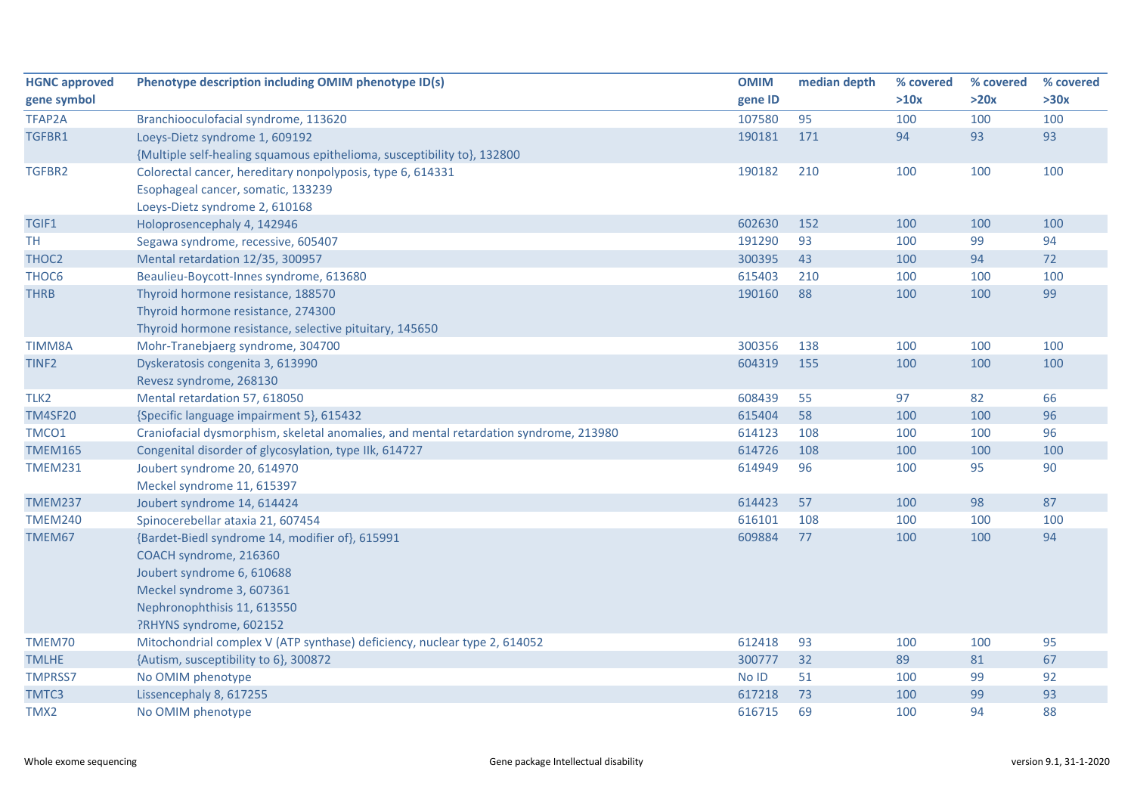| <b>HGNC approved</b> | Phenotype description including OMIM phenotype ID(s)                                  | <b>OMIM</b> | median depth | % covered | % covered | % covered |
|----------------------|---------------------------------------------------------------------------------------|-------------|--------------|-----------|-----------|-----------|
| gene symbol          |                                                                                       | gene ID     |              | >10x      | >20x      | >30x      |
| TFAP2A               | Branchiooculofacial syndrome, 113620                                                  | 107580      | 95           | 100       | 100       | 100       |
| TGFBR1               | Loeys-Dietz syndrome 1, 609192                                                        | 190181      | 171          | 94        | 93        | 93        |
|                      | {Multiple self-healing squamous epithelioma, susceptibility to}, 132800               |             |              |           |           |           |
| TGFBR2               | Colorectal cancer, hereditary nonpolyposis, type 6, 614331                            | 190182      | 210          | 100       | 100       | 100       |
|                      | Esophageal cancer, somatic, 133239                                                    |             |              |           |           |           |
|                      | Loeys-Dietz syndrome 2, 610168                                                        |             |              |           |           |           |
| TGIF1                | Holoprosencephaly 4, 142946                                                           | 602630      | 152          | 100       | 100       | 100       |
| <b>TH</b>            | Segawa syndrome, recessive, 605407                                                    | 191290      | 93           | 100       | 99        | 94        |
| THOC <sub>2</sub>    | Mental retardation 12/35, 300957                                                      | 300395      | 43           | 100       | 94        | 72        |
| THOC6                | Beaulieu-Boycott-Innes syndrome, 613680                                               | 615403      | 210          | 100       | 100       | 100       |
| <b>THRB</b>          | Thyroid hormone resistance, 188570                                                    | 190160      | 88           | 100       | 100       | 99        |
|                      | Thyroid hormone resistance, 274300                                                    |             |              |           |           |           |
|                      | Thyroid hormone resistance, selective pituitary, 145650                               |             |              |           |           |           |
| <b>TIMM8A</b>        | Mohr-Tranebjaerg syndrome, 304700                                                     | 300356      | 138          | 100       | 100       | 100       |
| TINF <sub>2</sub>    | Dyskeratosis congenita 3, 613990                                                      | 604319      | 155          | 100       | 100       | 100       |
|                      | Revesz syndrome, 268130                                                               |             |              |           |           |           |
| TLK <sub>2</sub>     | Mental retardation 57, 618050                                                         | 608439      | 55           | 97        | 82        | 66        |
| <b>TM4SF20</b>       | {Specific language impairment 5}, 615432                                              | 615404      | 58           | 100       | 100       | 96        |
| TMCO1                | Craniofacial dysmorphism, skeletal anomalies, and mental retardation syndrome, 213980 | 614123      | 108          | 100       | 100       | 96        |
| <b>TMEM165</b>       | Congenital disorder of glycosylation, type IIk, 614727                                | 614726      | 108          | 100       | 100       | 100       |
| <b>TMEM231</b>       | Joubert syndrome 20, 614970                                                           | 614949      | 96           | 100       | 95        | 90        |
|                      | Meckel syndrome 11, 615397                                                            |             |              |           |           |           |
| <b>TMEM237</b>       | Joubert syndrome 14, 614424                                                           | 614423      | 57           | 100       | 98        | 87        |
| <b>TMEM240</b>       | Spinocerebellar ataxia 21, 607454                                                     | 616101      | 108          | 100       | 100       | 100       |
| TMEM67               | {Bardet-Biedl syndrome 14, modifier of}, 615991                                       | 609884      | 77           | 100       | 100       | 94        |
|                      | COACH syndrome, 216360                                                                |             |              |           |           |           |
|                      | Joubert syndrome 6, 610688                                                            |             |              |           |           |           |
|                      | Meckel syndrome 3, 607361                                                             |             |              |           |           |           |
|                      | Nephronophthisis 11, 613550                                                           |             |              |           |           |           |
|                      | ?RHYNS syndrome, 602152                                                               |             |              |           |           |           |
| TMEM70               | Mitochondrial complex V (ATP synthase) deficiency, nuclear type 2, 614052             | 612418      | 93           | 100       | 100       | 95        |
| <b>TMLHE</b>         | {Autism, susceptibility to 6}, 300872                                                 | 300777      | 32           | 89        | 81        | 67        |
| <b>TMPRSS7</b>       | No OMIM phenotype                                                                     | No ID       | 51           | 100       | 99        | 92        |
| TMTC3                | Lissencephaly 8, 617255                                                               | 617218      | 73           | 100       | 99        | 93        |
| TMX2                 | No OMIM phenotype                                                                     | 616715      | 69           | 100       | 94        | 88        |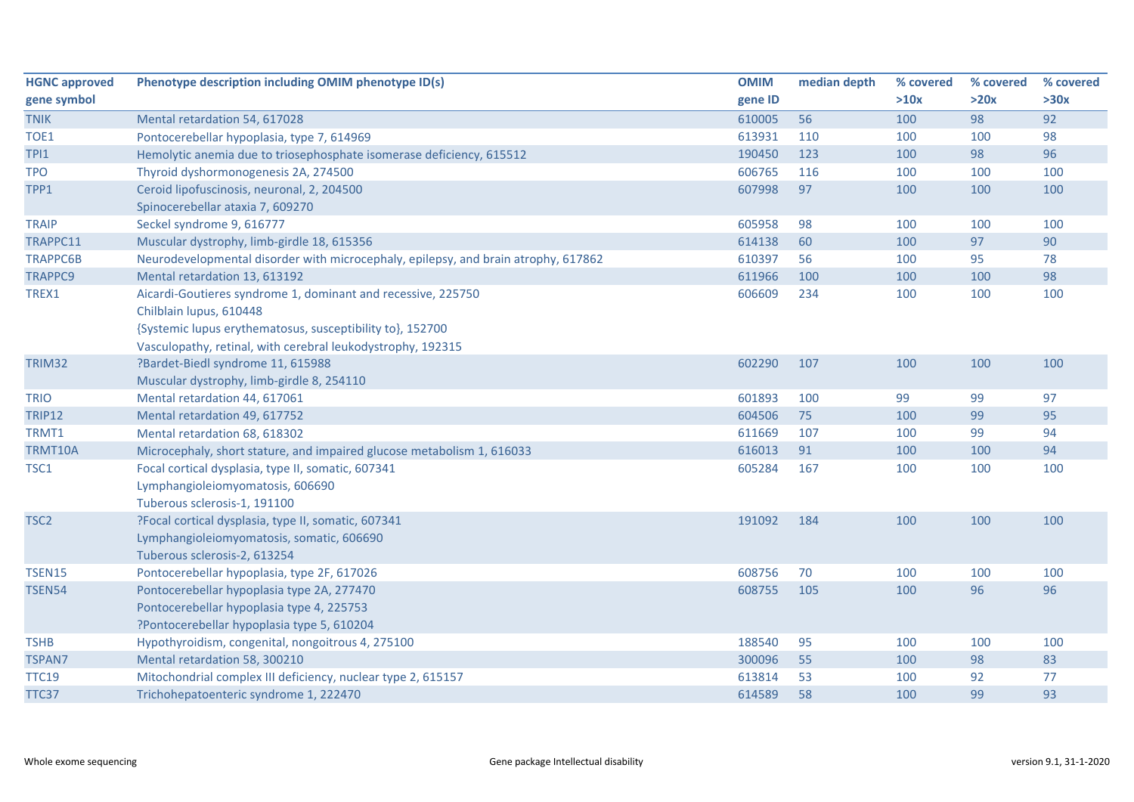| <b>HGNC approved</b> | Phenotype description including OMIM phenotype ID(s)                               | <b>OMIM</b> | median depth | % covered | % covered | % covered |
|----------------------|------------------------------------------------------------------------------------|-------------|--------------|-----------|-----------|-----------|
| gene symbol          |                                                                                    | gene ID     |              | >10x      | >20x      | >30x      |
| <b>TNIK</b>          | Mental retardation 54, 617028                                                      | 610005      | 56           | 100       | 98        | 92        |
| TOE1                 | Pontocerebellar hypoplasia, type 7, 614969                                         | 613931      | 110          | 100       | 100       | 98        |
| TPI1                 | Hemolytic anemia due to triosephosphate isomerase deficiency, 615512               | 190450      | 123          | 100       | 98        | 96        |
| <b>TPO</b>           | Thyroid dyshormonogenesis 2A, 274500                                               | 606765      | 116          | 100       | 100       | 100       |
| TPP1                 | Ceroid lipofuscinosis, neuronal, 2, 204500                                         | 607998      | 97           | 100       | 100       | 100       |
|                      | Spinocerebellar ataxia 7, 609270                                                   |             |              |           |           |           |
| <b>TRAIP</b>         | Seckel syndrome 9, 616777                                                          | 605958      | 98           | 100       | 100       | 100       |
| TRAPPC11             | Muscular dystrophy, limb-girdle 18, 615356                                         | 614138      | 60           | 100       | 97        | 90        |
| <b>TRAPPC6B</b>      | Neurodevelopmental disorder with microcephaly, epilepsy, and brain atrophy, 617862 | 610397      | 56           | 100       | 95        | 78        |
| <b>TRAPPC9</b>       | Mental retardation 13, 613192                                                      | 611966      | 100          | 100       | 100       | 98        |
| TREX1                | Aicardi-Goutieres syndrome 1, dominant and recessive, 225750                       | 606609      | 234          | 100       | 100       | 100       |
|                      | Chilblain lupus, 610448                                                            |             |              |           |           |           |
|                      | {Systemic lupus erythematosus, susceptibility to}, 152700                          |             |              |           |           |           |
|                      | Vasculopathy, retinal, with cerebral leukodystrophy, 192315                        |             |              |           |           |           |
| TRIM32               | ?Bardet-Biedl syndrome 11, 615988                                                  | 602290      | 107          | 100       | 100       | 100       |
|                      | Muscular dystrophy, limb-girdle 8, 254110                                          |             |              |           |           |           |
| <b>TRIO</b>          | Mental retardation 44, 617061                                                      | 601893      | 100          | 99        | 99        | 97        |
| <b>TRIP12</b>        | Mental retardation 49, 617752                                                      | 604506      | 75           | 100       | 99        | 95        |
| TRMT1                | Mental retardation 68, 618302                                                      | 611669      | 107          | 100       | 99        | 94        |
| <b>TRMT10A</b>       | Microcephaly, short stature, and impaired glucose metabolism 1, 616033             | 616013      | 91           | 100       | 100       | 94        |
| TSC1                 | Focal cortical dysplasia, type II, somatic, 607341                                 | 605284      | 167          | 100       | 100       | 100       |
|                      | Lymphangioleiomyomatosis, 606690                                                   |             |              |           |           |           |
|                      | Tuberous sclerosis-1, 191100                                                       |             |              |           |           |           |
| TSC <sub>2</sub>     | ?Focal cortical dysplasia, type II, somatic, 607341                                | 191092      | 184          | 100       | 100       | 100       |
|                      | Lymphangioleiomyomatosis, somatic, 606690                                          |             |              |           |           |           |
|                      | Tuberous sclerosis-2, 613254                                                       |             |              |           |           |           |
| <b>TSEN15</b>        | Pontocerebellar hypoplasia, type 2F, 617026                                        | 608756      | 70           | 100       | 100       | 100       |
| <b>TSEN54</b>        | Pontocerebellar hypoplasia type 2A, 277470                                         | 608755      | 105          | 100       | 96        | 96        |
|                      | Pontocerebellar hypoplasia type 4, 225753                                          |             |              |           |           |           |
|                      | ?Pontocerebellar hypoplasia type 5, 610204                                         |             |              |           |           |           |
| <b>TSHB</b>          | Hypothyroidism, congenital, nongoitrous 4, 275100                                  | 188540      | 95           | 100       | 100       | 100       |
| <b>TSPAN7</b>        | Mental retardation 58, 300210                                                      | 300096      | 55           | 100       | 98        | 83        |
| <b>TTC19</b>         | Mitochondrial complex III deficiency, nuclear type 2, 615157                       | 613814      | 53           | 100       | 92        | 77        |
| TTC37                | Trichohepatoenteric syndrome 1, 222470                                             | 614589      | 58           | 100       | 99        | 93        |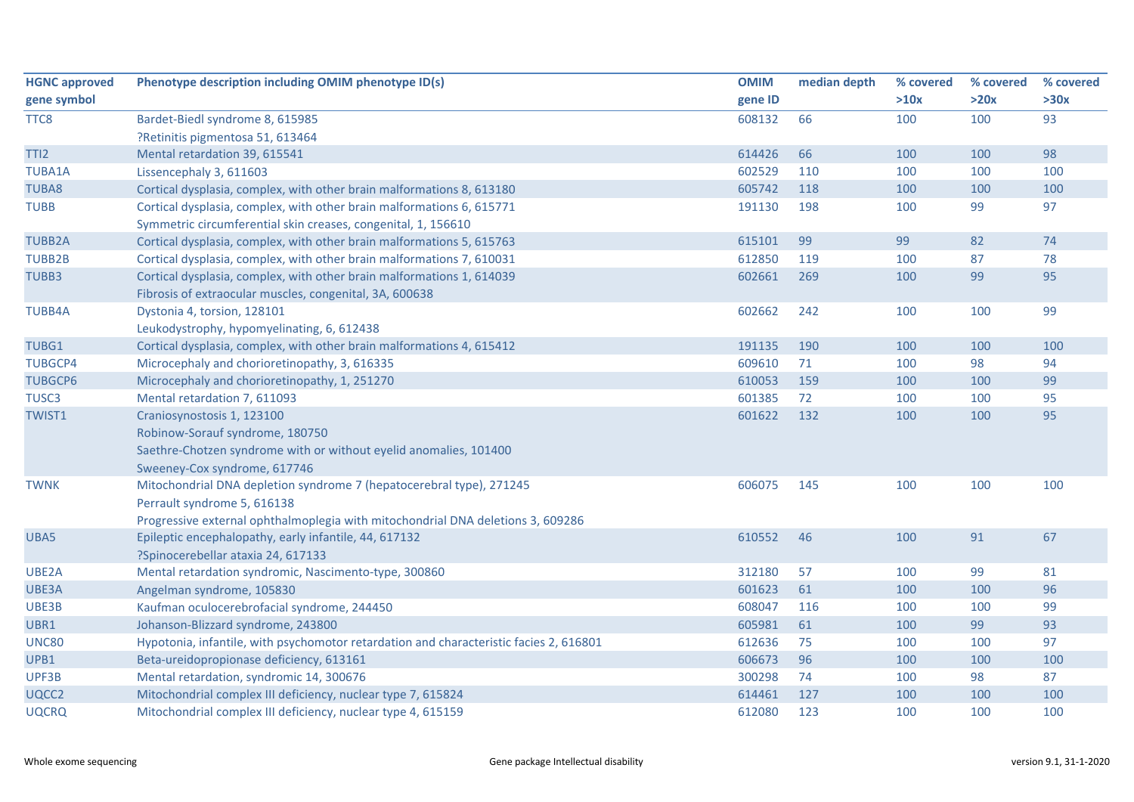| <b>HGNC approved</b> | Phenotype description including OMIM phenotype ID(s)                                   | <b>OMIM</b> | median depth | % covered | % covered | % covered |
|----------------------|----------------------------------------------------------------------------------------|-------------|--------------|-----------|-----------|-----------|
| gene symbol          |                                                                                        | gene ID     |              | >10x      | >20x      | >30x      |
| TTC8                 | Bardet-Biedl syndrome 8, 615985                                                        | 608132      | 66           | 100       | 100       | 93        |
|                      | ?Retinitis pigmentosa 51, 613464                                                       |             |              |           |           |           |
| TTI <sub>2</sub>     | Mental retardation 39, 615541                                                          | 614426      | 66           | 100       | 100       | 98        |
| <b>TUBA1A</b>        | Lissencephaly 3, 611603                                                                | 602529      | 110          | 100       | 100       | 100       |
| <b>TUBA8</b>         | Cortical dysplasia, complex, with other brain malformations 8, 613180                  | 605742      | 118          | 100       | 100       | 100       |
| <b>TUBB</b>          | Cortical dysplasia, complex, with other brain malformations 6, 615771                  | 191130      | 198          | 100       | 99        | 97        |
|                      | Symmetric circumferential skin creases, congenital, 1, 156610                          |             |              |           |           |           |
| <b>TUBB2A</b>        | Cortical dysplasia, complex, with other brain malformations 5, 615763                  | 615101      | 99           | 99        | 82        | 74        |
| <b>TUBB2B</b>        | Cortical dysplasia, complex, with other brain malformations 7, 610031                  | 612850      | 119          | 100       | 87        | 78        |
| TUBB3                | Cortical dysplasia, complex, with other brain malformations 1, 614039                  | 602661      | 269          | 100       | 99        | 95        |
|                      | Fibrosis of extraocular muscles, congenital, 3A, 600638                                |             |              |           |           |           |
| <b>TUBB4A</b>        | Dystonia 4, torsion, 128101                                                            | 602662      | 242          | 100       | 100       | 99        |
|                      | Leukodystrophy, hypomyelinating, 6, 612438                                             |             |              |           |           |           |
| TUBG1                | Cortical dysplasia, complex, with other brain malformations 4, 615412                  | 191135      | 190          | 100       | 100       | 100       |
| <b>TUBGCP4</b>       | Microcephaly and chorioretinopathy, 3, 616335                                          | 609610      | 71           | 100       | 98        | 94        |
| <b>TUBGCP6</b>       | Microcephaly and chorioretinopathy, 1, 251270                                          | 610053      | 159          | 100       | 100       | 99        |
| TUSC <sub>3</sub>    | Mental retardation 7, 611093                                                           | 601385      | 72           | 100       | 100       | 95        |
| TWIST1               | Craniosynostosis 1, 123100                                                             | 601622      | 132          | 100       | 100       | 95        |
|                      | Robinow-Sorauf syndrome, 180750                                                        |             |              |           |           |           |
|                      | Saethre-Chotzen syndrome with or without eyelid anomalies, 101400                      |             |              |           |           |           |
|                      | Sweeney-Cox syndrome, 617746                                                           |             |              |           |           |           |
| <b>TWNK</b>          | Mitochondrial DNA depletion syndrome 7 (hepatocerebral type), 271245                   | 606075      | 145          | 100       | 100       | 100       |
|                      | Perrault syndrome 5, 616138                                                            |             |              |           |           |           |
|                      | Progressive external ophthalmoplegia with mitochondrial DNA deletions 3, 609286        |             |              |           |           |           |
| UBA5                 | Epileptic encephalopathy, early infantile, 44, 617132                                  | 610552      | 46           | 100       | 91        | 67        |
|                      | ?Spinocerebellar ataxia 24, 617133                                                     |             |              |           |           |           |
| UBE2A                | Mental retardation syndromic, Nascimento-type, 300860                                  | 312180      | 57           | 100       | 99        | 81        |
| UBE3A                | Angelman syndrome, 105830                                                              | 601623      | 61           | 100       | 100       | 96        |
| UBE3B                | Kaufman oculocerebrofacial syndrome, 244450                                            | 608047      | 116          | 100       | 100       | 99        |
| UBR1                 | Johanson-Blizzard syndrome, 243800                                                     | 605981      | 61           | 100       | 99        | 93        |
| <b>UNC80</b>         | Hypotonia, infantile, with psychomotor retardation and characteristic facies 2, 616801 | 612636      | 75           | 100       | 100       | 97        |
| UPB1                 | Beta-ureidopropionase deficiency, 613161                                               | 606673      | 96           | 100       | 100       | 100       |
| UPF3B                | Mental retardation, syndromic 14, 300676                                               | 300298      | 74           | 100       | 98        | 87        |
| UQCC2                | Mitochondrial complex III deficiency, nuclear type 7, 615824                           | 614461      | 127          | 100       | 100       | 100       |
| <b>UQCRQ</b>         | Mitochondrial complex III deficiency, nuclear type 4, 615159                           | 612080      | 123          | 100       | 100       | 100       |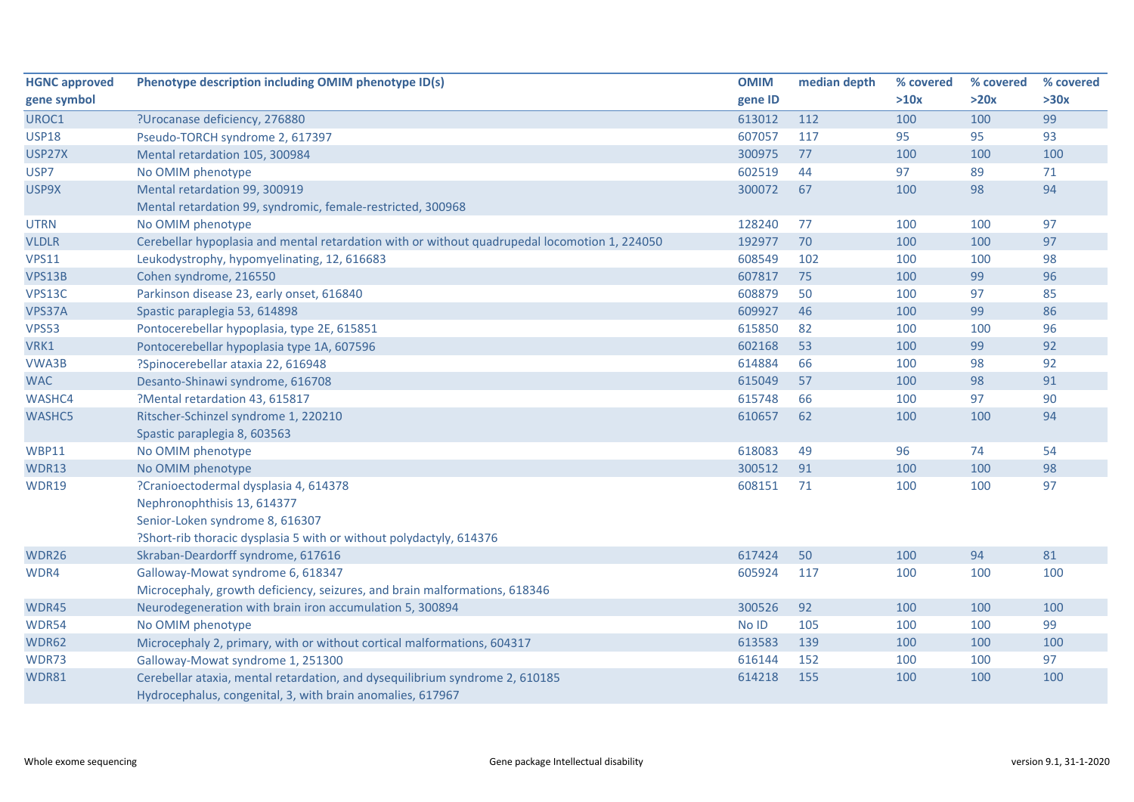| <b>HGNC approved</b> | Phenotype description including OMIM phenotype ID(s)                                          | <b>OMIM</b> | median depth | % covered | % covered | % covered |
|----------------------|-----------------------------------------------------------------------------------------------|-------------|--------------|-----------|-----------|-----------|
| gene symbol          |                                                                                               | gene ID     |              | >10x      | >20x      | >30x      |
| UROC1                | ?Urocanase deficiency, 276880                                                                 | 613012      | 112          | 100       | 100       | 99        |
| <b>USP18</b>         | Pseudo-TORCH syndrome 2, 617397                                                               | 607057      | 117          | 95        | 95        | 93        |
| USP27X               | Mental retardation 105, 300984                                                                | 300975      | 77           | 100       | 100       | 100       |
| USP7                 | No OMIM phenotype                                                                             | 602519      | 44           | 97        | 89        | 71        |
| USP9X                | Mental retardation 99, 300919                                                                 | 300072      | 67           | 100       | 98        | 94        |
|                      | Mental retardation 99, syndromic, female-restricted, 300968                                   |             |              |           |           |           |
| <b>UTRN</b>          | No OMIM phenotype                                                                             | 128240      | 77           | 100       | 100       | 97        |
| <b>VLDLR</b>         | Cerebellar hypoplasia and mental retardation with or without quadrupedal locomotion 1, 224050 | 192977      | 70           | 100       | 100       | 97        |
| <b>VPS11</b>         | Leukodystrophy, hypomyelinating, 12, 616683                                                   | 608549      | 102          | 100       | 100       | 98        |
| VPS13B               | Cohen syndrome, 216550                                                                        | 607817      | 75           | 100       | 99        | 96        |
| VPS13C               | Parkinson disease 23, early onset, 616840                                                     | 608879      | 50           | 100       | 97        | 85        |
| VPS37A               | Spastic paraplegia 53, 614898                                                                 | 609927      | 46           | 100       | 99        | 86        |
| <b>VPS53</b>         | Pontocerebellar hypoplasia, type 2E, 615851                                                   | 615850      | 82           | 100       | 100       | 96        |
| VRK1                 | Pontocerebellar hypoplasia type 1A, 607596                                                    | 602168      | 53           | 100       | 99        | 92        |
| VWA3B                | ?Spinocerebellar ataxia 22, 616948                                                            | 614884      | 66           | 100       | 98        | 92        |
| <b>WAC</b>           | Desanto-Shinawi syndrome, 616708                                                              | 615049      | 57           | 100       | 98        | 91        |
| WASHC4               | ?Mental retardation 43, 615817                                                                | 615748      | 66           | 100       | 97        | 90        |
| WASHC5               | Ritscher-Schinzel syndrome 1, 220210                                                          | 610657      | 62           | 100       | 100       | 94        |
|                      | Spastic paraplegia 8, 603563                                                                  |             |              |           |           |           |
| <b>WBP11</b>         | No OMIM phenotype                                                                             | 618083      | 49           | 96        | 74        | 54        |
| WDR13                | No OMIM phenotype                                                                             | 300512      | 91           | 100       | 100       | 98        |
| WDR19                | ?Cranioectodermal dysplasia 4, 614378                                                         | 608151      | 71           | 100       | 100       | 97        |
|                      | Nephronophthisis 13, 614377                                                                   |             |              |           |           |           |
|                      | Senior-Loken syndrome 8, 616307                                                               |             |              |           |           |           |
|                      | ?Short-rib thoracic dysplasia 5 with or without polydactyly, 614376                           |             |              |           |           |           |
| WDR26                | Skraban-Deardorff syndrome, 617616                                                            | 617424      | 50           | 100       | 94        | 81        |
| WDR4                 | Galloway-Mowat syndrome 6, 618347                                                             | 605924      | 117          | 100       | 100       | 100       |
|                      | Microcephaly, growth deficiency, seizures, and brain malformations, 618346                    |             |              |           |           |           |
| WDR45                | Neurodegeneration with brain iron accumulation 5, 300894                                      | 300526      | 92           | 100       | 100       | 100       |
| WDR54                | No OMIM phenotype                                                                             | No ID       | 105          | 100       | 100       | 99        |
| WDR62                | Microcephaly 2, primary, with or without cortical malformations, 604317                       | 613583      | 139          | 100       | 100       | 100       |
| WDR73                | Galloway-Mowat syndrome 1, 251300                                                             | 616144      | 152          | 100       | 100       | 97        |
| WDR81                | Cerebellar ataxia, mental retardation, and dysequilibrium syndrome 2, 610185                  | 614218      | 155          | 100       | 100       | 100       |
|                      | Hydrocephalus, congenital, 3, with brain anomalies, 617967                                    |             |              |           |           |           |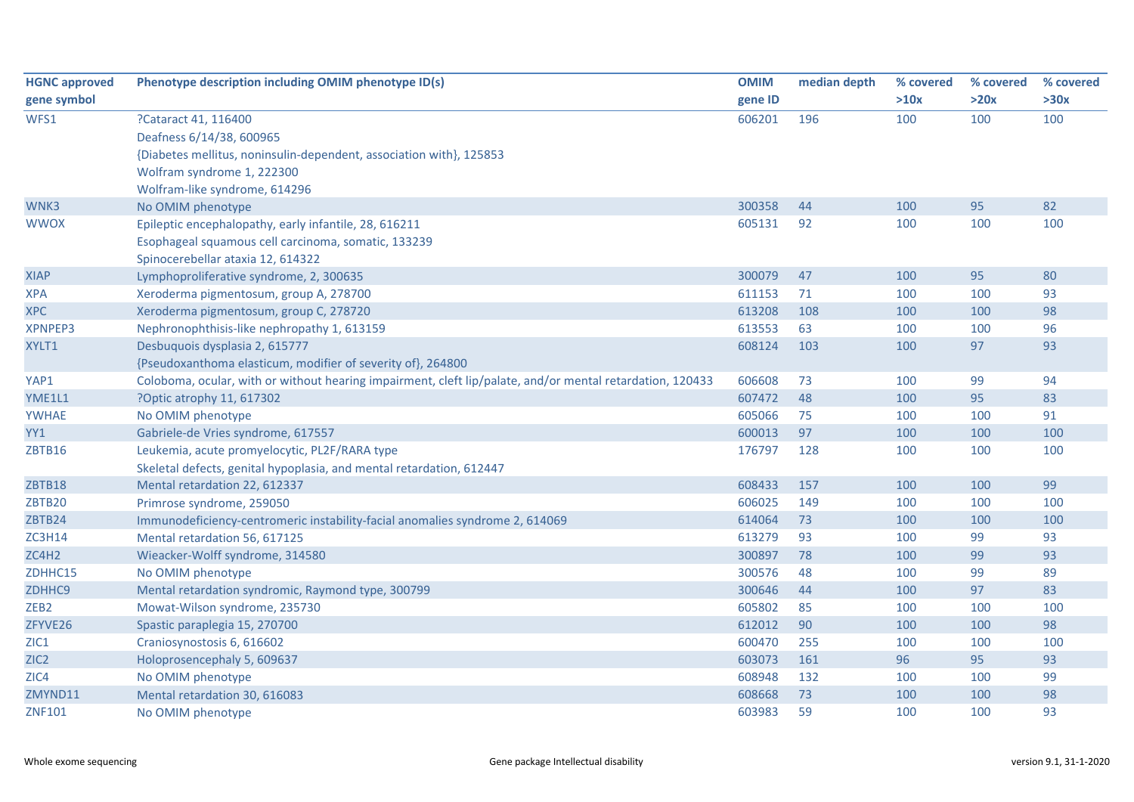| <b>HGNC approved</b> | Phenotype description including OMIM phenotype ID(s)                                                      | <b>OMIM</b> | median depth | % covered | % covered | % covered |
|----------------------|-----------------------------------------------------------------------------------------------------------|-------------|--------------|-----------|-----------|-----------|
| gene symbol          |                                                                                                           | gene ID     |              | >10x      | >20x      | >30x      |
| WFS1                 | ?Cataract 41, 116400                                                                                      | 606201      | 196          | 100       | 100       | 100       |
|                      | Deafness 6/14/38, 600965                                                                                  |             |              |           |           |           |
|                      | {Diabetes mellitus, noninsulin-dependent, association with}, 125853                                       |             |              |           |           |           |
|                      | Wolfram syndrome 1, 222300                                                                                |             |              |           |           |           |
|                      | Wolfram-like syndrome, 614296                                                                             |             |              |           |           |           |
| WNK3                 | No OMIM phenotype                                                                                         | 300358      | 44           | 100       | 95        | 82        |
| <b>WWOX</b>          | Epileptic encephalopathy, early infantile, 28, 616211                                                     | 605131      | 92           | 100       | 100       | 100       |
|                      | Esophageal squamous cell carcinoma, somatic, 133239                                                       |             |              |           |           |           |
|                      | Spinocerebellar ataxia 12, 614322                                                                         |             |              |           |           |           |
| <b>XIAP</b>          | Lymphoproliferative syndrome, 2, 300635                                                                   | 300079      | 47           | 100       | 95        | 80        |
| <b>XPA</b>           | Xeroderma pigmentosum, group A, 278700                                                                    | 611153      | 71           | 100       | 100       | 93        |
| <b>XPC</b>           | Xeroderma pigmentosum, group C, 278720                                                                    | 613208      | 108          | 100       | 100       | 98        |
| <b>XPNPEP3</b>       | Nephronophthisis-like nephropathy 1, 613159                                                               | 613553      | 63           | 100       | 100       | 96        |
| XYLT1                | Desbuquois dysplasia 2, 615777                                                                            | 608124      | 103          | 100       | 97        | 93        |
|                      | {Pseudoxanthoma elasticum, modifier of severity of}, 264800                                               |             |              |           |           |           |
| YAP1                 | Coloboma, ocular, with or without hearing impairment, cleft lip/palate, and/or mental retardation, 120433 | 606608      | 73           | 100       | 99        | 94        |
| YME1L1               | ?Optic atrophy 11, 617302                                                                                 | 607472      | 48           | 100       | 95        | 83        |
| <b>YWHAE</b>         | No OMIM phenotype                                                                                         | 605066      | 75           | 100       | 100       | 91        |
| YY1                  | Gabriele-de Vries syndrome, 617557                                                                        | 600013      | 97           | 100       | 100       | 100       |
| ZBTB16               | Leukemia, acute promyelocytic, PL2F/RARA type                                                             | 176797      | 128          | 100       | 100       | 100       |
|                      | Skeletal defects, genital hypoplasia, and mental retardation, 612447                                      |             |              |           |           |           |
| ZBTB18               | Mental retardation 22, 612337                                                                             | 608433      | 157          | 100       | 100       | 99        |
| ZBTB20               | Primrose syndrome, 259050                                                                                 | 606025      | 149          | 100       | 100       | 100       |
| ZBTB24               | Immunodeficiency-centromeric instability-facial anomalies syndrome 2, 614069                              | 614064      | 73           | 100       | 100       | 100       |
| <b>ZC3H14</b>        | Mental retardation 56, 617125                                                                             | 613279      | 93           | 100       | 99        | 93        |
| ZC4H2                | Wieacker-Wolff syndrome, 314580                                                                           | 300897      | 78           | 100       | 99        | 93        |
| ZDHHC15              | No OMIM phenotype                                                                                         | 300576      | 48           | 100       | 99        | 89        |
| ZDHHC9               | Mental retardation syndromic, Raymond type, 300799                                                        | 300646      | 44           | 100       | 97        | 83        |
| ZEB <sub>2</sub>     | Mowat-Wilson syndrome, 235730                                                                             | 605802      | 85           | 100       | 100       | 100       |
| ZFYVE26              | Spastic paraplegia 15, 270700                                                                             | 612012      | 90           | 100       | 100       | 98        |
| ZIC1                 | Craniosynostosis 6, 616602                                                                                | 600470      | 255          | 100       | 100       | 100       |
| ZIC <sub>2</sub>     | Holoprosencephaly 5, 609637                                                                               | 603073      | 161          | 96        | 95        | 93        |
| ZIC4                 | No OMIM phenotype                                                                                         | 608948      | 132          | 100       | 100       | 99        |
| ZMYND11              | Mental retardation 30, 616083                                                                             | 608668      | 73           | 100       | 100       | 98        |
| <b>ZNF101</b>        | No OMIM phenotype                                                                                         | 603983      | 59           | 100       | 100       | 93        |